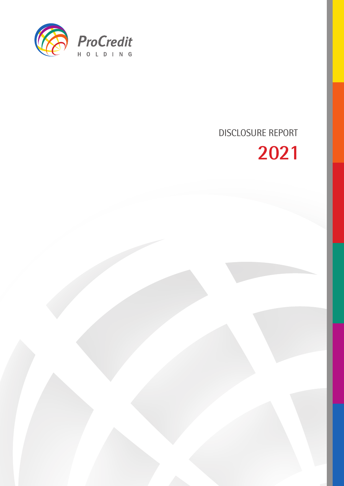

DISCLOSURE REPORT

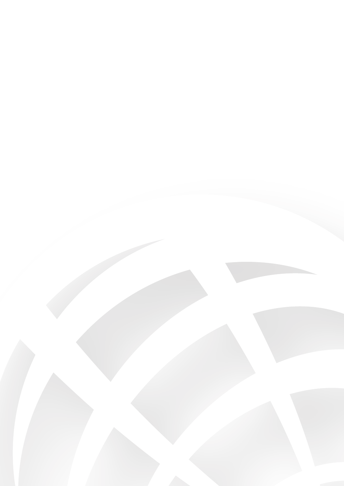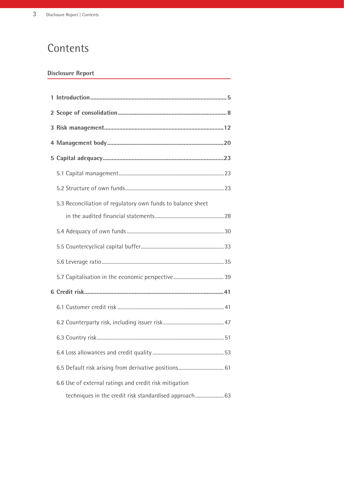# <span id="page-2-0"></span>**Contents**

### **Disclosure Report**

| 5.3 Reconciliation of regulatory own funds to balance sheet |  |
|-------------------------------------------------------------|--|
|                                                             |  |
|                                                             |  |
|                                                             |  |
|                                                             |  |
|                                                             |  |
|                                                             |  |
|                                                             |  |
|                                                             |  |
|                                                             |  |
|                                                             |  |
|                                                             |  |
| 6.6 Use of external ratings and credit risk mitigation      |  |
| techniques in the credit risk standardised approach 63      |  |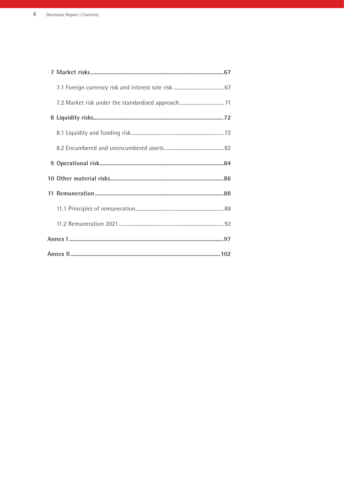| 7.2 Market risk under the standardised approach 71 |  |
|----------------------------------------------------|--|
|                                                    |  |
|                                                    |  |
|                                                    |  |
|                                                    |  |
|                                                    |  |
|                                                    |  |
|                                                    |  |
|                                                    |  |
|                                                    |  |
|                                                    |  |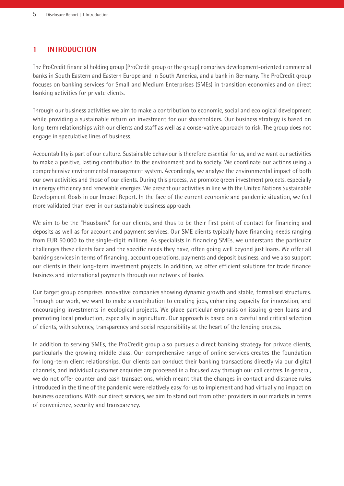## <span id="page-4-0"></span>**1 [INTRODUCTION](#page-2-0)**

The ProCredit financial holding group (ProCredit group or the group) comprises development-oriented commercial banks in South Eastern and Eastern Europe and in South America, and a bank in Germany. The ProCredit group focuses on banking services for Small and Medium Enterprises (SMEs) in transition economies and on direct banking activities for private clients.

Through our business activities we aim to make a contribution to economic, social and ecological development while providing a sustainable return on investment for our shareholders. Our business strategy is based on long-term relationships with our clients and staff as well as a conservative approach to risk. The group does not engage in speculative lines of business.

Accountability is part of our culture. Sustainable behaviour is therefore essential for us, and we want our activities to make a positive, lasting contribution to the environment and to society. We coordinate our actions using a comprehensive environmental management system. Accordingly, we analyse the environmental impact of both our own activities and those of our clients. During this process, we promote green investment projects, especially in energy efficiency and renewable energies. We present our activities in line with the United Nations Sustainable Development Goals in our Impact Report. In the face of the current economic and pandemic situation, we feel more validated than ever in our sustainable business approach.

We aim to be the "Hausbank" for our clients, and thus to be their first point of contact for financing and deposits as well as for account and payment services. Our SME clients typically have financing needs ranging from EUR 50.000 to the single-digit millions. As specialists in financing SMEs, we understand the particular challenges these clients face and the specific needs they have, often going well beyond just loans. We offer all banking services in terms of financing, account operations, payments and deposit business, and we also support our clients in their long-term investment projects. In addition, we offer efficient solutions for trade finance business and international payments through our network of banks.

Our target group comprises innovative companies showing dynamic growth and stable, formalised structures. Through our work, we want to make a contribution to creating jobs, enhancing capacity for innovation, and encouraging investments in ecological projects. We place particular emphasis on issuing green loans and promoting local production, especially in agriculture. Our approach is based on a careful and critical selection of clients, with solvency, transparency and social responsibility at the heart of the lending process.

In addition to serving SMEs, the ProCredit group also pursues a direct banking strategy for private clients, particularly the growing middle class. Our comprehensive range of online services creates the foundation for long-term client relationships. Our clients can conduct their banking transactions directly via our digital channels, and individual customer enquiries are processed in a focused way through our call centres. In general, we do not offer counter and cash transactions, which meant that the changes in contact and distance rules introduced in the time of the pandemic were relatively easy for us to implement and had virtually no impact on business operations. With our direct services, we aim to stand out from other providers in our markets in terms of convenience, security and transparency.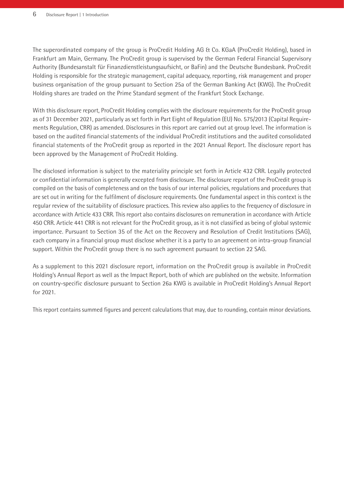The superordinated company of the group is ProCredit Holding AG & Co. KGaA (ProCredit Holding), based in Frankfurt am Main, Germany. The ProCredit group is supervised by the German Federal Financial Supervisory Authority (Bundesanstalt für Finanzdienstleistungsaufsicht, or BaFin) and the Deutsche Bundesbank. ProCredit Holding is responsible for the strategic management, capital adequacy, reporting, risk management and proper business organisation of the group pursuant to Section 25a of the German Banking Act (KWG). The ProCredit Holding shares are traded on the Prime Standard segment of the Frankfurt Stock Exchange.

With this disclosure report, ProCredit Holding complies with the disclosure requirements for the ProCredit group as of 31 December 2021, particularly as set forth in Part Eight of Regulation (EU) No. 575/2013 (Capital Requirements Regulation, CRR) as amended. Disclosures in this report are carried out at group level. The information is based on the audited financial statements of the individual ProCredit institutions and the audited consolidated financial statements of the ProCredit group as reported in the 2021 Annual Report. The disclosure report has been approved by the Management of ProCredit Holding.

The disclosed information is subject to the materiality principle set forth in Article 432 CRR. Legally protected or confidential information is generally excepted from disclosure. The disclosure report of the ProCredit group is compiled on the basis of completeness and on the basis of our internal policies, regulations and procedures that are set out in writing for the fulfilment of disclosure requirements. One fundamental aspect in this context is the regular review of the suitability of disclosure practices. This review also applies to the frequency of disclosure in accordance with Article 433 CRR. This report also contains disclosures on remuneration in accordance with Article 450 CRR. Article 441 CRR is not relevant for the ProCredit group, as it is not classified as being of global systemic importance. Pursuant to Section 35 of the Act on the Recovery and Resolution of Credit Institutions (SAG), each company in a financial group must disclose whether it is a party to an agreement on intra-group financial support. Within the ProCredit group there is no such agreement pursuant to section 22 SAG.

As a supplement to this 2021 disclosure report, information on the ProCredit group is available in ProCredit Holding's Annual Report as well as the Impact Report, both of which are published on the website. Information on country-specific disclosure pursuant to Section 26a KWG is available in ProCredit Holding's Annual Report for 2021.

This report contains summed figures and percent calculations that may, due to rounding, contain minor deviations.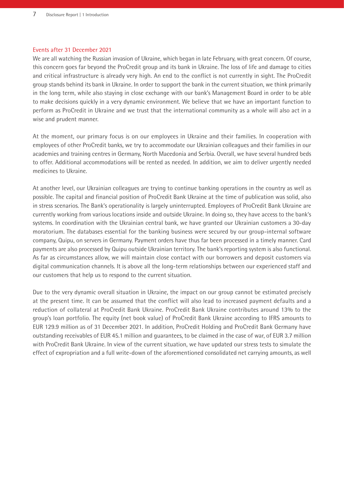#### Events after 31 December 2021

We are all watching the Russian invasion of Ukraine, which began in late February, with great concern. Of course, this concern goes far beyond the ProCredit group and its bank in Ukraine. The loss of life and damage to cities and critical infrastructure is already very high. An end to the conflict is not currently in sight. The ProCredit group stands behind its bank in Ukraine. In order to support the bank in the current situation, we think primarily in the long term, while also staying in close exchange with our bank's Management Board in order to be able to make decisions quickly in a very dynamic environment. We believe that we have an important function to perform as ProCredit in Ukraine and we trust that the international community as a whole will also act in a wise and prudent manner.

At the moment, our primary focus is on our employees in Ukraine and their families. In cooperation with employees of other ProCredit banks, we try to accommodate our Ukrainian colleagues and their families in our academies and training centres in Germany, North Macedonia and Serbia. Overall, we have several hundred beds to offer. Additional accommodations will be rented as needed. In addition, we aim to deliver urgently needed medicines to Ukraine.

At another level, our Ukrainian colleagues are trying to continue banking operations in the country as well as possible. The capital and financial position of ProCredit Bank Ukraine at the time of publication was solid, also in stress scenarios. The Bank's operationality is largely uninterrupted. Employees of ProCredit Bank Ukraine are currently working from various locations inside and outside Ukraine. In doing so, they have access to the bank's systems. In coordination with the Ukrainian central bank, we have granted our Ukrainian customers a 30-day moratorium. The databases essential for the banking business were secured by our group-internal software company, Quipu, on servers in Germany. Payment orders have thus far been processed in a timely manner. Card payments are also processed by Quipu outside Ukrainian territory. The bank's reporting system is also functional. As far as circumstances allow, we will maintain close contact with our borrowers and deposit customers via digital communication channels. It is above all the long-term relationships between our experienced staff and our customers that help us to respond to the current situation.

Due to the very dynamic overall situation in Ukraine, the impact on our group cannot be estimated precisely at the present time. It can be assumed that the conflict will also lead to increased payment defaults and a reduction of collateral at ProCredit Bank Ukraine. ProCredit Bank Ukraine contributes around 13% to the group's loan portfolio. The equity (net book value) of ProCredit Bank Ukraine according to IFRS amounts to EUR 129.9 million as of 31 December 2021. In addition, ProCredit Holding and ProCredit Bank Germany have outstanding receivables of EUR 45.1 million and guarantees, to be claimed in the case of war, of EUR 3.7 million with ProCredit Bank Ukraine. In view of the current situation, we have updated our stress tests to simulate the effect of expropriation and a full write-down of the aforementioned consolidated net carrying amounts, as well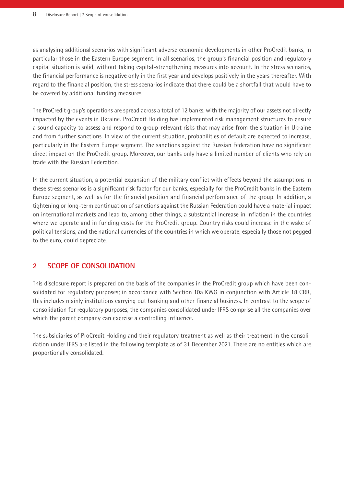<span id="page-7-0"></span>as analysing additional scenarios with significant adverse economic developments in other ProCredit banks, in particular those in the Eastern Europe segment. In all scenarios, the group's financial position and regulatory capital situation is solid, without taking capital-strengthening measures into account. In the stress scenarios, the financial performance is negative only in the first year and develops positively in the years thereafter. With regard to the financial position, the stress scenarios indicate that there could be a shortfall that would have to be covered by additional funding measures.

The ProCredit group's operations are spread across a total of 12 banks, with the majority of our assets not directly impacted by the events in Ukraine. ProCredit Holding has implemented risk management structures to ensure a sound capacity to assess and respond to group-relevant risks that may arise from the situation in Ukraine and from further sanctions. In view of the current situation, probabilities of default are expected to increase, particularly in the Eastern Europe segment. The sanctions against the Russian Federation have no significant direct impact on the ProCredit group. Moreover, our banks only have a limited number of clients who rely on trade with the Russian Federation.

In the current situation, a potential expansion of the military conflict with effects beyond the assumptions in these stress scenarios is a significant risk factor for our banks, especially for the ProCredit banks in the Eastern Europe segment, as well as for the financial position and financial performance of the group. In addition, a tightening or long-term continuation of sanctions against the Russian Federation could have a material impact on international markets and lead to, among other things, a substantial increase in inflation in the countries where we operate and in funding costs for the ProCredit group. Country risks could increase in the wake of political tensions, and the national currencies of the countries in which we operate, especially those not pegged to the euro, could depreciate.

### **2 [SCOPE OF CONSOLIDATION](#page-2-0)**

This disclosure report is prepared on the basis of the companies in the ProCredit group which have been consolidated for regulatory purposes; in accordance with Section 10a KWG in conjunction with Article 18 CRR, this includes mainly institutions carrying out banking and other financial business. In contrast to the scope of consolidation for regulatory purposes, the companies consolidated under IFRS comprise all the companies over which the parent company can exercise a controlling influence.

The subsidiaries of ProCredit Holding and their regulatory treatment as well as their treatment in the consolidation under IFRS are listed in the following template as of 31 December 2021. There are no entities which are proportionally consolidated.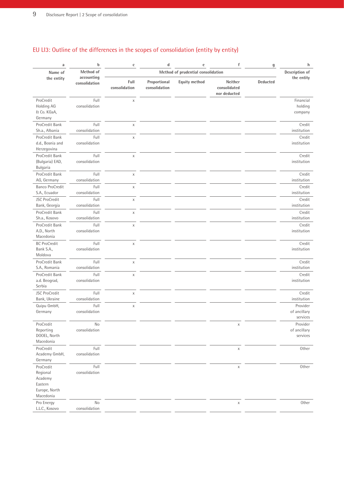# EU LI3: Outline of the differences in the scopes of consolidation (entity by entity)

| a                                                                         | b                           | c                     | $\mathsf d$                   | $\mathbf e$                        | f                                       | g               | h                                    |
|---------------------------------------------------------------------------|-----------------------------|-----------------------|-------------------------------|------------------------------------|-----------------------------------------|-----------------|--------------------------------------|
| Name of                                                                   | Method of                   |                       |                               | Method of prudential consolidation |                                         |                 | Description of                       |
| the entity                                                                | accounting<br>consolidation | Full<br>consolidation | Proportional<br>consolidation | <b>Equity method</b>               | Neither<br>consolidated<br>nor deducted | <b>Deducted</b> | the entity                           |
| ProCredit<br><b>Holding AG</b><br>& Co. KGaA,<br>Germany                  | Full<br>consolidation       | $\mathsf X$           |                               |                                    |                                         |                 | Financial<br>holding<br>company      |
| ProCredit Bank<br>Sh.a., Albania                                          | Full<br>consolidation       | $\mathsf X$           |                               |                                    |                                         |                 | Credit<br>institution                |
| ProCredit Bank<br>d.d., Bosnia and<br>Herzegovina                         | Full<br>consolidation       | $\mathsf X$           |                               |                                    |                                         |                 | Credit<br>institution                |
| ProCredit Bank<br>(Bulgaria) EAD,<br>Bulgaria                             | Full<br>consolidation       | $\mathsf X$           |                               |                                    |                                         |                 | Credit<br>institution                |
| ProCredit Bank<br>AG, Germany                                             | Full<br>consolidation       | $\mathsf X$           |                               |                                    |                                         |                 | Credit<br>institution                |
| <b>Banco ProCredit</b><br>S.A., Ecuador                                   | Full<br>consolidation       | $\mathsf X$           |                               |                                    |                                         |                 | Credit<br>institution                |
| <b>JSC ProCredit</b><br>Bank, Georgia                                     | Full<br>consolidation       | $\mathsf X$           |                               |                                    |                                         |                 | Credit<br>institution                |
| ProCredit Bank<br>Sh.a., Kosovo                                           | Full<br>consolidation       | $\mathsf X$           |                               |                                    |                                         |                 | Credit<br>institution                |
| ProCredit Bank<br>A.D., North<br>Macedonia                                | Full<br>consolidation       | $\mathsf X$           |                               |                                    |                                         |                 | Credit<br>institution                |
| <b>BC ProCredit</b><br>Bank S.A.,<br>Moldova                              | Full<br>consolidation       | $\mathsf X$           |                               |                                    |                                         |                 | Credit<br>institution                |
| ProCredit Bank<br>S.A., Romania                                           | Full<br>consolidation       | $\mathsf X$           |                               |                                    |                                         |                 | Credit<br>institution                |
| ProCredit Bank<br>a.d. Beograd,<br>Serbia                                 | Full<br>consolidation       | $\mathsf X$           |                               |                                    |                                         |                 | Credit<br>institution                |
| <b>JSC ProCredit</b><br>Bank, Ukraine                                     | Full<br>consolidation       | $\mathsf X$           |                               |                                    |                                         |                 | Credit<br>institution                |
| Quipu GmbH,<br>Germany                                                    | Full<br>consolidation       | $\mathsf X$           |                               |                                    |                                         |                 | Provider<br>of ancillary<br>services |
| ProCredit<br>Reporting<br>DOOEL, North<br>Macedonia                       | No<br>consolidation         |                       |                               |                                    | $\mathsf X$                             |                 | Provider<br>of ancillary<br>services |
| ProCredit<br>Academy GmbH,<br>Germany                                     | Full<br>consolidation       |                       |                               |                                    | X                                       |                 | Other                                |
| ProCredit<br>Regional<br>Academy<br>Eastern<br>Europe, North<br>Macedonia | Full<br>consolidation       |                       |                               |                                    | Χ                                       |                 | Other                                |
| Pro Energy<br>L.L.C., Kosovo                                              | No<br>consolidation         |                       |                               |                                    | $\mathsf X$                             |                 | Other                                |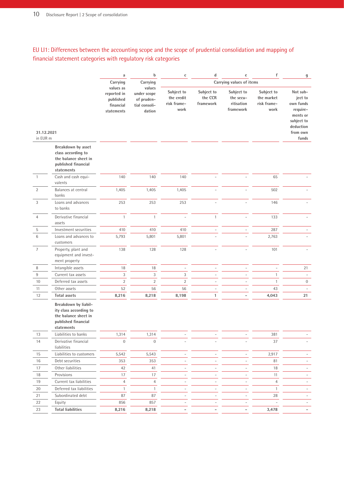# EU LI1: Differences between the accounting scope and the scope of prudential consolidation and mapping of financial statement categories with regulatory risk categories

|                        |                                                                                                             | $\mathbf a$                                                      | $\mathbf b$                                                    | $\mathbf c$                                     | d                                  | $\mathsf{e}% _{t}\left( t\right)$                  | f                                               | g                                                                      |
|------------------------|-------------------------------------------------------------------------------------------------------------|------------------------------------------------------------------|----------------------------------------------------------------|-------------------------------------------------|------------------------------------|----------------------------------------------------|-------------------------------------------------|------------------------------------------------------------------------|
|                        |                                                                                                             | Carrying                                                         | Carrying                                                       |                                                 |                                    | Carrying values of items                           |                                                 |                                                                        |
|                        |                                                                                                             | values as<br>reported in<br>published<br>financial<br>statements | values<br>under scope<br>of pruden-<br>tial consoli-<br>dation | Subject to<br>the credit<br>risk frame-<br>work | Subject to<br>the CCR<br>framework | Subject to<br>the secu-<br>ritisation<br>framework | Subject to<br>the market<br>risk frame-<br>work | Not sub-<br>ject to<br>own funds<br>require-<br>ments or<br>subject to |
| 31.12.2021<br>in EUR m |                                                                                                             |                                                                  |                                                                |                                                 |                                    |                                                    |                                                 | deduction<br>from own<br>funds                                         |
|                        | Breakdown by asset<br>class according to<br>the balance sheet in<br>published financial<br>statements       |                                                                  |                                                                |                                                 |                                    |                                                    |                                                 |                                                                        |
| $\mathbf{1}$           | Cash and cash equi-<br>valents                                                                              | 140                                                              | 140                                                            | 140                                             |                                    |                                                    | 65                                              |                                                                        |
| $\overline{2}$         | Balances at central<br>banks                                                                                | 1,405                                                            | 1,405                                                          | 1,405                                           |                                    |                                                    | 502                                             |                                                                        |
| 3                      | Loans and advances<br>to banks                                                                              | 253                                                              | 253                                                            | 253                                             |                                    |                                                    | 146                                             |                                                                        |
| 4                      | Derivative financial<br>assets                                                                              | $\mathbf{1}$                                                     | $\mathbf{1}$                                                   | ÷,                                              | $\mathbf{1}$                       |                                                    | 133                                             |                                                                        |
| 5                      | Investment securities                                                                                       | 410                                                              | 410                                                            | 410                                             |                                    |                                                    | 287                                             |                                                                        |
| 6                      | Loans and advances to<br>customers                                                                          | 5,793                                                            | 5,801                                                          | 5,801                                           |                                    |                                                    | 2,763                                           |                                                                        |
| 7                      | Property, plant and<br>equipment and invest-<br>ment property                                               | 138                                                              | 128                                                            | 128                                             |                                    |                                                    | 101                                             |                                                                        |
| 8                      | Intangible assets                                                                                           | 18                                                               | 18                                                             |                                                 |                                    |                                                    |                                                 | 21                                                                     |
| 9                      | Current tax assets                                                                                          | $\sqrt{3}$                                                       | $\sqrt{3}$                                                     | $\sqrt{3}$                                      |                                    |                                                    | $\mathbf{1}$                                    | $\overline{\phantom{a}}$                                               |
| 10                     | Deferred tax assets                                                                                         | $\overline{2}$                                                   | $\overline{2}$                                                 | $\overline{2}$                                  |                                    |                                                    | $\mathbf{1}$                                    | $\mathbf 0$                                                            |
| 11                     | Other assets                                                                                                | 52                                                               | 56                                                             | 56                                              |                                    |                                                    | 43                                              | ÷,                                                                     |
| 12                     | <b>Total assets</b>                                                                                         | 8,216                                                            | 8,218                                                          | 8,198                                           | 1                                  |                                                    | 4,043                                           | 21                                                                     |
|                        | Breakdown by liabil-<br>ity class according to<br>the balance sheet in<br>published financial<br>statements |                                                                  |                                                                |                                                 |                                    |                                                    |                                                 |                                                                        |
| 13                     | Liabilities to banks                                                                                        | 1,314                                                            | 1,314                                                          |                                                 |                                    |                                                    | 381                                             |                                                                        |
| 14                     | Derivative financial<br>liabilities                                                                         | $\mathbf{0}$                                                     | $\overline{0}$                                                 |                                                 |                                    |                                                    | 37                                              |                                                                        |
| 15                     | Liabilities to customers                                                                                    | 5,542                                                            | 5,543                                                          |                                                 |                                    |                                                    | 2,917                                           |                                                                        |
| 16                     | Debt securities                                                                                             | 353                                                              | 353                                                            |                                                 |                                    |                                                    | 81                                              |                                                                        |
| 17                     | Other liabilities                                                                                           | 42                                                               | 41                                                             |                                                 |                                    |                                                    | 18                                              | $\overline{\phantom{0}}$                                               |
| 18                     | Provisions                                                                                                  | 17                                                               | 17                                                             |                                                 |                                    |                                                    | 11                                              | ٠                                                                      |
| 19                     | Current tax liabilities                                                                                     | $\overline{4}$                                                   | $\overline{4}$                                                 |                                                 |                                    |                                                    | $\overline{4}$                                  |                                                                        |
| 20                     | Deferred tax liabilities                                                                                    | $\mathbf{1}$                                                     | $\mathbf{1}$                                                   |                                                 |                                    |                                                    | $\mathbf{1}$                                    |                                                                        |
| 21                     | Subordinated debt                                                                                           | 87                                                               | 87                                                             |                                                 |                                    |                                                    | 28                                              |                                                                        |
| 22                     | Equity                                                                                                      | 856                                                              | 857                                                            |                                                 |                                    |                                                    |                                                 |                                                                        |
| 23                     | <b>Total liabilities</b>                                                                                    | 8,216                                                            | 8,218                                                          |                                                 |                                    |                                                    | 3,478                                           |                                                                        |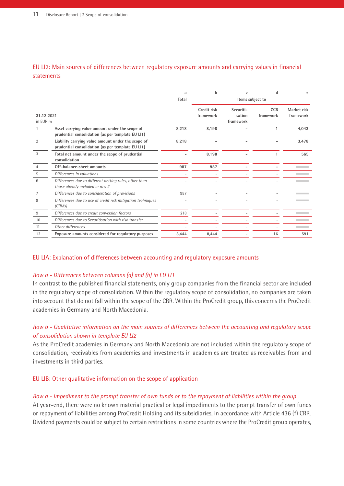### EU LI2: Main sources of differences between regulatory exposure amounts and carrying values in financial statements

|                        |                                                                                                         | a     | b                        | c                                | d                       | e                        |
|------------------------|---------------------------------------------------------------------------------------------------------|-------|--------------------------|----------------------------------|-------------------------|--------------------------|
|                        |                                                                                                         | Total |                          | Items subject to                 |                         |                          |
| 31.12.2021<br>in EUR m |                                                                                                         |       | Credit risk<br>framework | Securiti-<br>sation<br>framework | <b>CCR</b><br>framework | Market risk<br>framework |
|                        | Asset carrying value amount under the scope of<br>prudential consolidation (as per template EU LI1)     | 8,218 | 8,198                    |                                  |                         | 4,043                    |
| $\overline{2}$         | Liability carrying value amount under the scope of<br>prudential consolidation (as per template EU LI1) | 8,218 |                          |                                  |                         | 3,478                    |
| 3                      | Total net amount under the scope of prudential<br>consolidation                                         |       | 8.198                    |                                  |                         | 565                      |
| 4                      | Off-balance-sheet amounts                                                                               | 987   | 987                      |                                  |                         |                          |
| 5                      | Differences in valuations                                                                               |       |                          |                                  |                         |                          |
| 6                      | Differences due to different netting rules, other than<br>those already included in row 2               |       |                          |                                  |                         |                          |
| 7                      | Differences due to consideration of provisions                                                          | 987   |                          |                                  |                         |                          |
| 8                      | Differences due to use of credit risk mitigation techniques<br>(CRMs)                                   |       |                          |                                  |                         |                          |
| 9                      | Differences due to credit conversion factors                                                            | 218   |                          |                                  |                         |                          |
| 10                     | Differences due to Securitisation with risk transfer                                                    |       |                          |                                  |                         |                          |
| 11                     | Other differences                                                                                       |       |                          |                                  |                         |                          |
| 12                     | Exposure amounts considered for regulatory purposes                                                     | 8.444 | 8,444                    |                                  | 16                      | 591                      |
|                        |                                                                                                         |       |                          |                                  |                         |                          |

#### EU LIA: Explanation of differences between accounting and regulatory exposure amounts

#### *Row a - Differences between columns (a) and (b) in EU LI1*

In contrast to the published financial statements, only group companies from the financial sector are included in the regulatory scope of consolidation. Within the regulatory scope of consolidation, no companies are taken into account that do not fall within the scope of the CRR. Within the ProCredit group, this concerns the ProCredit academies in Germany and North Macedonia.

### *Row b - Qualitative information on the main sources of differences between the accounting and regulatory scope of consolidation shown in template EU LI2*

As the ProCredit academies in Germany and North Macedonia are not included within the regulatory scope of consolidation, receivables from academies and investments in academies are treated as receivables from and investments in third parties.

#### EU LIB: Other qualitative information on the scope of application

#### *Row a - Impediment to the prompt transfer of own funds or to the repayment of liabilities within the group*

At year-end, there were no known material practical or legal impediments to the prompt transfer of own funds or repayment of liabilities among ProCredit Holding and its subsidiaries, in accordance with Article 436 (f) CRR. Dividend payments could be subject to certain restrictions in some countries where the ProCredit group operates,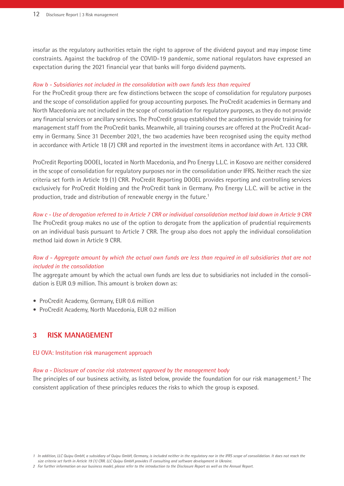<span id="page-11-0"></span>insofar as the regulatory authorities retain the right to approve of the dividend payout and may impose time constraints. Against the backdrop of the COVID-19 pandemic, some national regulators have expressed an expectation during the 2021 financial year that banks will forgo dividend payments.

#### *Row b - Subsidiaries not included in the consolidation with own funds less than required*

For the ProCredit group there are few distinctions between the scope of consolidation for regulatory purposes and the scope of consolidation applied for group accounting purposes. The ProCredit academies in Germany and North Macedonia are not included in the scope of consolidation for regulatory purposes, as they do not provide any financial services or ancillary services. The ProCredit group established the academies to provide training for management staff from the ProCredit banks. Meanwhile, all training courses are offered at the ProCredit Academy in Germany. Since 31 December 2021, the two academies have been recognised using the equity method in accordance with Article 18 (7) CRR and reported in the investment items in accordance with Art. 133 CRR.

ProCredit Reporting DOOEL, located in North Macedonia, and Pro Energy L.L.C. in Kosovo are neither considered in the scope of consolidation for regulatory purposes nor in the consolidation under IFRS. Neither reach the size criteria set forth in Article 19 (1) CRR. ProCredit Reporting DOOEL provides reporting and controlling services exclusively for ProCredit Holding and the ProCredit bank in Germany. Pro Energy L.L.C. will be active in the production, trade and distribution of renewable energy in the future.<sup>1</sup>

*Row c - Use of derogation referred to in Article 7 CRR or individual consolidation method laid down in Article 9 CRR* The ProCredit group makes no use of the option to derogate from the application of prudential requirements on an individual basis pursuant to Article 7 CRR. The group also does not apply the individual consolidation method laid down in Article 9 CRR.

### *Row d - Aggregate amount by which the actual own funds are less than required in all subsidiaries that are not included in the consolidation*

The aggregate amount by which the actual own funds are less due to subsidiaries not included in the consolidation is EUR 0.9 million. This amount is broken down as:

- **•** ProCredit Academy, Germany, EUR 0.6 million
- **•** ProCredit Academy, North Macedonia, EUR 0.2 million

### **3 [RISK MANAGEMENT](#page-2-0)**

#### EU OVA: Institution risk management approach

#### *Row a - Disclosure of concise risk statement approved by the management body*

The principles of our business activity, as listed below, provide the foundation for our risk management.<sup>2</sup> The consistent application of these principles reduces the risks to which the group is exposed.

1 In addition, LLC Quipu GmbH, a subsidiary of Quipu GmbH, Germany, is included neither in the regulatory nor in the IFRS scope of consolidation. It does not reach the *size criteria set forth in Article 19 (1) CRR. LLC Quipu GmbH provides IT consulting and software development in Ukraine.*

*2 For further information on our business model, please refer to the introduction to the Disclosure Report as well as the Annual Report.*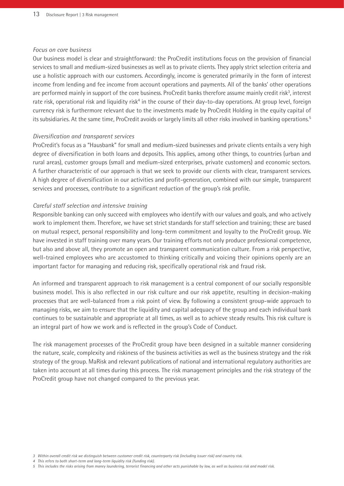#### *Focus on core business*

Our business model is clear and straightforward: the ProCredit institutions focus on the provision of financial services to small and medium-sized businesses as well as to private clients. They apply strict selection criteria and use a holistic approach with our customers. Accordingly, income is generated primarily in the form of interest income from lending and fee income from account operations and payments. All of the banks' other operations are performed mainly in support of the core business. ProCredit banks therefore assume mainly credit risk<sup>3</sup>, interest rate risk, operational risk and liquidity risk<sup>4</sup> in the course of their day-to-day operations. At group level, foreign currency risk is furthermore relevant due to the investments made by ProCredit Holding in the equity capital of its subsidiaries. At the same time, ProCredit avoids or largely limits all other risks involved in banking operations.<sup>5</sup>

#### *Diversification and transparent services*

ProCredit's focus as a "Hausbank" for small and medium-sized businesses and private clients entails a very high degree of diversification in both loans and deposits. This applies, among other things, to countries (urban and rural areas), customer groups (small and medium-sized enterprises, private customers) and economic sectors. A further characteristic of our approach is that we seek to provide our clients with clear, transparent services. A high degree of diversification in our activities and profit-generation, combined with our simple, transparent services and processes, contribute to a significant reduction of the group's risk profile.

#### *Careful staff selection and intensive training*

Responsible banking can only succeed with employees who identify with our values and goals, and who actively work to implement them. Therefore, we have set strict standards for staff selection and training; these are based on mutual respect, personal responsibility and long-term commitment and loyalty to the ProCredit group. We have invested in staff training over many years. Our training efforts not only produce professional competence, but also and above all, they promote an open and transparent communication culture. From a risk perspective, well-trained employees who are accustomed to thinking critically and voicing their opinions openly are an important factor for managing and reducing risk, specifically operational risk and fraud risk.

An informed and transparent approach to risk management is a central component of our socially responsible business model. This is also reflected in our risk culture and our risk appetite, resulting in decision-making processes that are well-balanced from a risk point of view. By following a consistent group-wide approach to managing risks, we aim to ensure that the liquidity and capital adequacy of the group and each individual bank continues to be sustainable and appropriate at all times, as well as to achieve steady results. This risk culture is an integral part of how we work and is reflected in the group's Code of Conduct.

The risk management processes of the ProCredit group have been designed in a suitable manner considering the nature, scale, complexity and riskiness of the business activities as well as the business strategy and the risk strategy of the group. MaRisk and relevant publications of national and international regulatory authorities are taken into account at all times during this process. The risk management principles and the risk strategy of the ProCredit group have not changed compared to the previous year.

*3 Within overall credit risk we distinguish between customer credit risk, counterparty risk (including issuer risk) and country risk.*

- *4 This refers to both short-term and long-term liquidity risk (funding risk).*
- *5 This includes the risks arising from money laundering, terrorist financing and other acts punishable by law, as well as business risk and model risk.*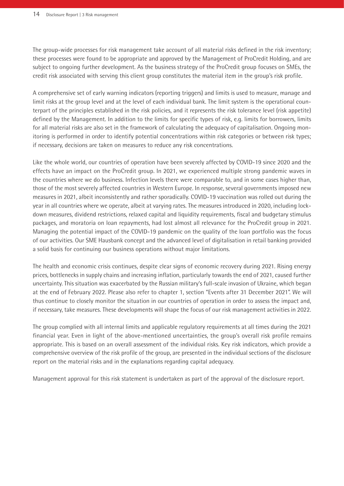The group-wide processes for risk management take account of all material risks defined in the risk inventory; these processes were found to be appropriate and approved by the Management of ProCredit Holding, and are subject to ongoing further development. As the business strategy of the ProCredit group focuses on SMEs, the credit risk associated with serving this client group constitutes the material item in the group's risk profile.

A comprehensive set of early warning indicators (reporting triggers) and limits is used to measure, manage and limit risks at the group level and at the level of each individual bank. The limit system is the operational counterpart of the principles established in the risk policies, and it represents the risk tolerance level (risk appetite) defined by the Management. In addition to the limits for specific types of risk, e.g. limits for borrowers, limits for all material risks are also set in the framework of calculating the adequacy of capitalisation. Ongoing monitoring is performed in order to identify potential concentrations within risk categories or between risk types; if necessary, decisions are taken on measures to reduce any risk concentrations.

Like the whole world, our countries of operation have been severely affected by COVID-19 since 2020 and the effects have an impact on the ProCredit group. In 2021, we experienced multiple strong pandemic waves in the countries where we do business. Infection levels there were comparable to, and in some cases higher than, those of the most severely affected countries in Western Europe. In response, several governments imposed new measures in 2021, albeit inconsistently and rather sporadically. COVID-19 vaccination was rolled out during the year in all countries where we operate, albeit at varying rates. The measures introduced in 2020, including lockdown measures, dividend restrictions, relaxed capital and liquidity requirements, fiscal and budgetary stimulus packages, and moratoria on loan repayments, had lost almost all relevance for the ProCredit group in 2021. Managing the potential impact of the COVID-19 pandemic on the quality of the loan portfolio was the focus of our activities. Our SME Hausbank concept and the advanced level of digitalisation in retail banking provided a solid basis for continuing our business operations without major limitations.

The health and economic crisis continues, despite clear signs of economic recovery during 2021. Rising energy prices, bottlenecks in supply chains and increasing inflation, particularly towards the end of 2021, caused further uncertainty. This situation was exacerbated by the Russian military's full-scale invasion of Ukraine, which began at the end of February 2022. Please also refer to chapter 1, section "Events after 31 December 2021". We will thus continue to closely monitor the situation in our countries of operation in order to assess the impact and, if necessary, take measures. These developments will shape the focus of our risk management activities in 2022.

The group complied with all internal limits and applicable regulatory requirements at all times during the 2021 financial year. Even in light of the above-mentioned uncertainties, the group's overall risk profile remains appropriate. This is based on an overall assessment of the individual risks. Key risk indicators, which provide a comprehensive overview of the risk profile of the group, are presented in the individual sections of the disclosure report on the material risks and in the explanations regarding capital adequacy.

Management approval for this risk statement is undertaken as part of the approval of the disclosure report.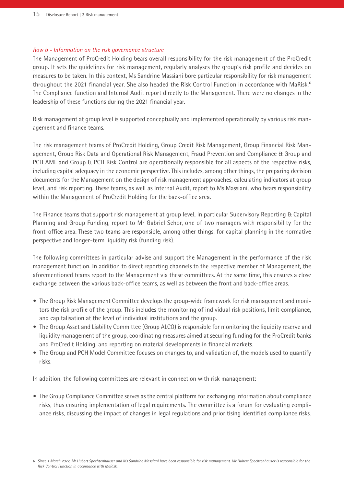#### *Row b - Information on the risk governance structure*

The Management of ProCredit Holding bears overall responsibility for the risk management of the ProCredit group. It sets the guidelines for risk management, regularly analyses the group's risk profile and decides on measures to be taken. In this context, Ms Sandrine Massiani bore particular responsibility for risk management throughout the 2021 financial year. She also headed the Risk Control Function in accordance with MaRisk.<sup>6</sup> The Compliance function and Internal Audit report directly to the Management. There were no changes in the leadership of these functions during the 2021 financial year.

Risk management at group level is supported conceptually and implemented operationally by various risk management and finance teams.

The risk management teams of ProCredit Holding, Group Credit Risk Management, Group Financial Risk Management, Group Risk Data and Operational Risk Management, Fraud Prevention and Compliance & Group and PCH AML and Group & PCH Risk Control are operationally responsible for all aspects of the respective risks, including capital adequacy in the economic perspective. This includes, among other things, the preparing decision documents for the Management on the design of risk management approaches, calculating indicators at group level, and risk reporting. These teams, as well as Internal Audit, report to Ms Massiani, who bears responsibility within the Management of ProCredit Holding for the back-office area.

The Finance teams that support risk management at group level, in particular Supervisory Reporting & Capital Planning and Group Funding, report to Mr Gabriel Schor, one of two managers with responsibility for the front-office area. These two teams are responsible, among other things, for capital planning in the normative perspective and longer-term liquidity risk (funding risk).

The following committees in particular advise and support the Management in the performance of the risk management function. In addition to direct reporting channels to the respective member of Management, the aforementioned teams report to the Management via these committees. At the same time, this ensures a close exchange between the various back-office teams, as well as between the front and back-office areas.

- **•** The Group Risk Management Committee develops the group-wide framework for risk management and monitors the risk profile of the group. This includes the monitoring of individual risk positions, limit compliance, and capitalisation at the level of individual institutions and the group.
- **•** The Group Asset and Liability Committee (Group ALCO) is responsible for monitoring the liquidity reserve and liquidity management of the group, coordinating measures aimed at securing funding for the ProCredit banks and ProCredit Holding, and reporting on material developments in financial markets.
- **•** The Group and PCH Model Committee focuses on changes to, and validation of, the models used to quantify risks.

In addition, the following committees are relevant in connection with risk management:

**•** The Group Compliance Committee serves as the central platform for exchanging information about compliance risks, thus ensuring implementation of legal requirements. The committee is a forum for evaluating compliance risks, discussing the impact of changes in legal regulations and prioritising identified compliance risks.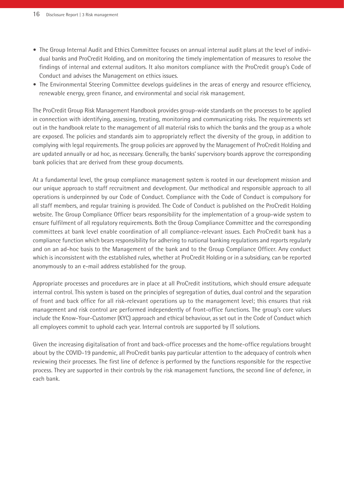- **•** The Group Internal Audit and Ethics Committee focuses on annual internal audit plans at the level of individual banks and ProCredit Holding, and on monitoring the timely implementation of measures to resolve the findings of internal and external auditors. It also monitors compliance with the ProCredit group's Code of Conduct and advises the Management on ethics issues.
- **•** The Environmental Steering Committee develops guidelines in the areas of energy and resource efficiency, renewable energy, green finance, and environmental and social risk management.

The ProCredit Group Risk Management Handbook provides group-wide standards on the processes to be applied in connection with identifying, assessing, treating, monitoring and communicating risks. The requirements set out in the handbook relate to the management of all material risks to which the banks and the group as a whole are exposed. The policies and standards aim to appropriately reflect the diversity of the group, in addition to complying with legal requirements. The group policies are approved by the Management of ProCredit Holding and are updated annually or ad hoc, as necessary. Generally, the banks' supervisory boards approve the corresponding bank policies that are derived from these group documents.

At a fundamental level, the group compliance management system is rooted in our development mission and our unique approach to staff recruitment and development. Our methodical and responsible approach to all operations is underpinned by our Code of Conduct. Compliance with the Code of Conduct is compulsory for all staff members, and regular training is provided. The Code of Conduct is published on the ProCredit Holding website. The Group Compliance Officer bears responsibility for the implementation of a group-wide system to ensure fulfilment of all regulatory requirements. Both the Group Compliance Committee and the corresponding committees at bank level enable coordination of all compliance-relevant issues. Each ProCredit bank has a compliance function which bears responsibility for adhering to national banking regulations and reports regularly and on an ad-hoc basis to the Management of the bank and to the Group Compliance Officer. Any conduct which is inconsistent with the established rules, whether at ProCredit Holding or in a subsidiary, can be reported anonymously to an e-mail address established for the group.

Appropriate processes and procedures are in place at all ProCredit institutions, which should ensure adequate internal control. This system is based on the principles of segregation of duties, dual control and the separation of front and back office for all risk-relevant operations up to the management level; this ensures that risk management and risk control are performed independently of front-office functions. The group's core values include the Know-Your-Customer (KYC) approach and ethical behaviour, as set out in the Code of Conduct which all employees commit to uphold each year. Internal controls are supported by IT solutions.

Given the increasing digitalisation of front and back-office processes and the home-office regulations brought about by the COVID-19 pandemic, all ProCredit banks pay particular attention to the adequacy of controls when reviewing their processes. The first line of defence is performed by the functions responsible for the respective process. They are supported in their controls by the risk management functions, the second line of defence, in each bank.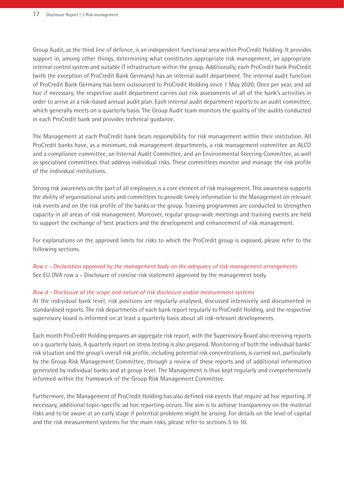Group Audit, as the third line of defence, is an independent functional area within ProCredit Holding. It provides support in, among other things, determining what constitutes appropriate risk management, an appropriate internal control system and suitable IT infrastructure within the group. Additionally, each ProCredit bank ProCredit (with the exception of ProCredit Bank Germany) has an internal audit department. The internal audit function of ProCredit Bank Germany has been outsourced to ProCredit Holding since 1 May 2020. Once per year, and ad hoc if necessary, the respective audit department carries out risk assessments of all of the bank's activities in order to arrive at a risk-based annual audit plan. Each internal audit department reports to an audit committee, which generally meets on a quarterly basis. The Group Audit team monitors the quality of the audits conducted in each ProCredit bank and provides technical guidance.

The Management at each ProCredit bank bears responsibility for risk management within their institution. All ProCredit banks have, as a minimum, risk management departments, a risk management committee an ALCO and a compliance committee, an Internal Audit Committee, and an Environmental Steering Committee, as well as specialised committees that address individual risks. These committees monitor and manage the risk profile of the individual institutions.

Strong risk awareness on the part of all employees is a core element of risk management. This awareness supports the ability of organisational units and committees to provide timely information to the Management on relevant risk events and on the risk profile of the banks or the group. Training programmes are conducted to strengthen capacity in all areas of risk management. Moreover, regular group-wide meetings and training events are held to support the exchange of best practices and the development and enhancement of risk management.

For explanations on the approved limits for risks to which the ProCredit group is exposed, please refer to the following sections.

*Row c - Declaration approved by the management body on the adequacy of risk management arrangements* See EU OVA row a - Disclosure of concise risk statement approved by the management body.

#### *Row d - Disclosure of the scope and nature of risk disclosure and/or measurement systems*

At the individual bank level, risk positions are regularly analysed, discussed intensively and documented in standardised reports. The risk departments of each bank report regularly to ProCredit Holding, and the respective supervisory board is informed on at least a quarterly basis about all risk-relevant developments.

Each month ProCredit Holding prepares an aggregate risk report, with the Supervisory Board also receiving reports on a quarterly basis. A quarterly report on stress testing is also prepared. Monitoring of both the individual banks' risk situation and the group's overall risk profile, including potential risk concentrations, is carried out, particularly by the Group Risk Management Committee, through a review of these reports and of additional information generated by individual banks and at group level. The Management is thus kept regularly and comprehensively informed within the framework of the Group Risk Management Committee.

Furthermore, the Management of ProCredit Holding has also defined risk events that require ad hoc reporting. If necessary, additional topic-specific ad hoc reporting occurs. The aim is to achieve transparency on the material risks and to be aware at an early stage if potential problems might be arising. For details on the level of capital and the risk measurement systems for the main risks, please refer to sections 5 to 10.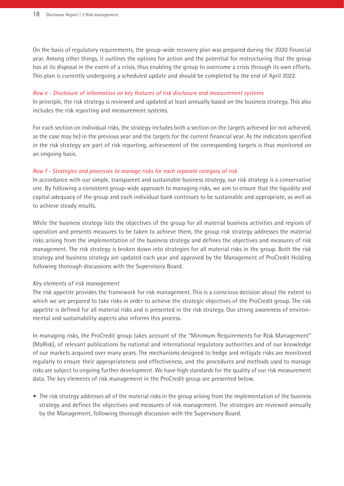On the basis of regulatory requirements, the group-wide recovery plan was prepared during the 2020 financial year. Among other things, it outlines the options for action and the potential for restructuring that the group has at its disposal in the event of a crisis, thus enabling the group to overcome a crisis through its own efforts. This plan is currently undergoing a scheduled update and should be completed by the end of April 2022.

#### *Row e - Disclosure of information on key features of risk disclosure and measurement systems*

In principle, the risk strategy is reviewed and updated at least annually based on the business strategy. This also includes the risk reporting and measurement systems.

For each section on individual risks, the strategy includes both a section on the targets achieved (or not achieved, as the case may be) in the previous year and the targets for the current financial year. As the indicators specified in the risk strategy are part of risk reporting, achievement of the corresponding targets is thus monitored on an ongoing basis.

#### *Row f - Strategies and processes to manage risks for each separate category of risk*

In accordance with our simple, transparent and sustainable business strategy, our risk strategy is a conservative one. By following a consistent group-wide approach to managing risks, we aim to ensure that the liquidity and capital adequacy of the group and each individual bank continues to be sustainable and appropriate, as well as to achieve steady results.

While the business strategy lists the objectives of the group for all material business activities and regions of operation and presents measures to be taken to achieve them, the group risk strategy addresses the material risks arising from the implementation of the business strategy and defines the objectives and measures of risk management. The risk strategy is broken down into strategies for all material risks in the group. Both the risk strategy and business strategy are updated each year and approved by the Management of ProCredit Holding following thorough discussions with the Supervisory Board.

#### *Key elements of risk management*

The risk appetite provides the framework for risk management. This is a conscious decision about the extent to which we are prepared to take risks in order to achieve the strategic objectives of the ProCredit group. The risk appetite is defined for all material risks and is presented in the risk strategy. Our strong awareness of environmental and sustainability aspects also informs this process.

In managing risks, the ProCredit group takes account of the "Minimum Requirements for Risk Management" (MaRisk), of relevant publications by national and international regulatory authorities and of our knowledge of our markets acquired over many years. The mechanisms designed to hedge and mitigate risks are monitored regularly to ensure their appropriateness and effectiveness, and the procedures and methods used to manage risks are subject to ongoing further development. We have high standards for the quality of our risk measurement data. The key elements of risk management in the ProCredit group are presented below.

**•** The risk strategy addresses all of the material risks in the group arising from the implementation of the business strategy and defines the objectives and measures of risk management. The strategies are reviewed annually by the Management, following thorough discussion with the Supervisory Board.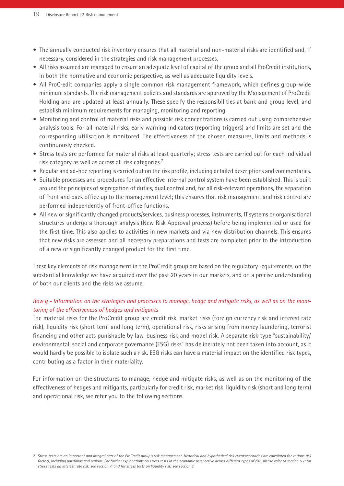- **•** The annually conducted risk inventory ensures that all material and non-material risks are identified and, if necessary, considered in the strategies and risk management processes.
- **•** All risks assumed are managed to ensure an adequate level of capital of the group and all ProCredit institutions, in both the normative and economic perspective, as well as adequate liquidity levels.
- **•** All ProCredit companies apply a single common risk management framework, which defines group-wide minimum standards. The risk management policies and standards are approved by the Management of ProCredit Holding and are updated at least annually. These specify the responsibilities at bank and group level, and establish minimum requirements for managing, monitoring and reporting.
- **•** Monitoring and control of material risks and possible risk concentrations is carried out using comprehensive analysis tools. For all material risks, early warning indicators (reporting triggers) and limits are set and the corresponding utilisation is monitored. The effectiveness of the chosen measures, limits and methods is continuously checked.
- **•** Stress tests are performed for material risks at least quarterly; stress tests are carried out for each individual risk category as well as across all risk categories.<sup>7</sup>
- **•** Regular and ad-hoc reporting is carried out on the risk profile, including detailed descriptions and commentaries.
- **•** Suitable processes and procedures for an effective internal control system have been established. This is built around the principles of segregation of duties, dual control and, for all risk-relevant operations, the separation of front and back office up to the management level; this ensures that risk management and risk control are performed independently of front-office functions.
- **•** All new or significantly changed products/services, business processes, instruments, IT systems or organisational structures undergo a thorough analysis (New Risk Approval process) before being implemented or used for the first time. This also applies to activities in new markets and via new distribution channels. This ensures that new risks are assessed and all necessary preparations and tests are completed prior to the introduction of a new or significantly changed product for the first time.

These key elements of risk management in the ProCredit group are based on the regulatory requirements, on the substantial knowledge we have acquired over the past 20 years in our markets, and on a precise understanding of both our clients and the risks we assume.

### *Row g - Information on the strategies and processes to manage, hedge and mitigate risks, as well as on the monitoring of the effectiveness of hedges and mitigants*

The material risks for the ProCredit group are credit risk, market risks (foreign currency risk and interest rate risk), liquidity risk (short term and long term), operational risk, risks arising from money laundering, terrorist financing and other acts punishable by law, business risk and model risk. A separate risk type "sustainability/ environmental, social and corporate governance (ESG) risks" has deliberately not been taken into account, as it would hardly be possible to isolate such a risk. ESG risks can have a material impact on the identified risk types, contributing as a factor in their materiality.

For information on the structures to manage, hedge and mitigate risks, as well as on the monitoring of the effectiveness of hedges and mitigants, particularly for credit risk, market risk, liquidity risk (short and long term) and operational risk, we refer you to the following sections.

*<sup>7</sup> Stress tests are an important and integral part of the ProCredit group's risk management. Historical and hypothetical risk events/scenarios are calculated for various risk factors, including portfolios and regions. For further explanations on stress tests in the economic perspective across different types of risk, please refer to section 5.7; for stress tests on interest rate risk, see section 7; and for stress tests on liquidity risk, see section 8.*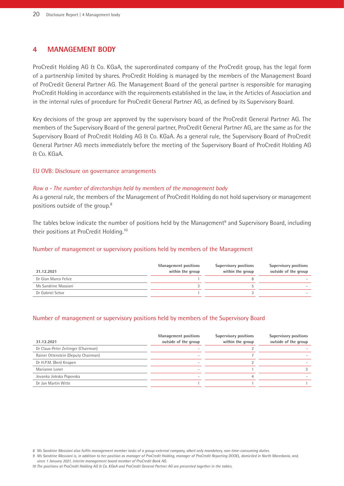### <span id="page-19-0"></span>**4 [MANAGEMENT BODY](#page-2-0)**

ProCredit Holding AG & Co. KGaA, the superordinated company of the ProCredit group, has the legal form of a partnership limited by shares. ProCredit Holding is managed by the members of the Management Board of ProCredit General Partner AG. The Management Board of the general partner is responsible for managing ProCredit Holding in accordance with the requirements established in the law, in the Articles of Association and in the internal rules of procedure for ProCredit General Partner AG, as defined by its Supervisory Board.

Key decisions of the group are approved by the supervisory board of the ProCredit General Partner AG. The members of the Supervisory Board of the general partner, ProCredit General Partner AG, are the same as for the Supervisory Board of ProCredit Holding AG & Co. KGaA. As a general rule, the Supervisory Board of ProCredit General Partner AG meets immediately before the meeting of the Supervisory Board of ProCredit Holding AG & Co. KGaA.

#### EU OVB: Disclosure on governance arrangements

#### *Row a - The number of directorships held by members of the management body*

As a general rule, the members of the Management of ProCredit Holding do not hold supervisory or management positions outside of the group.8

The tables below indicate the number of positions held by the Management<sup>9</sup> and Supervisory Board, including their positions at ProCredit Holding.10

#### Number of management or supervisory positions held by members of the Management

| 31.12.2021           | <b>Management positions</b><br>within the group | <b>Supervisory positions</b><br>within the group | <b>Supervisory positions</b><br>outside of the group |
|----------------------|-------------------------------------------------|--------------------------------------------------|------------------------------------------------------|
| Dr Gian Marco Felice |                                                 |                                                  |                                                      |
| Ms Sandrine Massiani |                                                 |                                                  |                                                      |
| Dr Gabriel Schor     |                                                 |                                                  |                                                      |

#### Number of management or supervisory positions held by members of the Supervisory Board

| 31.12.2021                          | <b>Management positions</b><br>outside of the group | <b>Supervisory positions</b><br>within the group | <b>Supervisory positions</b><br>outside of the group |
|-------------------------------------|-----------------------------------------------------|--------------------------------------------------|------------------------------------------------------|
| Dr Claus-Peter Zeitinger (Chairman) |                                                     |                                                  |                                                      |
| Rainer Ottenstein (Deputy Chairman) |                                                     |                                                  |                                                      |
| Dr H.P.M. (Ben) Knapen              |                                                     |                                                  |                                                      |
| Marianne Loner                      |                                                     |                                                  |                                                      |
| Jovanka Joleska Popovska            | $\sim$                                              |                                                  |                                                      |
| Dr Jan Martin Witte                 |                                                     |                                                  |                                                      |

- *9 Ms Sandrine Massiani is, in addition to her position as manager of ProCredit Holding, manager of ProCredit Reporting DOOEL, domiciled in North Macedonia, and, since 1 January 2021, interim management board member of ProCredit Bank AG.*
- *10 The positions at ProCredit Holding AG & Co. KGaA and ProCredit General Partner AG are presented together in the tables.*

*<sup>8</sup> Ms Sandrine Massiani also fulfils management member tasks of a group-external company, albeit only mandatory, non-time-consuming duties.*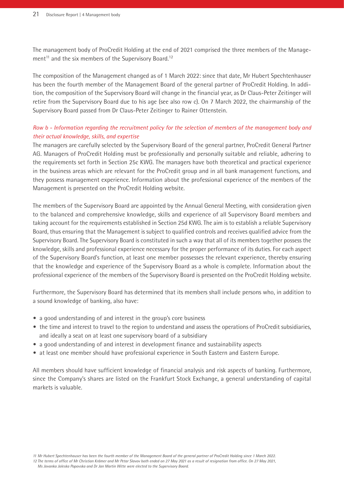The management body of ProCredit Holding at the end of 2021 comprised the three members of the Management<sup>11</sup> and the six members of the Supervisory Board.<sup>12</sup>

The composition of the Management changed as of 1 March 2022: since that date, Mr Hubert Spechtenhauser has been the fourth member of the Management Board of the general partner of ProCredit Holding. In addition, the composition of the Supervisory Board will change in the financial year, as Dr Claus-Peter Zeitinger will retire from the Supervisory Board due to his age (see also row c). On 7 March 2022, the chairmanship of the Supervisory Board passed from Dr Claus-Peter Zeitinger to Rainer Ottenstein.

### *Row b - Information regarding the recruitment policy for the selection of members of the management body and their actual knowledge, skills, and expertise*

The managers are carefully selected by the Supervisory Board of the general partner, ProCredit General Partner AG. Managers of ProCredit Holding must be professionally and personally suitable and reliable, adhering to the requirements set forth in Section 25c KWG. The managers have both theoretical and practical experience in the business areas which are relevant for the ProCredit group and in all bank management functions, and they possess management experience. Information about the professional experience of the members of the Management is presented on the ProCredit Holding website.

The members of the Supervisory Board are appointed by the Annual General Meeting, with consideration given to the balanced and comprehensive knowledge, skills and experience of all Supervisory Board members and taking account for the requirements established in Section 25d KWG. The aim is to establish a reliable Supervisory Board, thus ensuring that the Management is subject to qualified controls and receives qualified advice from the Supervisory Board. The Supervisory Board is constituted in such a way that all of its members together possess the knowledge, skills and professional experience necessary for the proper performance of its duties. For each aspect of the Supervisory Board's function, at least one member possesses the relevant experience, thereby ensuring that the knowledge and experience of the Supervisory Board as a whole is complete. Information about the professional experience of the members of the Supervisory Board is presented on the ProCredit Holding website.

Furthermore, the Supervisory Board has determined that its members shall include persons who, in addition to a sound knowledge of banking, also have:

- **•** a good understanding of and interest in the group's core business
- **•** the time and interest to travel to the region to understand and assess the operations of ProCredit subsidiaries, and ideally a seat on at least one supervisory board of a subsidiary
- **•** a good understanding of and interest in development finance and sustainability aspects
- **•** at least one member should have professional experience in South Eastern and Eastern Europe.

All members should have sufficient knowledge of financial analysis and risk aspects of banking. Furthermore, since the Company's shares are listed on the Frankfurt Stock Exchange, a general understanding of capital markets is valuable.

*11 Mr Hubert Spechtenhauser has been the fourth member of the Management Board of the general partner of ProCredit Holding since 1 March 2022.* 

*12 The terms of office of Mr Christian Krämer and Mr Petar Slavov both ended on 27 May 2021 as a result of resignation from office. On 27 May 2021,* 

*Ms Jovanka Joleska Popovska and Dr Jan Martin Witte were elected to the Supervisory Board.*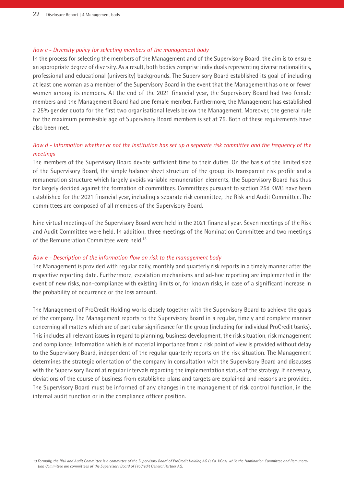#### *Row c - Diversity policy for selecting members of the management body*

In the process for selecting the members of the Management and of the Supervisory Board, the aim is to ensure an appropriate degree of diversity. As a result, both bodies comprise individuals representing diverse nationalities, professional and educational (university) backgrounds. The Supervisory Board established its goal of including at least one woman as a member of the Supervisory Board in the event that the Management has one or fewer women among its members. At the end of the 2021 financial year, the Supervisory Board had two female members and the Management Board had one female member. Furthermore, the Management has established a 25% gender quota for the first two organisational levels below the Management. Moreover, the general rule for the maximum permissible age of Supervisory Board members is set at 75. Both of these requirements have also been met.

### *Row d - Information whether or not the institution has set up a separate risk committee and the frequency of the meetings*

The members of the Supervisory Board devote sufficient time to their duties. On the basis of the limited size of the Supervisory Board, the simple balance sheet structure of the group, its transparent risk profile and a remuneration structure which largely avoids variable remuneration elements, the Supervisory Board has thus far largely decided against the formation of committees. Committees pursuant to section 25d KWG have been established for the 2021 financial year, including a separate risk committee, the Risk and Audit Committee. The committees are composed of all members of the Supervisory Board.

Nine virtual meetings of the Supervisory Board were held in the 2021 financial year. Seven meetings of the Risk and Audit Committee were held. In addition, three meetings of the Nomination Committee and two meetings of the Remuneration Committee were held<sup>13</sup>

#### *Row e - Description of the information flow on risk to the management body*

The Management is provided with regular daily, monthly and quarterly risk reports in a timely manner after the respective reporting date. Furthermore, escalation mechanisms and ad-hoc reporting are implemented in the event of new risks, non-compliance with existing limits or, for known risks, in case of a significant increase in the probability of occurrence or the loss amount.

The Management of ProCredit Holding works closely together with the Supervisory Board to achieve the goals of the company. The Management reports to the Supervisory Board in a regular, timely and complete manner concerning all matters which are of particular significance for the group (including for individual ProCredit banks). This includes all relevant issues in regard to planning, business development, the risk situation, risk management and compliance. Information which is of material importance from a risk point of view is provided without delay to the Supervisory Board, independent of the regular quarterly reports on the risk situation. The Management determines the strategic orientation of the company in consultation with the Supervisory Board and discusses with the Supervisory Board at regular intervals regarding the implementation status of the strategy. If necessary, deviations of the course of business from established plans and targets are explained and reasons are provided. The Supervisory Board must be informed of any changes in the management of risk control function, in the internal audit function or in the compliance officer position.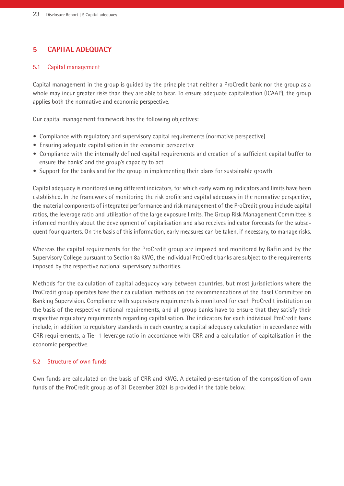# <span id="page-22-0"></span>**5 [CAPITAL ADEQUACY](#page-2-0)**

#### 5.1 [Capital management](#page-2-0)

Capital management in the group is guided by the principle that neither a ProCredit bank nor the group as a whole may incur greater risks than they are able to bear. To ensure adequate capitalisation (ICAAP), the group applies both the normative and economic perspective.

Our capital management framework has the following objectives:

- **•** Compliance with regulatory and supervisory capital requirements (normative perspective)
- **•** Ensuring adequate capitalisation in the economic perspective
- **•** Compliance with the internally defined capital requirements and creation of a sufficient capital buffer to ensure the banks' and the group's capacity to act
- **•** Support for the banks and for the group in implementing their plans for sustainable growth

Capital adequacy is monitored using different indicators, for which early warning indicators and limits have been established. In the framework of monitoring the risk profile and capital adequacy in the normative perspective, the material components of integrated performance and risk management of the ProCredit group include capital ratios, the leverage ratio and utilisation of the large exposure limits. The Group Risk Management Committee is informed monthly about the development of capitalisation and also receives indicator forecasts for the subsequent four quarters. On the basis of this information, early measures can be taken, if necessary, to manage risks.

Whereas the capital requirements for the ProCredit group are imposed and monitored by BaFin and by the Supervisory College pursuant to Section 8a KWG, the individual ProCredit banks are subject to the requirements imposed by the respective national supervisory authorities.

Methods for the calculation of capital adequacy vary between countries, but most jurisdictions where the ProCredit group operates base their calculation methods on the recommendations of the Basel Committee on Banking Supervision. Compliance with supervisory requirements is monitored for each ProCredit institution on the basis of the respective national requirements, and all group banks have to ensure that they satisfy their respective regulatory requirements regarding capitalisation. The indicators for each individual ProCredit bank include, in addition to regulatory standards in each country, a capital adequacy calculation in accordance with CRR requirements, a Tier 1 leverage ratio in accordance with CRR and a calculation of capitalisation in the economic perspective.

### 5.2 [Structure of own funds](#page-2-0)

Own funds are calculated on the basis of CRR and KWG. A detailed presentation of the composition of own funds of the ProCredit group as of 31 December 2021 is provided in the table below.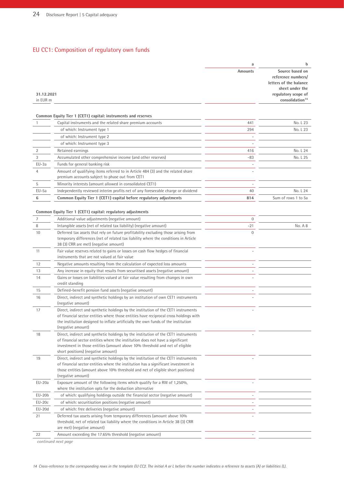# EU CC1: Composition of regulatory own funds

|                        |                                                                                                                                                                                                                                                                                            | a            | $\mathbf b$                                                                                                                              |
|------------------------|--------------------------------------------------------------------------------------------------------------------------------------------------------------------------------------------------------------------------------------------------------------------------------------------|--------------|------------------------------------------------------------------------------------------------------------------------------------------|
| 31.12.2021<br>in EUR m |                                                                                                                                                                                                                                                                                            | Amounts      | Source based on<br>reference numbers/<br>letters of the balance<br>sheet under the<br>regulatory scope of<br>consolidation <sup>14</sup> |
|                        | Common Equity Tier 1 (CET1) capital: instruments and reserves                                                                                                                                                                                                                              |              |                                                                                                                                          |
| 1                      | Capital instruments and the related share premium accounts                                                                                                                                                                                                                                 | 441          | No. L 23                                                                                                                                 |
|                        | of which: Instrument type 1                                                                                                                                                                                                                                                                | 294          | No. L 23                                                                                                                                 |
|                        | of which: Instrument type 2                                                                                                                                                                                                                                                                |              |                                                                                                                                          |
|                        | of which: Instrument type 3                                                                                                                                                                                                                                                                |              |                                                                                                                                          |
| 2                      | Retained earnings                                                                                                                                                                                                                                                                          | 416          | No. L 24                                                                                                                                 |
| 3                      | Accumulated other comprehensive income (and other reserves)                                                                                                                                                                                                                                | -83          | No. L 25                                                                                                                                 |
| EU-3a                  | Funds for general banking risk                                                                                                                                                                                                                                                             |              |                                                                                                                                          |
| 4                      | Amount of qualifying items referred to in Article 484 (3) and the related share<br>premium accounts subject to phase out from CET1                                                                                                                                                         |              |                                                                                                                                          |
| 5                      | Minority interests (amount allowed in consolidated CET1)                                                                                                                                                                                                                                   |              |                                                                                                                                          |
| EU-5a                  | Independently reviewed interim profits net of any foreseeable charge or dividend                                                                                                                                                                                                           | 40           | No. L 24                                                                                                                                 |
| 6                      | Common Equity Tier 1 (CET1) capital before regulatory adjustments                                                                                                                                                                                                                          | 814          | Sum of rows 1 to 5a                                                                                                                      |
| 7                      | Common Equity Tier 1 (CET1) capital: regulatory adjustments<br>Additional value adjustments (negative amount)                                                                                                                                                                              | $\mathbf 0$  |                                                                                                                                          |
| 8                      | Intangible assets (net of related tax liability) (negative amount)                                                                                                                                                                                                                         | $-21$        | No. A 8                                                                                                                                  |
| 10                     | Deferred tax assets that rely on future profitability excluding those arising from                                                                                                                                                                                                         | $\mathbf{0}$ |                                                                                                                                          |
|                        | temporary differences (net of related tax liability where the conditions in Article<br>38 (3) CRR are met) (negative amount)                                                                                                                                                               |              |                                                                                                                                          |
| 11                     | Fair value reserves related to gains or losses on cash flow hedges of financial<br>instruments that are not valued at fair value                                                                                                                                                           |              |                                                                                                                                          |
| 12                     | Negative amounts resulting from the calculation of expected loss amounts                                                                                                                                                                                                                   |              |                                                                                                                                          |
| 13                     | Any increase in equity that results from securitised assets (negative amount)                                                                                                                                                                                                              |              |                                                                                                                                          |
| 14                     | Gains or losses on liabilities valued at fair value resulting from changes in own<br>credit standing                                                                                                                                                                                       |              |                                                                                                                                          |
| 15                     | Defined-benefit pension fund assets (negative amount)                                                                                                                                                                                                                                      |              |                                                                                                                                          |
| 16                     | Direct, indirect and synthetic holdings by an institution of own CET1 instruments<br>(negative amount)                                                                                                                                                                                     |              |                                                                                                                                          |
| 17                     | Direct, indirect and synthetic holdings by the institution of the CET1 instruments<br>of financial sector entities where those entities have reciprocal cross holdings with<br>the institution designed to inflate artificially the own funds of the institution<br>(negative amount)      |              |                                                                                                                                          |
| 18                     | Direct, indirect and synthetic holdings by the institution of the CET1 instruments<br>of financial sector entities where the institution does not have a significant<br>investment in those entities (amount above 10% threshold and net of eligible<br>short positions) (negative amount) |              |                                                                                                                                          |
| 19                     | Direct, indirect and synthetic holdings by the institution of the CET1 instruments<br>of financial sector entities where the institution has a significant investment in<br>those entities (amount above 10% threshold and net of eligible short positions)<br>(negative amount)           |              |                                                                                                                                          |
| EU-20a                 | Exposure amount of the following items which qualify for a RW of 1,250%,<br>where the institution opts for the deduction alternative                                                                                                                                                       |              |                                                                                                                                          |
| $EU-20b$               | of which: qualifying holdings outside the financial sector (negative amount)                                                                                                                                                                                                               |              |                                                                                                                                          |
| $EU-20c$               | of which: securitisation positions (negative amount)                                                                                                                                                                                                                                       |              |                                                                                                                                          |
| $EU-20d$               | of which: free deliveries (negative amount)                                                                                                                                                                                                                                                |              |                                                                                                                                          |
| 21                     | Deferred tax assets arising from temporary differences (amount above 10%<br>threshold, net of related tax liability where the conditions in Article 38 (3) CRR<br>are met) (negative amount)                                                                                               |              |                                                                                                                                          |
| 22                     | Amount exceeding the 17.65% threshold (negative amount)                                                                                                                                                                                                                                    |              |                                                                                                                                          |
|                        |                                                                                                                                                                                                                                                                                            |              |                                                                                                                                          |

 *continued next page*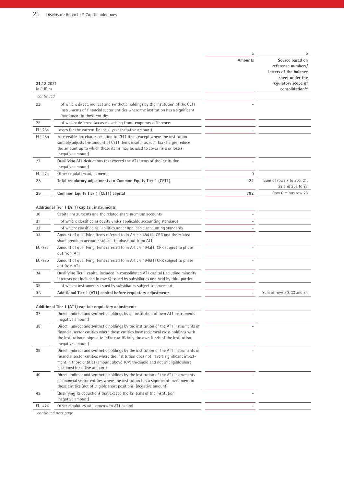|            |                                                                                                                                                                                                                                                                                             | a              | $\mathbf b$                                                                                               |
|------------|---------------------------------------------------------------------------------------------------------------------------------------------------------------------------------------------------------------------------------------------------------------------------------------------|----------------|-----------------------------------------------------------------------------------------------------------|
| 31.12.2021 |                                                                                                                                                                                                                                                                                             | <b>Amounts</b> | Source based on<br>reference numbers/<br>letters of the balance<br>sheet under the<br>requlatory scope of |
| in EUR m   |                                                                                                                                                                                                                                                                                             |                | consolidation <sup>14</sup>                                                                               |
| continued  |                                                                                                                                                                                                                                                                                             |                |                                                                                                           |
| 23         | of which: direct, indirect and synthetic holdings by the institution of the CET1<br>instruments of financial sector entities where the institution has a significant<br>investment in those entities                                                                                        |                |                                                                                                           |
| 25         | of which: deferred tax assets arising from temporary differences                                                                                                                                                                                                                            |                |                                                                                                           |
| EU-25a     | Losses for the current financial year (negative amount)                                                                                                                                                                                                                                     |                |                                                                                                           |
| $EU-25b$   | Foreseeable tax charges relating to CET1 items except where the institution<br>suitably adjusts the amount of CET1 items insofar as such tax charges reduce<br>the amount up to which those items may be used to cover risks or losses<br>(negative amount)                                 |                |                                                                                                           |
| 27         | Qualifying AT1 deductions that exceed the AT1 items of the institution<br>(negative amount)                                                                                                                                                                                                 |                |                                                                                                           |
| EU-27a     | Other regulatory adjustments                                                                                                                                                                                                                                                                | 0              |                                                                                                           |
| 28         | Total regulatory adjustments to Common Equity Tier 1 (CET1)                                                                                                                                                                                                                                 | $-22$          | Sum of rows 7 to 20a, 21,<br>22 and 25a to 27                                                             |
| 29         | Common Equity Tier 1 (CET1) capital                                                                                                                                                                                                                                                         | 792            | Row 6 minus row 28                                                                                        |
|            |                                                                                                                                                                                                                                                                                             |                |                                                                                                           |
|            | Additional Tier 1 (AT1) capital: instruments                                                                                                                                                                                                                                                |                |                                                                                                           |
| 30         | Capital instruments and the related share premium accounts                                                                                                                                                                                                                                  |                |                                                                                                           |
| 31         | of which: classified as equity under applicable accounting standards                                                                                                                                                                                                                        |                |                                                                                                           |
| 32         | of which: classified as liabilities under applicable accounting standards                                                                                                                                                                                                                   |                |                                                                                                           |
| 33         | Amount of qualifying items referred to in Article 484 (4) CRR and the related<br>share premium accounts subject to phase out from AT1                                                                                                                                                       |                |                                                                                                           |
| EU-33a     | Amount of qualifying items referred to in Article 494a(1) CRR subject to phase<br>out from AT1                                                                                                                                                                                              |                |                                                                                                           |
| EU-33b     | Amount of qualifying items referred to in Article 494b(1) CRR subject to phase<br>out from AT1                                                                                                                                                                                              |                |                                                                                                           |
| 34         | Qualifying Tier 1 capital included in consolidated AT1 capital (including minority<br>interests not included in row 5) issued by subsidiaries and held by third parties                                                                                                                     |                |                                                                                                           |
| 35         | of which: instruments issued by subsidiaries subject to phase out                                                                                                                                                                                                                           |                |                                                                                                           |
| 36         | Additional Tier 1 (AT1) capital before regulatory adjustments                                                                                                                                                                                                                               |                | Sum of rows 30, 33 and 34                                                                                 |
|            | Additional Tier 1 (AT1) capital: regulatory adjustments                                                                                                                                                                                                                                     |                |                                                                                                           |
| 37         | Direct, indirect and synthetic holdings by an institution of own AT1 instruments<br>(negative amount)                                                                                                                                                                                       |                |                                                                                                           |
| 38         | Direct, indirect and synthetic holdings by the institution of the AT1 instruments of<br>financial sector entities where those entities have reciprocal cross holdings with<br>the institution designed to inflate artificially the own funds of the institution<br>(negative amount)        |                |                                                                                                           |
| 39         | Direct, indirect and synthetic holdings by the institution of the AT1 instruments of<br>financial sector entities where the institution does not have a significant invest-<br>ment in those entities (amount above 10% threshold and net of eligible short<br>positions) (negative amount) |                |                                                                                                           |
| 40         | Direct, indirect and synthetic holdings by the institution of the AT1 instruments<br>of financial sector entities where the institution has a significant investment in<br>those entities (net of eligible short positions) (negative amount)                                               |                |                                                                                                           |
| 42         | Qualifying T2 deductions that exceed the T2 items of the institution<br>(negative amount)                                                                                                                                                                                                   |                |                                                                                                           |
| EU-42a     | Other regulatory adjustments to AT1 capital                                                                                                                                                                                                                                                 |                |                                                                                                           |
|            | continued next page                                                                                                                                                                                                                                                                         |                |                                                                                                           |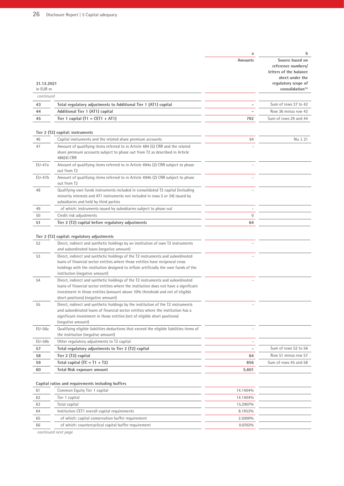|                        |                                                                                                                                                                                                                                                                                              | a                  | $\mathbf b$                                                                                                                              |
|------------------------|----------------------------------------------------------------------------------------------------------------------------------------------------------------------------------------------------------------------------------------------------------------------------------------------|--------------------|------------------------------------------------------------------------------------------------------------------------------------------|
| 31.12.2021<br>in EUR m |                                                                                                                                                                                                                                                                                              | Amounts            | Source based on<br>reference numbers/<br>letters of the balance<br>sheet under the<br>regulatory scope of<br>consolidation <sup>14</sup> |
| continued              |                                                                                                                                                                                                                                                                                              |                    |                                                                                                                                          |
| 43                     | Total regulatory adjustments to Additional Tier 1 (AT1) capital                                                                                                                                                                                                                              |                    | Sum of rows 37 to 42                                                                                                                     |
| 44                     | Additional Tier 1 (AT1) capital                                                                                                                                                                                                                                                              |                    | Row 36 minus row 43                                                                                                                      |
| 45                     | Tier 1 capital $(T1 = CET1 + AT1)$                                                                                                                                                                                                                                                           | 792                | Sum of rows 29 and 44                                                                                                                    |
|                        | Tier 2 (T2) capital: instruments                                                                                                                                                                                                                                                             |                    |                                                                                                                                          |
| 46                     | Capital instruments and the related share premium accounts                                                                                                                                                                                                                                   | 64                 | No. L 21                                                                                                                                 |
| 47                     | Amount of qualifying items referred to in Article 484 (5) CRR and the related<br>share premium accounts subject to phase out from T2 as described in Article<br>486(4) CRR                                                                                                                   |                    |                                                                                                                                          |
| EU-47a                 | Amount of qualifying items referred to in Article 494a (2) CRR subject to phase<br>out from T2                                                                                                                                                                                               |                    |                                                                                                                                          |
| EU-47b                 | Amount of qualifying items referred to in Article 494b (2) CRR subject to phase<br>out from T2                                                                                                                                                                                               |                    |                                                                                                                                          |
| 48                     | Qualifying own funds instruments included in consolidated T2 capital (including<br>minority interests and AT1 instruments not included in rows 5 or 34) issued by<br>subsidiaries and held by third parties                                                                                  |                    |                                                                                                                                          |
| 49                     | of which: instruments issued by subsidiaries subject to phase out                                                                                                                                                                                                                            |                    |                                                                                                                                          |
| 50                     | Credit risk adjustments                                                                                                                                                                                                                                                                      | $\mathbf{0}$       |                                                                                                                                          |
| 51                     | Tier 2 (T2) capital before regulatory adjustments                                                                                                                                                                                                                                            | 64                 |                                                                                                                                          |
|                        | Tier 2 (T2) capital: regulatory adjustments                                                                                                                                                                                                                                                  |                    |                                                                                                                                          |
| 52                     | Direct, indirect and synthetic holdings by an institution of own T2 instruments<br>and subordinated loans (negative amount)                                                                                                                                                                  |                    |                                                                                                                                          |
| 53                     | Direct, indirect and synthetic holdings of the T2 instruments and subordinated<br>loans of financial sector entities where those entities have reciprocal cross<br>holdings with the institution designed to inflate artificially the own funds of the<br>institution (negative amount)      |                    |                                                                                                                                          |
| 54                     | Direct, indirect and synthetic holdings of the T2 instruments and subordinated<br>loans of financial sector entities where the institution does not have a significant<br>investment in those entities (amount above 10% threshold and net of eligible<br>short positions) (negative amount) |                    |                                                                                                                                          |
| 55                     | Direct, indirect and synthetic holdings by the institution of the T2 instruments<br>and subordinated loans of financial sector entities where the institution has a<br>significant investment in those entities (net of eligible short positions)<br>(negative amount)                       |                    |                                                                                                                                          |
| EU-56a                 | Qualifying eligible liabilities deductions that exceed the eligible liabilities items of<br>the institution (negative amount)                                                                                                                                                                |                    |                                                                                                                                          |
| EU-56b                 | Other regulatory adjustments to T2 capital                                                                                                                                                                                                                                                   |                    |                                                                                                                                          |
| 57                     | Total regulatory adjustments to Tier 2 (T2) capital                                                                                                                                                                                                                                          | ÷                  | Sum of rows 52 to 56                                                                                                                     |
| 58                     | Tier 2 (T2) capital                                                                                                                                                                                                                                                                          | 64                 | Row 51 minus row 57                                                                                                                      |
| 59                     | Total capital $(TC = T1 + T2)$                                                                                                                                                                                                                                                               | 856                | Sum of rows 45 and 58                                                                                                                    |
| 60                     | Total Risk exposure amount                                                                                                                                                                                                                                                                   | 5,601              |                                                                                                                                          |
|                        |                                                                                                                                                                                                                                                                                              |                    |                                                                                                                                          |
|                        | Capital ratios and requirements including buffers                                                                                                                                                                                                                                            |                    |                                                                                                                                          |
| 61                     | Common Equity Tier 1 capital                                                                                                                                                                                                                                                                 | 14.1404%           |                                                                                                                                          |
| 62                     | Tier 1 capital                                                                                                                                                                                                                                                                               | 14.1404%           |                                                                                                                                          |
| 63<br>64               | Total capital<br>Institution CET1 overall capital requirements                                                                                                                                                                                                                               | 15.2907%           |                                                                                                                                          |
| 65                     | of which: capital conservation buffer requirement                                                                                                                                                                                                                                            | 8.1952%<br>2.5000% |                                                                                                                                          |
|                        |                                                                                                                                                                                                                                                                                              |                    |                                                                                                                                          |

66 of which: countercyclical capital buffer requirement 0.0702%  *continued next page*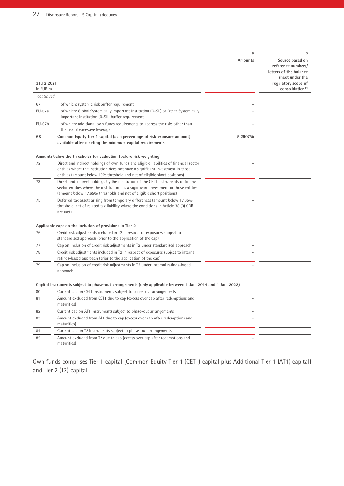|            |                                                                                                                                                                                                                                                       | a              | $\mathbf b$                                                                        |
|------------|-------------------------------------------------------------------------------------------------------------------------------------------------------------------------------------------------------------------------------------------------------|----------------|------------------------------------------------------------------------------------|
|            |                                                                                                                                                                                                                                                       | <b>Amounts</b> | Source based on<br>reference numbers/<br>letters of the balance<br>sheet under the |
| 31.12.2021 |                                                                                                                                                                                                                                                       |                | regulatory scope of                                                                |
| in EUR m   |                                                                                                                                                                                                                                                       |                | consolidation <sup>14</sup>                                                        |
| continued  |                                                                                                                                                                                                                                                       |                |                                                                                    |
| 67         | of which: systemic risk buffer requirement                                                                                                                                                                                                            |                |                                                                                    |
| EU-67a     | of which: Global Systemically Important Institution (G-SII) or Other Systemically<br>Important Institution (O-SII) buffer requirement                                                                                                                 |                |                                                                                    |
| EU-67b     | of which: additional own funds requirements to address the risks other than<br>the risk of excessive leverage                                                                                                                                         |                |                                                                                    |
| 68         | Common Equity Tier 1 capital (as a percentage of risk exposure amount)<br>available after meeting the minimum capital requirements                                                                                                                    | 5.2907%        |                                                                                    |
|            | Amounts below the thresholds for deduction (before risk weighting)                                                                                                                                                                                    |                |                                                                                    |
| 72         | Direct and indirect holdings of own funds and eligible liabilities of financial sector<br>entities where the institution does not have a significant investment in those<br>entities (amount below 10% threshold and net of eligible short positions) |                |                                                                                    |
| 73         | Direct and indirect holdings by the institution of the CET1 instruments of financial<br>sector entities where the institution has a significant investment in those entities<br>(amount below 17.65% thresholds and net of eligible short positions)  |                |                                                                                    |
| 75         | Deferred tax assets arising from temporary differences (amount below 17.65%)<br>threshold, net of related tax liability where the conditions in Article 38 (3) CRR<br>are met)                                                                        |                |                                                                                    |
|            | Applicable caps on the inclusion of provisions in Tier 2                                                                                                                                                                                              |                |                                                                                    |
| 76         | Credit risk adjustments included in T2 in respect of exposures subject to<br>standardised approach (prior to the application of the cap)                                                                                                              |                |                                                                                    |
| 77         | Cap on inclusion of credit risk adjustments in T2 under standardised approach                                                                                                                                                                         |                |                                                                                    |
| 78         | Credit risk adjustments included in T2 in respect of exposures subject to internal<br>ratings-based approach (prior to the application of the cap)                                                                                                    |                |                                                                                    |
| 79         | Cap on inclusion of credit risk adjustments in T2 under internal ratings-based<br>approach                                                                                                                                                            |                |                                                                                    |
|            | Capital instruments subject to phase-out arrangements (only applicable between 1 Jan. 2014 and 1 Jan. 2022)                                                                                                                                           |                |                                                                                    |
| 80         | Current cap on CET1 instruments subject to phase-out arrangements                                                                                                                                                                                     |                |                                                                                    |
| 81         | Amount excluded from CET1 due to cap (excess over cap after redemptions and<br>maturities)                                                                                                                                                            |                |                                                                                    |
| 82         | Current cap on AT1 instruments subject to phase-out arrangements                                                                                                                                                                                      |                |                                                                                    |
| 83         | Amount excluded from AT1 due to cap (excess over cap after redemptions and<br>maturities                                                                                                                                                              |                |                                                                                    |
| 84         | Current cap on T2 instruments subject to phase-out arrangements                                                                                                                                                                                       |                |                                                                                    |
| 85         | Amount excluded from T2 due to cap (excess over cap after redemptions and<br>maturities)                                                                                                                                                              |                |                                                                                    |

Own funds comprises Tier 1 capital (Common Equity Tier 1 (CET1) capital plus Additional Tier 1 (AT1) capital) and Tier 2 (T2) capital.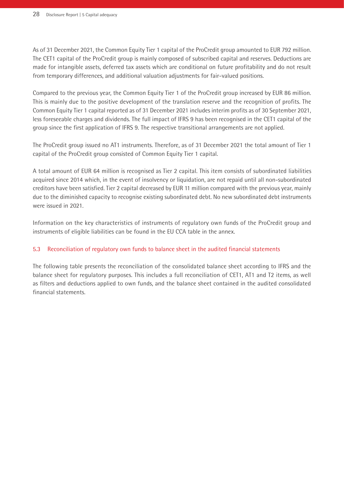<span id="page-27-0"></span>As of 31 December 2021, the Common Equity Tier 1 capital of the ProCredit group amounted to EUR 792 million. The CET1 capital of the ProCredit group is mainly composed of subscribed capital and reserves. Deductions are made for intangible assets, deferred tax assets which are conditional on future profitability and do not result from temporary differences, and additional valuation adjustments for fair-valued positions.

Compared to the previous year, the Common Equity Tier 1 of the ProCredit group increased by EUR 86 million. This is mainly due to the positive development of the translation reserve and the recognition of profits. The Common Equity Tier 1 capital reported as of 31 December 2021 includes interim profits as of 30 September 2021, less foreseeable charges and dividends. The full impact of IFRS 9 has been recognised in the CET1 capital of the group since the first application of IFRS 9. The respective transitional arrangements are not applied.

The ProCredit group issued no AT1 instruments. Therefore, as of 31 December 2021 the total amount of Tier 1 capital of the ProCredit group consisted of Common Equity Tier 1 capital.

A total amount of EUR 64 million is recognised as Tier 2 capital. This item consists of subordinated liabilities acquired since 2014 which, in the event of insolvency or liquidation, are not repaid until all non-subordinated creditors have been satisfied. Tier 2 capital decreased by EUR 11 million compared with the previous year, mainly due to the diminished capacity to recognise existing subordinated debt. No new subordinated debt instruments were issued in 2021.

Information on the key characteristics of instruments of regulatory own funds of the ProCredit group and instruments of eligible liabilities can be found in the EU CCA table in the annex.

### 5.3 [Reconciliation of regulatory own funds to balance sheet in the audited financial statements](#page-2-0)

The following table presents the reconciliation of the consolidated balance sheet according to IFRS and the balance sheet for regulatory purposes. This includes a full reconciliation of CET1, AT1 and T2 items, as well as filters and deductions applied to own funds, and the balance sheet contained in the audited consolidated financial statements.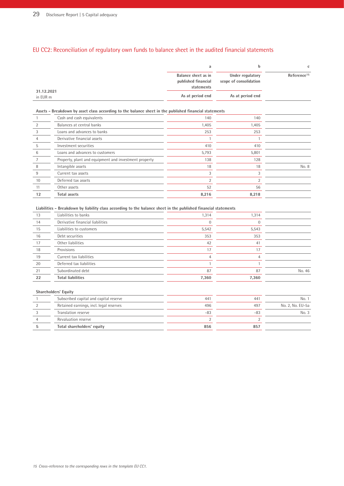### EU CC2: Reconciliation of regulatory own funds to balance sheet in the audited financial statements

|                        | a                                                        |                                            |                         |
|------------------------|----------------------------------------------------------|--------------------------------------------|-------------------------|
|                        | Balance sheet as in<br>published financial<br>statements | Under regulatory<br>scope of consolidation | Reference <sup>15</sup> |
| 31.12.2021<br>in EUR m | As at period end                                         | As at period end                           |                         |

#### **Assets - Breakdown by asset class according to the balance sheet in the published financial statements**

|    | Cash and cash equivalents                             | 140   | 140   |       |
|----|-------------------------------------------------------|-------|-------|-------|
|    | Balances at central banks                             | 1,405 | 1,405 |       |
| 3  | Loans and advances to banks                           | 253   | 253   |       |
|    | Derivative financial assets                           |       |       |       |
| b. | Investment securities                                 | 410   | 410   |       |
| b  | Loans and advances to customers                       | 5,793 | 5,801 |       |
|    | Property, plant and equipment and investment property | 138   | 128   |       |
| 8  | Intangible assets                                     | 18    | 18    | No. 8 |
| g  | Current tax assets                                    | 3     |       |       |
| 10 | Deferred tax assets                                   |       |       |       |
|    | Other assets                                          | 52    | 56    |       |
| 12 | <b>Total assets</b>                                   | 8,216 | 8,218 |       |
|    |                                                       |       |       |       |

#### **Liabilities - Breakdown by liability class according to the balance sheet in the published financial statements**

| 13 | Liabilities to banks                    | 1,314          | 1,314          |                  |
|----|-----------------------------------------|----------------|----------------|------------------|
| 14 | Derivative financial liabilities        | $\mathbf{0}$   | $\mathbf{0}$   |                  |
| 15 | Liabilities to customers                | 5,542          | 5,543          |                  |
| 16 | Debt securities                         | 353            | 353            |                  |
| 17 | Other liabilities                       | 42             | 41             |                  |
| 18 | Provisions                              | 17             | 17             |                  |
| 19 | Current tax liabilities                 | 4              | 4              |                  |
| 20 | Deferred tax liabilities                |                |                |                  |
| 21 | Subordinated debt                       | 87             | 87             | No. 46           |
| 22 | <b>Total liabilities</b>                | 7,360          | 7,360          |                  |
|    | <b>Shareholders' Equity</b>             |                |                |                  |
|    | Subscribed capital and capital reserve  | 441            | 441            | No. 1            |
| 2  | Retained earnings, incl. legal reserves | 496            | 497            | No. 2, No. EU-5a |
| 3  | Translation reserve                     | $-83$          | $-83$          | No.3             |
| 4  | Revaluation reserve                     | $\overline{2}$ | $\overline{2}$ |                  |
| 5  | Total shareholders' equity              | 856            | 857            |                  |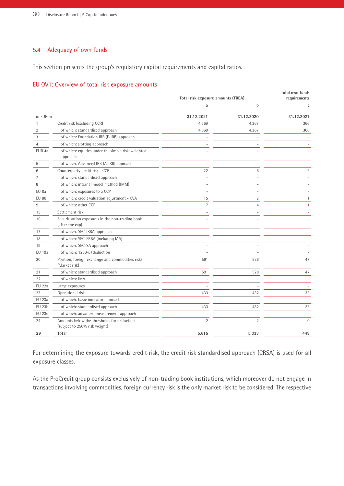### <span id="page-29-0"></span>5.4 [Adequacy of own funds](#page-2-0)

This section presents the group's regulatory capital requirements and capital ratios.

#### EU OV1: Overview of total risk exposure amounts

|                   |                                                                             |                                         | <b>Total own funds</b> |                   |  |
|-------------------|-----------------------------------------------------------------------------|-----------------------------------------|------------------------|-------------------|--|
|                   |                                                                             | Total risk exposure amounts (TREA)<br>a | $\mathbf b$            | requirements<br>c |  |
|                   |                                                                             |                                         |                        |                   |  |
| in EUR m          |                                                                             | 31.12.2021                              | 31.12.2020             | 31.12.2021        |  |
| $\mathbf{1}$      | Credit risk (excluding CCR)                                                 | 4,569                                   | 4,367                  | 366               |  |
| $\overline{2}$    | of which: standardised approach                                             | 4,569                                   | 4,367                  | 366               |  |
| 3                 | of which: Foundation IRB (F-IRB) approach                                   |                                         |                        |                   |  |
| $\overline{4}$    | of which: slotting approach                                                 |                                         |                        |                   |  |
| EUR <sub>4a</sub> | of which: equities under the simple risk-weighted<br>approach               |                                         |                        |                   |  |
| 5                 | of which: Advanced IRB (A-IRB) approach                                     |                                         |                        |                   |  |
| 6                 | Counterparty credit risk - CCR                                              | 22                                      | 6                      | 2                 |  |
| $\overline{7}$    | of which: standardised approach                                             |                                         |                        |                   |  |
| 8                 | of which: internal model method (IMM)                                       |                                         |                        |                   |  |
| EU 8a             | of which: exposures to a CCP                                                |                                         |                        |                   |  |
| EU 8b             | of which: credit valuation adjustment - CVA                                 | 15                                      | $\overline{2}$         | $\mathbf{1}$      |  |
| 9                 | of which: other CCR                                                         | $\overline{7}$                          | $\overline{4}$         | 1                 |  |
| 15                | Settlement risk                                                             |                                         |                        |                   |  |
| 16                | Securitisation exposures in the non-trading book<br>(after the cap)         |                                         |                        |                   |  |
| 17                | of which: SEC-IRBA approach                                                 |                                         |                        |                   |  |
| 18                | of which: SEC-ERBA (including IAA)                                          |                                         |                        |                   |  |
| 19                | of which: SEC-SA approach                                                   |                                         |                        |                   |  |
| <b>EU 19a</b>     | of which: 1250%/deduction                                                   |                                         |                        |                   |  |
| 20                | Position, foreign exchange and commodities risks<br>(Market risk)           | 591                                     | 528                    | 47                |  |
| 21                | of which: standardised approach                                             | 591                                     | 528                    | 47                |  |
| 22                | of which: IMA                                                               |                                         |                        |                   |  |
| <b>EU 22a</b>     | Large exposures                                                             |                                         |                        |                   |  |
| 23                | Operational risk                                                            | 433                                     | 432                    | 35                |  |
| <b>EU 23a</b>     | of which: basic indicator approach                                          |                                         |                        |                   |  |
| <b>EU 23b</b>     | of which: standardised approach                                             | 433                                     | 432                    | 35                |  |
| <b>EU 23c</b>     | of which: advanced measurement approach                                     |                                         |                        |                   |  |
| 24                | Amounts below the thresholds for deduction<br>(subject to 250% risk weight) | $\overline{2}$                          | $\overline{2}$         | $\overline{0}$    |  |
| 29                | <b>Total</b>                                                                | 5,615                                   | 5,333                  | 449               |  |
|                   |                                                                             |                                         |                        |                   |  |

For determining the exposure towards credit risk, the credit risk standardised approach (CRSA) is used for all exposure classes.

As the ProCredit group consists exclusively of non-trading book institutions, which moreover do not engage in transactions involving commodities, foreign currency risk is the only market risk to be considered. The respective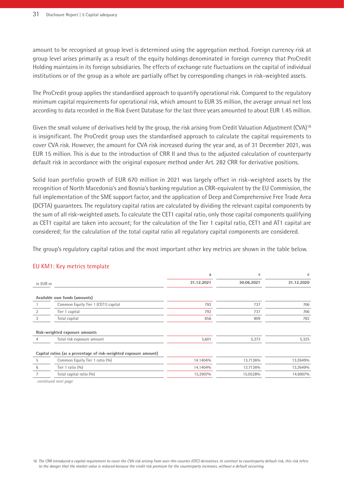amount to be recognised at group level is determined using the aggregation method. Foreign currency risk at group level arises primarily as a result of the equity holdings denominated in foreign currency that ProCredit Holding maintains in its foreign subsidiaries. The effects of exchange rate fluctuations on the capital of individual institutions or of the group as a whole are partially offset by corresponding changes in risk-weighted assets.

The ProCredit group applies the standardised approach to quantify operational risk. Compared to the regulatory minimum capital requirements for operational risk, which amount to EUR 35 million, the average annual net loss according to data recorded in the Risk Event Database for the last three years amounted to about EUR 1.45 million.

Given the small volume of derivatives held by the group, the risk arising from Credit Valuation Adjustment (CVA)<sup>16</sup> is insignificant. The ProCredit group uses the standardised approach to calculate the capital requirements to cover CVA risk. However, the amount for CVA risk increased during the year and, as of 31 December 2021, was EUR 15 million. This is due to the introduction of CRR II and thus to the adjusted calculation of counterparty default risk in accordance with the original exposure method under Art. 282 CRR for derivative positions.

Solid loan portfolio growth of EUR 670 million in 2021 was largely offset in risk-weighted assets by the recognition of North Macedonia's and Bosnia's banking regulation as CRR-equivalent by the EU Commission, the full implementation of the SME support factor, and the application of Deep and Comprehensive Free Trade Area (DCFTA) guarantees. The regulatory capital ratios are calculated by dividing the relevant capital components by the sum of all risk-weighted assets. To calculate the CET1 capital ratio, only those capital components qualifying as CET1 capital are taken into account; for the calculation of the Tier 1 capital ratio, CET1 and AT1 capital are considered; for the calculation of the total capital ratio all regulatory capital components are considered.

The group's regulatory capital ratios and the most important other key metrics are shown in the table below.

|          |                                                                                                                                                                                                                                                   | a          | c          | e          |
|----------|---------------------------------------------------------------------------------------------------------------------------------------------------------------------------------------------------------------------------------------------------|------------|------------|------------|
| in EUR m |                                                                                                                                                                                                                                                   | 31.12.2021 | 30.06.2021 | 31.12.2020 |
|          | Available own funds (amounts)                                                                                                                                                                                                                     |            |            |            |
|          | Common Equity Tier 1 (CET1) capital                                                                                                                                                                                                               | 792        | 737        | 706        |
|          | Tier 1 capital                                                                                                                                                                                                                                    | 792        | 737        | 706        |
| 3        | Total capital                                                                                                                                                                                                                                     | 856        | 809        | 782        |
|          |                                                                                                                                                                                                                                                   |            |            |            |
|          | Risk-weighted exposure amounts                                                                                                                                                                                                                    |            |            |            |
| 4        | Total risk exposure amount                                                                                                                                                                                                                        | 5,601      | 5,373      | 5,325      |
|          | Capital ratios (as a percentage of risk-weighted exposure amount)                                                                                                                                                                                 |            |            |            |
| 5        | Common Equity Tier 1 ratio (%)                                                                                                                                                                                                                    | 14.1404%   | 13.7136%   | 13.2649%   |
| 6        | Tier 1 ratio $(9/0)$                                                                                                                                                                                                                              | 14.1404%   | 13.7136%   | 13.2649%   |
|          | Total capital ratio (%)                                                                                                                                                                                                                           | 15.2907%   | 15.0528%   | 14.6907%   |
|          | $\mathcal{L} = \{ \mathcal{L} = \mathcal{L} \}$ . The contract of the contract of the contract of the contract of the contract of the contract of the contract of the contract of the contract of the contract of the contract of the contract of |            |            |            |

### EU KM1: Key metrics template

 *continued next page*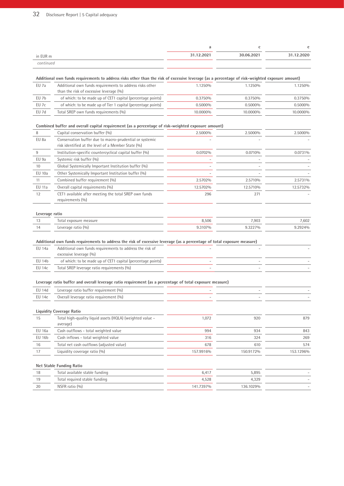|           |            |            | $\sim$     |
|-----------|------------|------------|------------|
| in EUR m  | 31.12.2021 | 30.06.2021 | 31.12.2020 |
| continued |            |            |            |

| EU 7a          | Additional own funds requirements to address risks other<br>than the risk of excessive leverage (%)           | 1.1250%  | 1.1250%  | 1.1250%  |
|----------------|---------------------------------------------------------------------------------------------------------------|----------|----------|----------|
| EU 7b          | of which: to be made up of CET1 capital (percentage points)                                                   | 0.3750%  | 0.3750%  | 0.3750%  |
| EU 7c          | of which: to be made up of Tier 1 capital (percentage points)                                                 | 0.5000%  | 0.5000%  | 0.5000%  |
| EU 7d          | Total SREP own funds requirements (%)                                                                         | 10.0000% | 10.0000% | 10.0000% |
|                | Combined buffer and overall capital requirement (as a percentage of risk-weighted exposure amount)            |          |          |          |
| 8              | Capital conservation buffer (%)                                                                               | 2.5000%  | 2.5000%  | 2.5000%  |
| EU 8a          | Conservation buffer due to macro-prudential or systemic<br>risk identified at the level of a Member State (%) |          |          |          |
| 9              | Institution-specific countercyclical capital buffer (%)                                                       | 0.0702%  | 0.0710%  | 0.0731%  |
| EU 9a          | Systemic risk buffer (%)                                                                                      |          |          |          |
| 10             | Global Systemically Important Institution buffer (%)                                                          |          |          |          |
| <b>EU 10a</b>  | Other Systemically Important Institution buffer (%)                                                           |          |          |          |
| 11             | Combined buffer requirement (%)                                                                               | 2.5702%  | 2.5710%  | 2.5731%  |
| <b>EU 11a</b>  | Overall capital requirements (%)                                                                              | 12.5702% | 12.5710% | 12.5732% |
| 12             | CET1 available after meeting the total SREP own funds<br>requirements (%)                                     | 296      | 271      |          |
| Leverage ratio |                                                                                                               |          |          |          |
| 13             | Total exposure measure                                                                                        | 8,506    | 7,903    | 7,602    |
| 14             | Leverage ratio (%)                                                                                            | 9.3107%  | 9.3227%  | 9.2924%  |

| EU 14a | Additional own funds requirements to address the risk of    | $\sim$ |  |
|--------|-------------------------------------------------------------|--------|--|
|        | excessive leverage (%)                                      |        |  |
| EU 14b | of which: to be made up of CET1 capital (percentage points) |        |  |
| EU 14c | Total SREP leverage ratio requirements (%)                  |        |  |

#### **Leverage ratio buffer and overall leverage ratio requirement (as a percentage of total exposure measure)**

| Leverage ratio buffer requirement (%)                     |           |           |           |
|-----------------------------------------------------------|-----------|-----------|-----------|
| Overall leverage ratio requirement (%)                    |           |           |           |
|                                                           |           |           |           |
| <b>Liquidity Coverage Ratio</b>                           |           |           |           |
| Total high-quality liquid assets (HQLA) (weighted value - | 1,072     | 920       | 879       |
|                                                           |           |           |           |
| Cash outflows - total weighted value                      | 994       | 934       | 843       |
| Cash inflows - total weighted value                       | 316       | 324       | 269       |
| Total net cash outflows (adjusted value)                  | 678       | 610       | 574       |
| Liquidity coverage ratio (%)                              | 157.9916% | 150.9172% | 153.1296% |
|                                                           |           |           |           |
| Net Stable Funding Ratio                                  |           |           |           |
|                                                           | average)  |           |           |

| 18 | Total available stable funding |                  | 5,895     |  |
|----|--------------------------------|------------------|-----------|--|
| 19 | Total required stable funding  | .528             | 4.329     |  |
| 20 | NSFR ratio (%)                 | <sup>7397%</sup> | 136.1029% |  |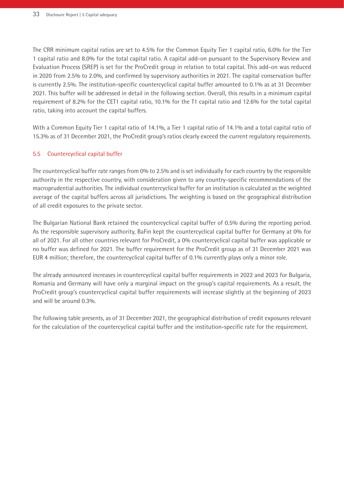<span id="page-32-0"></span>The CRR minimum capital ratios are set to 4.5% for the Common Equity Tier 1 capital ratio, 6.0% for the Tier 1 capital ratio and 8.0% for the total capital ratio. A capital add-on pursuant to the Supervisory Review and Evaluation Process (SREP) is set for the ProCredit group in relation to total capital. This add-on was reduced in 2020 from 2.5% to 2.0%, and confirmed by supervisory authorities in 2021. The capital conservation buffer is currently 2.5%. The institution-specific countercyclical capital buffer amounted to 0.1% as at 31 December 2021. This buffer will be addressed in detail in the following section. Overall, this results in a minimum capital requirement of 8.2% for the CET1 capital ratio, 10.1% for the T1 capital ratio and 12.6% for the total capital ratio, taking into account the capital buffers.

With a Common Equity Tier 1 capital ratio of 14.1%, a Tier 1 capital ratio of 14.1% and a total capital ratio of 15.3% as of 31 December 2021, the ProCredit group's ratios clearly exceed the current regulatory requirements.

### 5.5 [Countercyclical capital buffer](#page-2-0)

The countercyclical buffer rate ranges from 0% to 2.5% and is set individually for each country by the responsible authority in the respective country, with consideration given to any country-specific recommendations of the macroprudential authorities. The individual countercyclical buffer for an institution is calculated as the weighted average of the capital buffers across all jurisdictions. The weighting is based on the geographical distribution of all credit exposures to the private sector.

The Bulgarian National Bank retained the countercyclical capital buffer of 0.5% during the reporting period. As the responsible supervisory authority, BaFin kept the countercyclical capital buffer for Germany at 0% for all of 2021. For all other countries relevant for ProCredit, a 0% countercyclical capital buffer was applicable or no buffer was defined for 2021. The buffer requirement for the ProCredit group as of 31 December 2021 was EUR 4 million; therefore, the countercyclical capital buffer of 0.1% currently plays only a minor role.

The already announced increases in countercyclical capital buffer requirements in 2022 and 2023 for Bulgaria, Romania and Germany will have only a marginal impact on the group's capital requirements. As a result, the ProCredit group's countercyclical capital buffer requirements will increase slightly at the beginning of 2023 and will be around 0.3%.

The following table presents, as of 31 December 2021, the geographical distribution of credit exposures relevant for the calculation of the countercyclical capital buffer and the institution-specific rate for the requirement.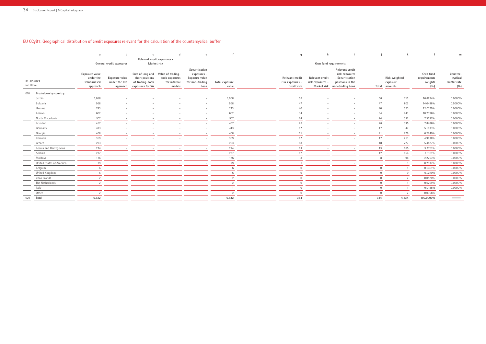# EU CCyB1: Geographical distribution of credit exposures relevant for the calculation of the countercyclical buffer

| Risk-weighted<br>exposure<br>amounts |                         | Own fund<br>requirements<br>weights<br>(0/0) | Counter-<br>cyclical<br>buffer rate<br>(0/0) |
|--------------------------------------|-------------------------|----------------------------------------------|----------------------------------------------|
|                                      |                         |                                              |                                              |
|                                      | 715                     | 16.6824%                                     | 0.0000%                                      |
|                                      | 607                     | 14.0438%                                     | 0.5000%                                      |
|                                      | 520                     | 12.0179%                                     | 0.0000%                                      |
|                                      | 443                     | 10.2396%                                     | 0.0000%                                      |
|                                      | 321                     | 7.3237%                                      | 0.0000%                                      |
|                                      | 335                     | 7.8486%                                      | 0.0000%                                      |
|                                      | 47                      | 5.1833%                                      | 0.0000%                                      |
|                                      | 279                     | 6.2740%                                      | 0.0000%                                      |
|                                      | 213                     | 4.9838%                                      | 0.0000%                                      |
|                                      | 227                     | 5.4427%                                      | 0.0000%                                      |
|                                      | 165                     | 3.7751%                                      | 0.0000%                                      |
|                                      | 154                     | 3.5101%                                      | 0.0000%                                      |
|                                      | 98                      | 2.2753%                                      | 0.0000%                                      |
|                                      | 3                       | 0.2037%                                      | 0.0000%                                      |
|                                      | 1                       | 0.0361%                                      | $0.0000\%$                                   |
|                                      | $\overline{0}$          | 0.0270%                                      | 0.0000%                                      |
|                                      | $\overline{\mathbf{c}}$ | 0.0520%                                      | 0.0000%                                      |
|                                      | $\mathbf{1}$            | 0.0269%                                      | 0.0000%                                      |
|                                      | $\overline{1}$          | 0.0185%                                      | 0.0000%                                      |
|                                      | $\overline{2}$          | 0.0356%                                      |                                              |
| 4.134                                |                         | 100.0000%                                    |                                              |

|                        |                          | a                                                       |                                             | $\mathbf{c}$                                           |                                                                               | e                                                                          |                         |                                     |             |                                            |                                                                                                           |       |                                      |                                              | m                                            |
|------------------------|--------------------------|---------------------------------------------------------|---------------------------------------------|--------------------------------------------------------|-------------------------------------------------------------------------------|----------------------------------------------------------------------------|-------------------------|-------------------------------------|-------------|--------------------------------------------|-----------------------------------------------------------------------------------------------------------|-------|--------------------------------------|----------------------------------------------|----------------------------------------------|
|                        |                          |                                                         |                                             | Relevant credit exposures -                            |                                                                               |                                                                            |                         |                                     |             |                                            |                                                                                                           |       |                                      |                                              |                                              |
|                        |                          |                                                         | General credit exposures                    |                                                        | Market risk                                                                   |                                                                            |                         |                                     |             | Own fund requirements                      |                                                                                                           |       |                                      |                                              |                                              |
| 31.12.2021<br>in EUR m |                          | Exposure value<br>under the<br>standardised<br>approach | Exposure value<br>under the IRB<br>approach | short positions<br>of trading-book<br>exposures for SA | Sum of long and Value of trading-<br>book exposures<br>for internal<br>models | Securitisation<br>exposures -<br>Exposure value<br>for non-trading<br>book | Total exposure<br>value | Relevant credit<br>risk exposures - | Credit risk | <b>Relevant credit</b><br>risk exposures - | Relevant credit<br>risk exposures<br>- Securitisation<br>positions in the<br>Market risk non-trading book | Total | Risk-weighted<br>exposure<br>amounts | Own fund<br>requirements<br>weights<br>(0/0) | Counter-<br>cyclical<br>buffer rate<br>(0/0) |
| 010                    | Breakdown by country:    |                                                         |                                             |                                                        |                                                                               |                                                                            |                         |                                     |             |                                            |                                                                                                           |       |                                      |                                              |                                              |
|                        | Serbia                   | 1,058                                                   |                                             |                                                        |                                                                               |                                                                            | 1,058                   |                                     | 56          |                                            |                                                                                                           | 56    | 715                                  | 16.6824%                                     | 0.0000%                                      |
|                        | Bulgaria                 | 958                                                     |                                             |                                                        |                                                                               |                                                                            | 958                     |                                     | 47          |                                            |                                                                                                           | 47    | 607                                  | 14.0438%                                     | 0.5000%                                      |
|                        | Ukraine                  | 743                                                     |                                             |                                                        |                                                                               |                                                                            | 743                     |                                     | 40          |                                            |                                                                                                           | 40    | 520                                  | 12.0179%                                     | 0.0000%                                      |
|                        | Kosovo                   | 602                                                     |                                             |                                                        |                                                                               |                                                                            | 602                     |                                     | 34          |                                            |                                                                                                           | 34    | 443                                  | 10.2396%                                     | 0.0000%                                      |
|                        | North Macedonia          | 507                                                     |                                             |                                                        |                                                                               |                                                                            | 507                     |                                     | 24          |                                            | $\overline{\phantom{a}}$                                                                                  | 24    | 321                                  | 7.3237%                                      | $0.0000\%$                                   |
|                        | Ecuador                  | 457                                                     |                                             |                                                        |                                                                               |                                                                            | 457                     |                                     | 26          |                                            |                                                                                                           | 26    | 335                                  | 7.8486%                                      | $0.0000\%$                                   |
|                        | Germany                  | 413                                                     |                                             |                                                        |                                                                               |                                                                            | 413                     |                                     | 17          |                                            |                                                                                                           | 17    | 47                                   | 5.1833%                                      | $0.0000\%$                                   |
|                        | Georgia                  | 408                                                     |                                             |                                                        |                                                                               |                                                                            | 408                     |                                     | 21          |                                            |                                                                                                           | 21    | 279                                  | 6.2740%                                      | 0.0000%                                      |
|                        | Romania                  | 359                                                     |                                             |                                                        |                                                                               |                                                                            | 359                     |                                     | 17          |                                            |                                                                                                           | 17    | 213                                  | 4.9838%                                      | $0.0000\%$                                   |
|                        | Greece                   | 293                                                     |                                             |                                                        |                                                                               |                                                                            | 293                     |                                     | 18          |                                            |                                                                                                           | 18    | 227                                  | 5.4427%                                      | $0.0000\%$                                   |
|                        | Bosnia and Herzegovina   | 274                                                     |                                             |                                                        |                                                                               |                                                                            | 274                     |                                     | 13          |                                            |                                                                                                           | 13    | 165                                  | 3.7751%                                      | 0.0000%                                      |
|                        | Albania                  | 237                                                     |                                             |                                                        |                                                                               |                                                                            | 237                     |                                     | 12          |                                            |                                                                                                           | 12    | 154                                  | 3.5101%                                      | $0.0000\%$                                   |
|                        | Moldova                  | 176                                                     |                                             |                                                        |                                                                               |                                                                            | 176                     |                                     |             |                                            |                                                                                                           |       | 98                                   | 2.2753%                                      | 0.0000%                                      |
|                        | United States of America | 29                                                      |                                             |                                                        |                                                                               |                                                                            | 29                      |                                     |             |                                            |                                                                                                           |       | 3                                    | 0.2037%                                      | $0.0000\%$                                   |
|                        | Belgium                  | $\mathsf{G}$                                            |                                             |                                                        |                                                                               |                                                                            |                         |                                     |             |                                            |                                                                                                           |       |                                      | 0.0361%                                      | $0.0000\%$                                   |
|                        | United Kingdom           |                                                         |                                             |                                                        |                                                                               |                                                                            |                         |                                     |             |                                            |                                                                                                           |       | $\Omega$                             | 0.0270%                                      | 0.0000%                                      |
|                        | Cook Islands             |                                                         |                                             |                                                        |                                                                               |                                                                            |                         |                                     |             |                                            |                                                                                                           |       |                                      | 0.0520%                                      | $0.0000\%$                                   |
|                        | The Netherlands          |                                                         |                                             |                                                        |                                                                               |                                                                            | $\Omega$                |                                     |             |                                            |                                                                                                           |       |                                      | 0.0269%                                      | $0.0000\%$                                   |
|                        | Italy                    |                                                         |                                             |                                                        |                                                                               |                                                                            |                         |                                     |             |                                            |                                                                                                           |       |                                      | 0.0185%                                      | 0.0000%                                      |
|                        | Other                    |                                                         |                                             |                                                        |                                                                               |                                                                            | $\mathcal{L}$           |                                     |             |                                            |                                                                                                           |       | $\mathcal{D}$                        | 0.0356%                                      |                                              |
| 020                    | Total                    | 6,532                                                   |                                             |                                                        |                                                                               |                                                                            | 6,532                   |                                     | 334         |                                            | $\overline{\phantom{a}}$                                                                                  | 334   | 4,134                                | 100.0000%                                    | <b>Contract Contract</b>                     |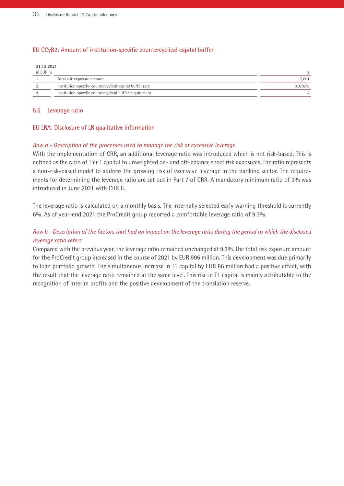### <span id="page-34-0"></span>EU CCyB2: Amount of institution-specific countercyclical capital buffer

| 31.12.2021 |                                                          |         |
|------------|----------------------------------------------------------|---------|
| in EUR m   |                                                          | a       |
|            | Total risk exposure amount                               | 5.601   |
|            | Institution-specific countercyclical capital buffer rate | 0.0702% |
|            | Institution-specific countercyclical buffer requirement  | 4       |

#### 5.6 [Leverage ratio](#page-2-0)

#### EU LRA: Disclosure of LR qualitative information

#### *Row a - Description of the processes used to manage the risk of excessive leverage*

With the implementation of CRR, an additional leverage ratio was introduced which is not risk-based. This is defined as the ratio of Tier 1 capital to unweighted on- and off-balance sheet risk exposures. The ratio represents a non-risk-based model to address the growing risk of excessive leverage in the banking sector. The requirements for determining the leverage ratio are set out in Part 7 of CRR. A mandatory minimum ratio of 3% was introduced in June 2021 with CRR II.

The leverage ratio is calculated on a monthly basis. The internally selected early warning threshold is currently 6%. As of year-end 2021 the ProCredit group reported a comfortable leverage ratio of 9.3%.

### *Row b - Description of the factors that had an impact on the leverage ratio during the period to which the disclosed leverage ratio refers*

Compared with the previous year, the leverage ratio remained unchanged at 9.3%. The total risk exposure amount for the ProCredit group increased in the course of 2021 by EUR 906 million. This development was due primarily to loan portfolio growth. The simultaneous increase in T1 capital by EUR 86 million had a positive effect, with the result that the leverage ratio remained at the same level. This rise in T1 capital is mainly attributable to the recognition of interim profits and the positive development of the translation reserve.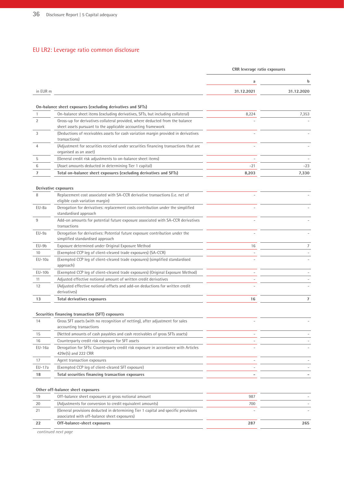# EU LR2: Leverage ratio common disclosure

|                |                                                                                                                                               | CRR leverage ratio exposures |                |
|----------------|-----------------------------------------------------------------------------------------------------------------------------------------------|------------------------------|----------------|
|                |                                                                                                                                               | a                            | b              |
| in EUR m       |                                                                                                                                               | 31.12.2021                   | 31.12.2020     |
|                |                                                                                                                                               |                              |                |
|                | On-balance sheet exposures (excluding derivatives and SFTs)                                                                                   |                              |                |
| 1              | On-balance sheet items (excluding derivatives, SFTs, but including collateral)                                                                | 8,224                        | 7,353          |
| $\overline{2}$ | Gross-up for derivatives collateral provided, where deducted from the balance<br>sheet assets pursuant to the applicable accounting framework |                              |                |
| 3              | (Deductions of receivables assets for cash variation margin provided in derivatives<br>transactions)                                          |                              |                |
| 4              | (Adjustment for securities received under securities financing transactions that are<br>organised as an asset)                                |                              |                |
| 5              | (General credit risk adjustments to on-balance sheet items)                                                                                   |                              |                |
| 6              | (Asset amounts deducted in determining Tier 1 capital)                                                                                        | $-21$                        | $-23$          |
| 7              | Total on-balance sheet exposures (excluding derivatives and SFTs)                                                                             | 8,203                        | 7,330          |
|                |                                                                                                                                               |                              |                |
|                | Derivative exposures                                                                                                                          |                              |                |
| 8              | Replacement cost associated with SA-CCR derivative transactions (i.e. net of<br>eligible cash variation margin)                               |                              |                |
| EU-8a          | Derogation for derivatives: replacement costs contribution under the simplified<br>standardised approach                                      |                              |                |
| 9              | Add-on amounts for potential future exposure associated with SA-CCR derivatives<br>transactions                                               |                              |                |
| EU-9a          | Derogation for derivatives: Potential future exposure contribution under the<br>simplified standardised approach                              |                              |                |
| $EU-9b$        | Exposure determined under Original Exposure Method                                                                                            | 16                           | $\overline{7}$ |
| 10             | (Exempted CCP leg of client-cleared trade exposures) (SA-CCR)                                                                                 |                              |                |
| EU-10a         | (Exempted CCP leg of client-cleared trade exposures) (simplified standardised<br>approach)                                                    |                              |                |
| EU-10b         | (Exempted CCP leg of client-cleared trade exposures) (Original Exposure Method)                                                               |                              |                |
| 11             | Adjusted effective notional amount of written credit derivatives                                                                              |                              |                |
| 12             | (Adjusted effective notional offsets and add-on deductions for written credit<br>derivatives)                                                 |                              |                |
| 13             | Total derivatives exposures                                                                                                                   | 16                           | 7              |
|                |                                                                                                                                               |                              |                |
|                | Securities financing transaction (SFT) exposures                                                                                              |                              |                |
| 14             | Gross SFT assets (with no recognition of netting), after adjustment for sales<br>accounting transactions                                      |                              |                |
| 15             | (Netted amounts of cash payables and cash receivables of gross SFTs assets)                                                                   |                              |                |
| 16             | Counterparty credit risk exposure for SFT assets                                                                                              |                              |                |
| EU-16a         | Derogation for SFTs: Counterparty credit risk exposure in accordance with Articles<br>429e(5) and 222 CRR                                     |                              |                |
| 17             | Agent transaction exposures                                                                                                                   |                              |                |
| EU-17a         | (Exempted CCP leg of client-cleared SFT exposure)                                                                                             |                              |                |
| 18             | Total securities financing transaction exposures                                                                                              |                              |                |
|                |                                                                                                                                               |                              |                |
|                | Other off-balance sheet exposures                                                                                                             |                              |                |
| 19             | Off-balance sheet exposures at gross notional amount                                                                                          | 987                          |                |
| 20             | (Adjustments for conversion to credit equivalent amounts)                                                                                     | 700                          |                |
| 21             | (General provisions deducted in determining Tier 1 capital and specific provisions<br>associated with off-balance sheet exposures)            |                              |                |
| 22             | Off-balance-sheet exposures                                                                                                                   | 287                          | 265            |

 *continued next page*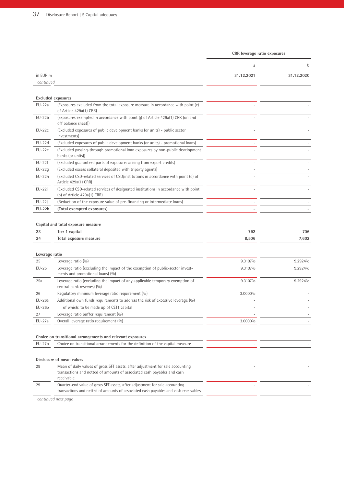|                |                                                                                                                                                                         | CRR leverage ratio exposures |            |
|----------------|-------------------------------------------------------------------------------------------------------------------------------------------------------------------------|------------------------------|------------|
|                |                                                                                                                                                                         | a                            | b          |
| in EUR m       |                                                                                                                                                                         | 31.12.2021                   | 31.12.2020 |
| continued      |                                                                                                                                                                         |                              |            |
|                |                                                                                                                                                                         |                              |            |
|                | <b>Excluded exposures</b>                                                                                                                                               |                              |            |
| EU-22a         | (Exposures excluded from the total exposure measure in accordance with point (c)<br>of Article 429a(1) CRR)                                                             |                              |            |
| $EU-22b$       | (Exposures exempted in accordance with point (j) of Article 429a(1) CRR (on and<br>off balance sheet))                                                                  |                              |            |
| $EU-22c$       | (Excluded exposures of public development banks (or units) - public sector<br>investments)                                                                              |                              |            |
| $EU-22d$       | (Excluded exposures of public development banks (or units) - promotional loans)                                                                                         |                              |            |
| $EU-22e$       | (Excluded passing-through promotional loan exposures by non-public development<br>banks (or units))                                                                     |                              |            |
| $EU-22f$       | (Excluded quaranteed parts of exposures arising from export credits)                                                                                                    |                              |            |
| $EU-22q$       | (Excluded excess collateral deposited with triparty agents)                                                                                                             |                              |            |
| $EU-22h$       | (Excluded CSD-related services of CSD/institutions in accordance with point (o) of<br>Article 429a(1) CRR)                                                              |                              |            |
| EU-22i         | (Excluded CSD-related services of designated institutions in accordance with point<br>(p) of Article $429a(1)$ CRR)                                                     |                              |            |
| $EU-22i$       | (Reduction of the exposure value of pre-financing or intermediate loans)                                                                                                |                              |            |
| $EU-22k$       | (Total exempted exposures)                                                                                                                                              |                              |            |
| 23             | Capital and total exposure measure<br>Tier 1 capital                                                                                                                    | 792                          | 706        |
| 24             | Total exposure measure                                                                                                                                                  | 8,506                        | 7,602      |
|                |                                                                                                                                                                         |                              |            |
| Leverage ratio |                                                                                                                                                                         |                              |            |
| 25             | Leverage ratio $(%)$                                                                                                                                                    | 9.3107%                      | 9.2924%    |
| $EU-25$        | Leverage ratio (excluding the impact of the exemption of public-sector invest-<br>ments and promotional loans) (%)                                                      | 9.3107%                      | 9.2924%    |
| 25a            | Leverage ratio (excluding the impact of any applicable temporary exemption of<br>central bank reserves) (%)                                                             | 9.3107%                      | 9.2924%    |
| 26             | Regulatory minimum leverage ratio requirement (%)                                                                                                                       | 3.0000%                      |            |
| EU-26a         | Additional own funds requirements to address the risk of excessive leverage (%)                                                                                         |                              |            |
| EU-26b         | of which: to be made up of CET1 capital                                                                                                                                 |                              |            |
| 27             | Leverage ratio buffer requirement (%)                                                                                                                                   |                              |            |
| EU-27a         | Overall leverage ratio requirement (%)                                                                                                                                  | 3.0000%                      |            |
|                | Choice on transitional arrangements and relevant exposures                                                                                                              |                              |            |
| $EU-27b$       | Choice on transitional arrangements for the definition of the capital measure                                                                                           |                              |            |
|                |                                                                                                                                                                         |                              |            |
|                | Disclosure of mean values                                                                                                                                               |                              |            |
| 28             | Mean of daily values of gross SFT assets, after adjustment for sale accounting<br>transactions and netted of amounts of associated cash payables and cash<br>receivable |                              |            |
| 29             | Quarter-end value of gross SFT assets, after adjustment for sale accounting<br>transactions and netted of amounts of associated cash payables and cash receivables      |                              |            |
|                | continued next page                                                                                                                                                     |                              |            |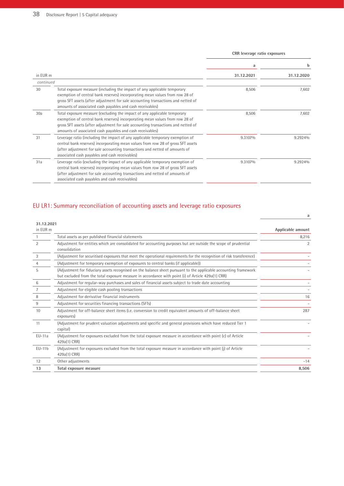|           |                                                                                                                                                                                                                                                                                                            | <b>CRR</b> leverage ratio exposures |            |
|-----------|------------------------------------------------------------------------------------------------------------------------------------------------------------------------------------------------------------------------------------------------------------------------------------------------------------|-------------------------------------|------------|
|           |                                                                                                                                                                                                                                                                                                            | a                                   | b          |
| in EUR m  |                                                                                                                                                                                                                                                                                                            | 31.12.2021                          | 31.12.2020 |
| continued |                                                                                                                                                                                                                                                                                                            |                                     |            |
| 30        | Total exposure measure (including the impact of any applicable temporary<br>exemption of central bank reserves) incorporating mean values from row 28 of<br>gross SFT assets (after adjustment for sale accounting transactions and netted of<br>amounts of associated cash payables and cash receivables) | 8,506                               | 7,602      |
| 30a       | Total exposure measure (excluding the impact of any applicable temporary<br>exemption of central bank reserves) incorporating mean values from row 28 of<br>gross SFT assets (after adjustment for sale accounting transactions and netted of<br>amounts of associated cash payables and cash receivables) | 8,506                               | 7,602      |
| 31        | Leverage ratio (including the impact of any applicable temporary exemption of<br>central bank reserves) incorporating mean values from row 28 of gross SFT assets<br>(after adjustment for sale accounting transactions and netted of amounts of<br>associated cash payables and cash receivables)         | 9.3107%                             | 9.2924%    |
| 31a       | Leverage ratio (excluding the impact of any applicable temporary exemption of<br>central bank reserves) incorporating mean values from row 28 of gross SFT assets<br>(after adjustment for sale accounting transactions and netted of amounts of<br>associated cash payables and cash receivables)         | 9.3107%                             | 9.2924%    |

### EU LR1: Summary reconciliation of accounting assets and leverage ratio exposures

|                |                                                                                                                                                                                                                       | a                 |
|----------------|-----------------------------------------------------------------------------------------------------------------------------------------------------------------------------------------------------------------------|-------------------|
| 31.12.2021     |                                                                                                                                                                                                                       |                   |
| in EUR m       |                                                                                                                                                                                                                       | Applicable amount |
|                | Total assets as per published financial statements                                                                                                                                                                    | 8,216             |
| $\overline{2}$ | Adjustment for entities which are consolidated for accounting purposes but are outside the scope of prudential<br>consolidation                                                                                       | $\overline{2}$    |
| 3              | (Adjustment for securitised exposures that meet the operational requirements for the recognition of risk transference)                                                                                                |                   |
| 4              | (Adjustment for temporary exemption of exposures to central banks (if applicable))                                                                                                                                    |                   |
| 5              | (Adjustment for fiduciary assets recognised on the balance sheet pursuant to the applicable accounting framework<br>but excluded from the total exposure measure in accordance with point (i) of Article 429a(1) CRR) |                   |
| 6              | Adjustment for regular-way purchases and sales of financial assets subject to trade date accounting                                                                                                                   |                   |
|                | Adjustment for eligible cash pooling transactions                                                                                                                                                                     |                   |
| 8              | Adjustment for derivative financial instruments                                                                                                                                                                       | 16                |
| 9              | Adjustment for securities financing transactions (SFTs)                                                                                                                                                               |                   |
| 10             | Adjustment for off-balance sheet items (i.e. conversion to credit equivalent amounts of off-balance sheet<br>exposures)                                                                                               | 287               |
| 11             | (Adjustment for prudent valuation adjustments and specific and general provisions which have reduced Tier 1<br>capital)                                                                                               |                   |
| EU-11a         | (Adjustment for exposures excluded from the total exposure measure in accordance with point (c) of Article<br>429a(1) CRR)                                                                                            |                   |
| EU-11b         | (Adjustment for exposures excluded from the total exposure measure in accordance with point (j) of Article<br>429a(1) CRR)                                                                                            |                   |
| 12             | Other adjustments                                                                                                                                                                                                     | $-14$             |
| 13             | Total exposure measure                                                                                                                                                                                                | 8,506             |
|                |                                                                                                                                                                                                                       |                   |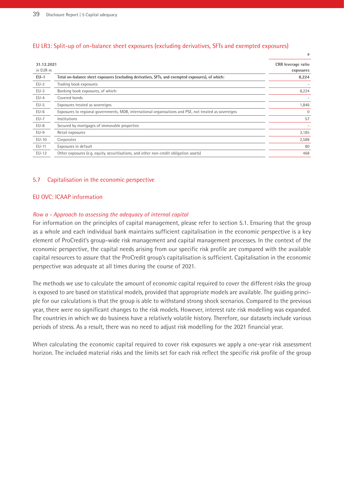#### EU LR3: Split-up of on-balance sheet exposures (excluding derivatives, SFTs and exempted exposures)

| 31.12.2021<br>in EUR m                                                                                 | CRR leverage ratio<br>exposures |
|--------------------------------------------------------------------------------------------------------|---------------------------------|
| Total on-balance sheet exposures (excluding derivatives, SFTs, and exempted exposures), of which:      | 8,224                           |
| Trading book exposures                                                                                 |                                 |
| Banking book exposures, of which:                                                                      | 8,224                           |
| Covered bonds                                                                                          |                                 |
| Exposures treated as sovereigns                                                                        | 1,846                           |
| Exposures to regional governments, MDB, international organisations and PSE, not treated as sovereigns | $\Omega$                        |
| Institutions                                                                                           | 57                              |
| Secured by mortgages of immovable properties                                                           |                                 |
| Retail exposures                                                                                       | 3,185                           |
| Corporates                                                                                             | 2,588                           |
| Exposures in default                                                                                   | 80                              |
| Other exposures (e.g. equity, securitisations, and other non-credit obligation assets)                 | 468                             |
|                                                                                                        |                                 |

**a**

#### 5.7 [Capitalisation in the economic perspective](#page-2-0)

#### EU OVC: ICAAP information

#### *Row a - Approach to assessing the adequacy of internal capital*

For information on the principles of capital management, please refer to section 5.1. Ensuring that the group as a whole and each individual bank maintains sufficient capitalisation in the economic perspective is a key element of ProCredit's group-wide risk management and capital management processes. In the context of the economic perspective, the capital needs arising from our specific risk profile are compared with the available capital resources to assure that the ProCredit group's capitalisation is sufficient. Capitalisation in the economic perspective was adequate at all times during the course of 2021.

The methods we use to calculate the amount of economic capital required to cover the different risks the group is exposed to are based on statistical models, provided that appropriate models are available. The guiding principle for our calculations is that the group is able to withstand strong shock scenarios. Compared to the previous year, there were no significant changes to the risk models. However, interest rate risk modelling was expanded. The countries in which we do business have a relatively volatile history. Therefore, our datasets include various periods of stress. As a result, there was no need to adjust risk modelling for the 2021 financial year.

When calculating the economic capital required to cover risk exposures we apply a one-year risk assessment horizon. The included material risks and the limits set for each risk reflect the specific risk profile of the group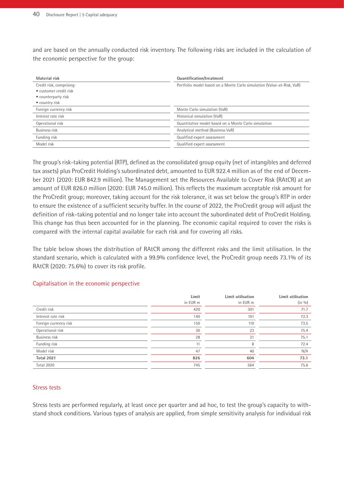and are based on the annually conducted risk inventory. The following risks are included in the calculation of the economic perspective for the group:

| Portfolio model based on a Monte Carlo simulation (Value-at-Risk, VaR) |
|------------------------------------------------------------------------|
|                                                                        |
|                                                                        |
|                                                                        |
|                                                                        |
| Monte Carlo simulation (VaR)                                           |
| Historical simulation (VaR)                                            |
| Quantitative model based on a Monte Carlo simulation                   |
| Analytical method (Business VaR)                                       |
| Qualified expert assessment                                            |
| Qualified expert assessment                                            |
|                                                                        |

The group's risk-taking potential (RTP), defined as the consolidated group equity (net of intangibles and deferred tax assets) plus ProCredit Holding's subordinated debt, amounted to EUR 922.4 million as of the end of December 2021 (2020: EUR 842.9 million). The Management set the Resources Available to Cover Risk (RAtCR) at an amount of EUR 826.0 million (2020: EUR 745.0 million). This reflects the maximum acceptable risk amount for the ProCredit group; moreover, taking account for the risk tolerance, it was set below the group's RTP in order to ensure the existence of a sufficient security buffer. In the course of 2022, the ProCredit group will adjust the definition of risk-taking potential and no longer take into account the subordinated debt of ProCredit Holding. This change has thus been accounted for in the planning. The economic capital required to cover the risks is compared with the internal capital available for each risk and for covering all risks.

The table below shows the distribution of RAtCR among the different risks and the limit utilisation. In the standard scenario, which is calculated with a 99.9% confidence level, the ProCredit group needs 73.1% of its RAtCR (2020: 75.6%) to cover its risk profile.

|                       | Limit<br>in EUR m | Limit utilisation<br>in EUR m | Limit utilisation<br>$(in \, \mathcal{Y}_0)$ |
|-----------------------|-------------------|-------------------------------|----------------------------------------------|
| Credit risk           | 420               | 301                           | 71.7                                         |
| Interest rate risk    | 140               | 101                           | 72.3                                         |
| Foreign currency risk | 150               | 110                           | 73.5                                         |
| Operational risk      | 30                | 23                            | 75.4                                         |
| Business risk         | 28                | 21                            | 75.1                                         |
| Funding risk          | 11                | 8                             | 72.4                                         |
| Model risk            | 47                | 40                            | N/A                                          |
| <b>Total 2021</b>     | 826               | 604                           | 73.1                                         |
| <b>Total 2020</b>     | 745               | 564                           | 75.6                                         |

#### Capitalisation in the economic perspective

#### Stress tests

Stress tests are performed regularly, at least once per quarter and ad hoc, to test the group's capacity to withstand shock conditions. Various types of analysis are applied, from simple sensitivity analysis for individual risk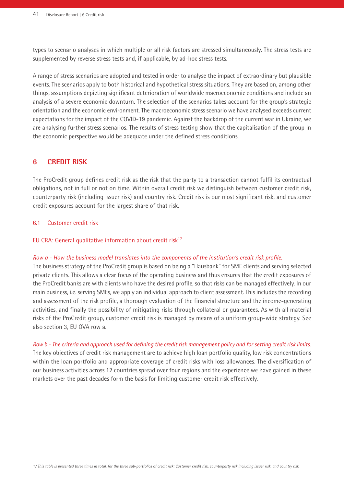types to scenario analyses in which multiple or all risk factors are stressed simultaneously. The stress tests are supplemented by reverse stress tests and, if applicable, by ad-hoc stress tests.

A range of stress scenarios are adopted and tested in order to analyse the impact of extraordinary but plausible events. The scenarios apply to both historical and hypothetical stress situations. They are based on, among other things, assumptions depicting significant deterioration of worldwide macroeconomic conditions and include an analysis of a severe economic downturn. The selection of the scenarios takes account for the group's strategic orientation and the economic environment. The macroeconomic stress scenario we have analysed exceeds current expectations for the impact of the COVID-19 pandemic. Against the backdrop of the current war in Ukraine, we are analysing further stress scenarios. The results of stress testing show that the capitalisation of the group in the economic perspective would be adequate under the defined stress conditions.

### **6 [CREDIT RISK](#page-2-0)**

The ProCredit group defines credit risk as the risk that the party to a transaction cannot fulfil its contractual obligations, not in full or not on time. Within overall credit risk we distinguish between customer credit risk, counterparty risk (including issuer risk) and country risk. Credit risk is our most significant risk, and customer credit exposures account for the largest share of that risk.

#### 6.1 [Customer credit risk](#page-2-0)

#### EU CRA: General qualitative information about credit risk<sup>17</sup>

#### *Row a - How the business model translates into the components of the institution's credit risk profile.*

The business strategy of the ProCredit group is based on being a "Hausbank" for SME clients and serving selected private clients. This allows a clear focus of the operating business and thus ensures that the credit exposures of the ProCredit banks are with clients who have the desired profile, so that risks can be managed effectively. In our main business, i.e. serving SMEs, we apply an individual approach to client assessment. This includes the recording and assessment of the risk profile, a thorough evaluation of the financial structure and the income-generating activities, and finally the possibility of mitigating risks through collateral or guarantees. As with all material risks of the ProCredit group, customer credit risk is managed by means of a uniform group-wide strategy. See also section 3, EU OVA row a.

*Row b - The criteria and approach used for defining the credit risk management policy and for setting credit risk limits.*  The key objectives of credit risk management are to achieve high loan portfolio quality, low risk concentrations within the loan portfolio and appropriate coverage of credit risks with loss allowances. The diversification of our business activities across 12 countries spread over four regions and the experience we have gained in these markets over the past decades form the basis for limiting customer credit risk effectively.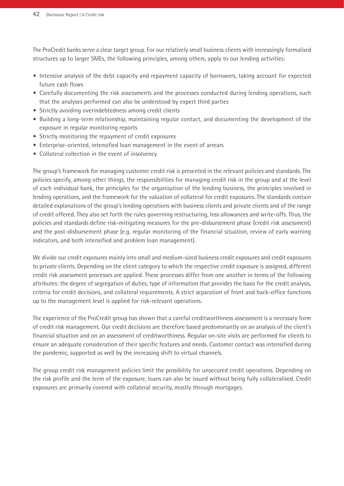The ProCredit banks serve a clear target group. For our relatively small business clients with increasingly formalised structures up to larger SMEs, the following principles, among others, apply to our lending activities:

- **•** Intensive analysis of the debt capacity and repayment capacity of borrowers, taking account for expected future cash flows
- Carefully documenting the risk assessments and the processes conducted during lending operations, such that the analyses performed can also be understood by expert third parties
- **•** Strictly avoiding overindebtedness among credit clients
- **•** Building a long-term relationship, maintaining regular contact, and documenting the development of the exposure in regular monitoring reports
- **•** Strictly monitoring the repayment of credit exposures
- **•** Enterprise-oriented, intensified loan management in the event of arrears
- **•** Collateral collection in the event of insolvency

The group's framework for managing customer credit risk is presented in the relevant policies and standards. The policies specify, among other things, the responsibilities for managing credit risk in the group and at the level of each individual bank, the principles for the organisation of the lending business, the principles involved in lending operations, and the framework for the valuation of collateral for credit exposures. The standards contain detailed explanations of the group's lending operations with business clients and private clients and of the range of credit offered. They also set forth the rules governing restructuring, loss allowances and write-offs. Thus, the policies and standards define risk-mitigating measures for the pre-disbursement phase (credit risk assessment) and the post-disbursement phase (e.g. regular monitoring of the financial situation, review of early warning indicators, and both intensified and problem loan management).

We divide our credit exposures mainly into small and medium-sized business credit exposures and credit exposures to private clients. Depending on the client category to which the respective credit exposure is assigned, different credit risk assessment processes are applied. These processes differ from one another in terms of the following attributes: the degree of segregation of duties, type of information that provides the basis for the credit analysis, criteria for credit decisions, and collateral requirements. A strict separation of front and back-office functions up to the management level is applied for risk-relevant operations.

The experience of the ProCredit group has shown that a careful creditworthiness assessment is a necessary form of credit risk management. Our credit decisions are therefore based predominantly on an analysis of the client's financial situation and on an assessment of creditworthiness. Regular on-site visits are performed for clients to ensure an adequate consideration of their specific features and needs. Customer contact was intensified during the pandemic, supported as well by the increasing shift to virtual channels.

The group credit risk management policies limit the possibility for unsecured credit operations. Depending on the risk profile and the term of the exposure, loans can also be issued without being fully collateralised. Credit exposures are primarily covered with collateral security, mostly through mortgages.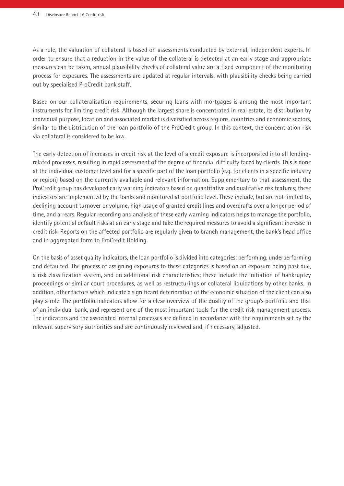As a rule, the valuation of collateral is based on assessments conducted by external, independent experts. In order to ensure that a reduction in the value of the collateral is detected at an early stage and appropriate measures can be taken, annual plausibility checks of collateral value are a fixed component of the monitoring process for exposures. The assessments are updated at regular intervals, with plausibility checks being carried out by specialised ProCredit bank staff.

Based on our collateralisation requirements, securing loans with mortgages is among the most important instruments for limiting credit risk. Although the largest share is concentrated in real estate, its distribution by individual purpose, location and associated market is diversified across regions, countries and economic sectors, similar to the distribution of the loan portfolio of the ProCredit group. In this context, the concentration risk via collateral is considered to be low.

The early detection of increases in credit risk at the level of a credit exposure is incorporated into all lendingrelated processes, resulting in rapid assessment of the degree of financial difficulty faced by clients. This is done at the individual customer level and for a specific part of the loan portfolio (e.g. for clients in a specific industry or region) based on the currently available and relevant information. Supplementary to that assessment, the ProCredit group has developed early warning indicators based on quantitative and qualitative risk features; these indicators are implemented by the banks and monitored at portfolio level. These include, but are not limited to, declining account turnover or volume, high usage of granted credit lines and overdrafts over a longer period of time, and arrears. Regular recording and analysis of these early warning indicators helps to manage the portfolio, identify potential default risks at an early stage and take the required measures to avoid a significant increase in credit risk. Reports on the affected portfolio are regularly given to branch management, the bank's head office and in aggregated form to ProCredit Holding.

On the basis of asset quality indicators, the loan portfolio is divided into categories: performing, underperforming and defaulted. The process of assigning exposures to these categories is based on an exposure being past due, a risk classification system, and on additional risk characteristics; these include the initiation of bankruptcy proceedings or similar court procedures, as well as restructurings or collateral liquidations by other banks. In addition, other factors which indicate a significant deterioration of the economic situation of the client can also play a role. The portfolio indicators allow for a clear overview of the quality of the group's portfolio and that of an individual bank, and represent one of the most important tools for the credit risk management process. The indicators and the associated internal processes are defined in accordance with the requirements set by the relevant supervisory authorities and are continuously reviewed and, if necessary, adjusted.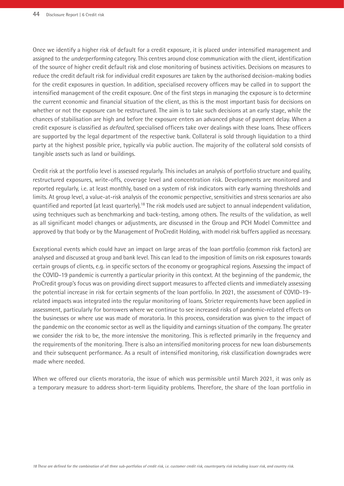Once we identify a higher risk of default for a credit exposure, it is placed under intensified management and assigned to the *underperforming* category. This centres around close communication with the client, identification of the source of higher credit default risk and close monitoring of business activities. Decisions on measures to reduce the credit default risk for individual credit exposures are taken by the authorised decision-making bodies for the credit exposures in question. In addition, specialised recovery officers may be called in to support the intensified management of the credit exposure. One of the first steps in managing the exposure is to determine the current economic and financial situation of the client, as this is the most important basis for decisions on whether or not the exposure can be restructured. The aim is to take such decisions at an early stage, while the chances of stabilisation are high and before the exposure enters an advanced phase of payment delay. When a credit exposure is classified as *defaulted*, specialised officers take over dealings with these loans. These officers are supported by the legal department of the respective bank. Collateral is sold through liquidation to a third party at the highest possible price, typically via public auction. The majority of the collateral sold consists of tangible assets such as land or buildings.

Credit risk at the portfolio level is assessed regularly. This includes an analysis of portfolio structure and quality, restructured exposures, write-offs, coverage level and concentration risk. Developments are monitored and reported regularly, i.e. at least monthly, based on a system of risk indicators with early warning thresholds and limits. At group level, a value-at-risk analysis of the economic perspective, sensitivities and stress scenarios are also quantified and reported (at least quarterly).18 The risk models used are subject to annual independent validation, using techniques such as benchmarking and back-testing, among others. The results of the validation, as well as all significant model changes or adjustments, are discussed in the Group and PCH Model Committee and approved by that body or by the Management of ProCredit Holding, with model risk buffers applied as necessary.

Exceptional events which could have an impact on large areas of the loan portfolio (common risk factors) are analysed and discussed at group and bank level. This can lead to the imposition of limits on risk exposures towards certain groups of clients, e.g. in specific sectors of the economy or geographical regions. Assessing the impact of the COVID-19 pandemic is currently a particular priority in this context. At the beginning of the pandemic, the ProCredit group's focus was on providing direct support measures to affected clients and immediately assessing the potential increase in risk for certain segments of the loan portfolio. In 2021, the assessment of COVID-19 related impacts was integrated into the regular monitoring of loans. Stricter requirements have been applied in assessment, particularly for borrowers where we continue to see increased risks of pandemic-related effects on the businesses or where use was made of moratoria. In this process, consideration was given to the impact of the pandemic on the economic sector as well as the liquidity and earnings situation of the company. The greater we consider the risk to be, the more intensive the monitoring. This is reflected primarily in the frequency and the requirements of the monitoring. There is also an intensified monitoring process for new loan disbursements and their subsequent performance. As a result of intensified monitoring, risk classification downgrades were made where needed.

When we offered our clients moratoria, the issue of which was permissible until March 2021, it was only as a temporary measure to address short-term liquidity problems. Therefore, the share of the loan portfolio in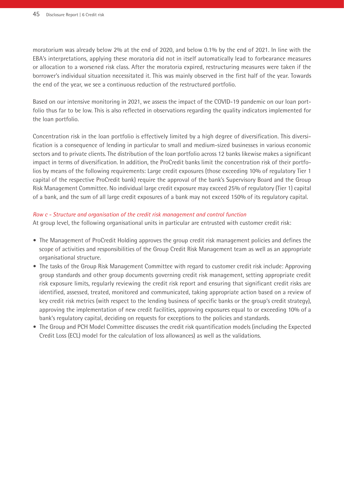moratorium was already below 2% at the end of 2020, and below 0.1% by the end of 2021. In line with the EBA's interpretations, applying these moratoria did not in itself automatically lead to forbearance measures or allocation to a worsened risk class. After the moratoria expired, restructuring measures were taken if the borrower's individual situation necessitated it. This was mainly observed in the first half of the year. Towards the end of the year, we see a continuous reduction of the restructured portfolio.

Based on our intensive monitoring in 2021, we assess the impact of the COVID-19 pandemic on our loan portfolio thus far to be low. This is also reflected in observations regarding the quality indicators implemented for the loan portfolio.

Concentration risk in the loan portfolio is effectively limited by a high degree of diversification. This diversification is a consequence of lending in particular to small and medium-sized businesses in various economic sectors and to private clients. The distribution of the loan portfolio across 12 banks likewise makes a significant impact in terms of diversification. In addition, the ProCredit banks limit the concentration risk of their portfolios by means of the following requirements: Large credit exposures (those exceeding 10% of regulatory Tier 1 capital of the respective ProCredit bank) require the approval of the bank's Supervisory Board and the Group Risk Management Committee. No individual large credit exposure may exceed 25% of regulatory (Tier 1) capital of a bank, and the sum of all large credit exposures of a bank may not exceed 150% of its regulatory capital.

#### *Row c - Structure and organisation of the credit risk management and control function*

At group level, the following organisational units in particular are entrusted with customer credit risk:

- **•** The Management of ProCredit Holding approves the group credit risk management policies and defines the scope of activities and responsibilities of the Group Credit Risk Management team as well as an appropriate organisational structure.
- **•** The tasks of the Group Risk Management Committee with regard to customer credit risk include: Approving group standards and other group documents governing credit risk management, setting appropriate credit risk exposure limits, regularly reviewing the credit risk report and ensuring that significant credit risks are identified, assessed, treated, monitored and communicated, taking appropriate action based on a review of key credit risk metrics (with respect to the lending business of specific banks or the group's credit strategy), approving the implementation of new credit facilities, approving exposures equal to or exceeding 10% of a bank's regulatory capital, deciding on requests for exceptions to the policies and standards.
- **•** The Group and PCH Model Committee discusses the credit risk quantification models (including the Expected Credit Loss (ECL) model for the calculation of loss allowances) as well as the validations.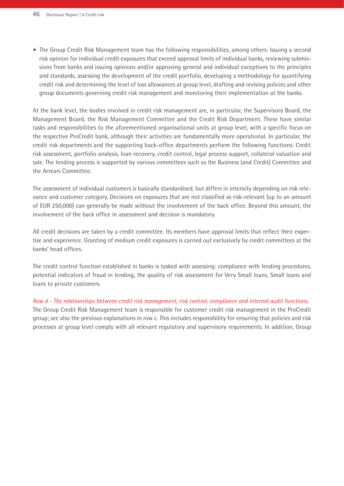**•** The Group Credit Risk Management team has the following responsibilities, among others: Issuing a second risk opinion for individual credit exposures that exceed approval limits of individual banks, reviewing submissions from banks and issuing opinions and/or approving general and individual exceptions to the principles and standards, assessing the development of the credit portfolio, developing a methodology for quantifying credit risk and determining the level of loss allowances at group level, drafting and revising policies and other group documents governing credit risk management and monitoring their implementation at the banks.

At the bank level, the bodies involved in credit risk management are, in particular, the Supervisory Board, the Management Board, the Risk Management Committee and the Credit Risk Department. These have similar tasks and responsibilities to the aforementioned organisational units at group level, with a specific focus on the respective ProCredit bank, although their activities are fundamentally more operational. In particular, the credit risk departments and the supporting back-office departments perform the following functions: Credit risk assessment, portfolio analysis, loan recovery, credit control, legal process support, collateral valuation and sale. The lending process is supported by various committees such as the Business (and Credit) Committee and the Arrears Committee.

The assessment of individual customers is basically standardised, but differs in intensity depending on risk relevance and customer category. Decisions on exposures that are not classified as risk-relevant (up to an amount of EUR 250,000) can generally be made without the involvement of the back office. Beyond this amount, the involvement of the back office in assessment and decision is mandatory.

All credit decisions are taken by a credit committee. Its members have approval limits that reflect their expertise and experience. Granting of medium credit exposures is carried out exclusively by credit committees at the banks' head offices.

The credit control function established in banks is tasked with assessing: compliance with lending procedures, potential indicators of fraud in lending, the quality of risk assessment for Very Small loans, Small loans and loans to private customers.

*Row d - The relationships between credit risk management, risk control, compliance and internal audit functions.*  The Group Credit Risk Management team is responsible for customer credit risk management in the ProCredit group; see also the previous explanations in row c. This includes responsibility for ensuring that policies and risk processes at group level comply with all relevant regulatory and supervisory requirements. In addition, Group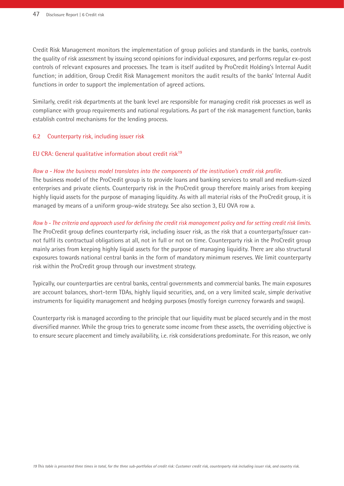Credit Risk Management monitors the implementation of group policies and standards in the banks, controls the quality of risk assessment by issuing second opinions for individual exposures, and performs regular ex-post controls of relevant exposures and processes. The team is itself audited by ProCredit Holding's Internal Audit function; in addition, Group Credit Risk Management monitors the audit results of the banks' Internal Audit functions in order to support the implementation of agreed actions.

Similarly, credit risk departments at the bank level are responsible for managing credit risk processes as well as compliance with group requirements and national regulations. As part of the risk management function, banks establish control mechanisms for the lending process.

#### 6.2 [Counterparty risk, including issuer risk](#page-2-0)

#### EU CRA: General qualitative information about credit risk<sup>19</sup>

#### *Row a - How the business model translates into the components of the institution's credit risk profile.*

The business model of the ProCredit group is to provide loans and banking services to small and medium-sized enterprises and private clients. Counterparty risk in the ProCredit group therefore mainly arises from keeping highly liquid assets for the purpose of managing liquidity. As with all material risks of the ProCredit group, it is managed by means of a uniform group-wide strategy. See also section 3, EU OVA row a.

#### *Row b - The criteria and approach used for defining the credit risk management policy and for setting credit risk limits.*

The ProCredit group defines counterparty risk, including issuer risk, as the risk that a counterparty/issuer cannot fulfil its contractual obligations at all, not in full or not on time. Counterparty risk in the ProCredit group mainly arises from keeping highly liquid assets for the purpose of managing liquidity. There are also structural exposures towards national central banks in the form of mandatory minimum reserves. We limit counterparty risk within the ProCredit group through our investment strategy.

Typically, our counterparties are central banks, central governments and commercial banks. The main exposures are account balances, short-term TDAs, highly liquid securities, and, on a very limited scale, simple derivative instruments for liquidity management and hedging purposes (mostly foreign currency forwards and swaps).

Counterparty risk is managed according to the principle that our liquidity must be placed securely and in the most diversified manner. While the group tries to generate some income from these assets, the overriding objective is to ensure secure placement and timely availability, i.e. risk considerations predominate. For this reason, we only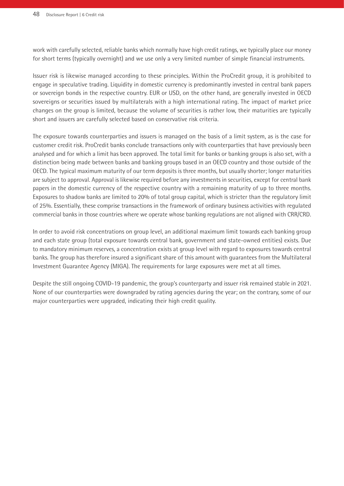work with carefully selected, reliable banks which normally have high credit ratings, we typically place our money for short terms (typically overnight) and we use only a very limited number of simple financial instruments.

Issuer risk is likewise managed according to these principles. Within the ProCredit group, it is prohibited to engage in speculative trading. Liquidity in domestic currency is predominantly invested in central bank papers or sovereign bonds in the respective country. EUR or USD, on the other hand, are generally invested in OECD sovereigns or securities issued by multilaterals with a high international rating. The impact of market price changes on the group is limited, because the volume of securities is rather low, their maturities are typically short and issuers are carefully selected based on conservative risk criteria.

The exposure towards counterparties and issuers is managed on the basis of a limit system, as is the case for customer credit risk. ProCredit banks conclude transactions only with counterparties that have previously been analysed and for which a limit has been approved. The total limit for banks or banking groups is also set, with a distinction being made between banks and banking groups based in an OECD country and those outside of the OECD. The typical maximum maturity of our term deposits is three months, but usually shorter; longer maturities are subject to approval. Approval is likewise required before any investments in securities, except for central bank papers in the domestic currency of the respective country with a remaining maturity of up to three months. Exposures to shadow banks are limited to 20% of total group capital, which is stricter than the regulatory limit of 25%. Essentially, these comprise transactions in the framework of ordinary business activities with regulated commercial banks in those countries where we operate whose banking regulations are not aligned with CRR/CRD.

In order to avoid risk concentrations on group level, an additional maximum limit towards each banking group and each state group (total exposure towards central bank, government and state-owned entities) exists. Due to mandatory minimum reserves, a concentration exists at group level with regard to exposures towards central banks. The group has therefore insured a significant share of this amount with guarantees from the Multilateral Investment Guarantee Agency (MIGA). The requirements for large exposures were met at all times.

Despite the still ongoing COVID-19 pandemic, the group's counterparty and issuer risk remained stable in 2021. None of our counterparties were downgraded by rating agencies during the year; on the contrary, some of our major counterparties were upgraded, indicating their high credit quality.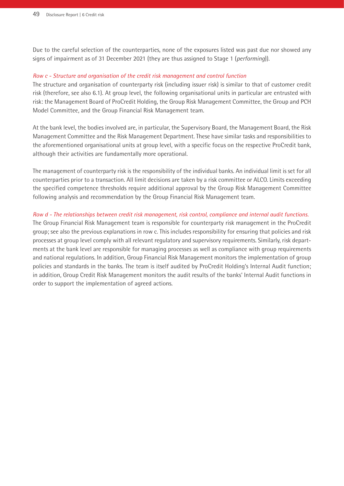Due to the careful selection of the counterparties, none of the exposures listed was past due nor showed any signs of impairment as of 31 December 2021 (they are thus assigned to Stage 1 (*performing*)).

#### *Row c - Structure and organisation of the credit risk management and control function*

The structure and organisation of counterparty risk (including issuer risk) is similar to that of customer credit risk (therefore, see also 6.1). At group level, the following organisational units in particular are entrusted with risk: the Management Board of ProCredit Holding, the Group Risk Management Committee, the Group and PCH Model Committee, and the Group Financial Risk Management team.

At the bank level, the bodies involved are, in particular, the Supervisory Board, the Management Board, the Risk Management Committee and the Risk Management Department. These have similar tasks and responsibilities to the aforementioned organisational units at group level, with a specific focus on the respective ProCredit bank, although their activities are fundamentally more operational.

The management of counterparty risk is the responsibility of the individual banks. An individual limit is set for all counterparties prior to a transaction. All limit decisions are taken by a risk committee or ALCO. Limits exceeding the specified competence thresholds require additional approval by the Group Risk Management Committee following analysis and recommendation by the Group Financial Risk Management team.

#### *Row d - The relationships between credit risk management, risk control, compliance and internal audit functions.*

The Group Financial Risk Management team is responsible for counterparty risk management in the ProCredit group; see also the previous explanations in row c. This includes responsibility for ensuring that policies and risk processes at group level comply with all relevant regulatory and supervisory requirements. Similarly, risk departments at the bank level are responsible for managing processes as well as compliance with group requirements and national regulations. In addition, Group Financial Risk Management monitors the implementation of group policies and standards in the banks. The team is itself audited by ProCredit Holding's Internal Audit function; in addition, Group Credit Risk Management monitors the audit results of the banks' Internal Audit functions in order to support the implementation of agreed actions.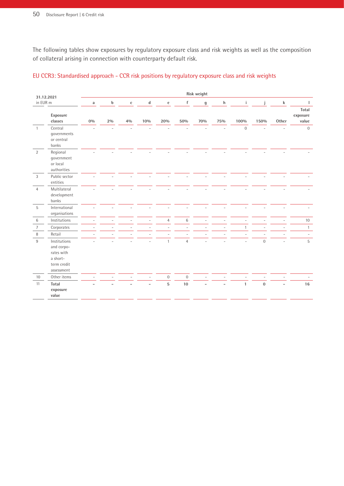The following tables show exposures by regulatory exposure class and risk weights as well as the composition of collateral arising in connection with counterparty default risk.

| 31.12.2021       |                                                                                   | Risk weight |             |             |             |                                   |                |                          |                           |                |                  |             |                            |  |
|------------------|-----------------------------------------------------------------------------------|-------------|-------------|-------------|-------------|-----------------------------------|----------------|--------------------------|---------------------------|----------------|------------------|-------------|----------------------------|--|
| in EUR m         |                                                                                   | $\mathbf a$ | $\mathsf b$ | $\mathbf c$ | $\mathsf d$ | $\mathsf{e}% _{t}\left( t\right)$ | f              | $\boldsymbol{g}$         | $\boldsymbol{\mathsf{h}}$ | j.             | j                | $\mathsf k$ | T                          |  |
|                  | Exposure<br>classes                                                               | $0\%$       | 2%          | 40/0        | 10%         | 20%                               | 50%            | 70%                      | 75%                       | 100%           | 150%             | Other       | Total<br>exposure<br>value |  |
| $\mathbf{1}$     | Central<br>governments<br>or central<br>banks                                     |             |             |             |             |                                   |                |                          |                           | $\overline{0}$ |                  |             | $\mathbf{0}$               |  |
| $\overline{2}$   | Regional<br>government<br>or local<br>authorities                                 |             |             |             |             |                                   |                |                          |                           |                |                  |             |                            |  |
| 3                | Public sector<br>entities                                                         |             |             |             |             |                                   |                |                          |                           |                |                  |             |                            |  |
| $\overline{4}$   | Multilateral<br>development<br>banks                                              |             |             |             |             |                                   |                |                          |                           |                |                  |             |                            |  |
| 5                | International<br>organisations                                                    |             |             |             |             |                                   |                |                          |                           |                |                  |             |                            |  |
| 6                | Institutions                                                                      | ÷           |             | ٠           | ٠           | $\overline{4}$                    | 6              | $\overline{\phantom{a}}$ | ×.                        | ÷              |                  | ÷           | 10                         |  |
| $\overline{7}$   | Corporates                                                                        |             |             | ×.          |             | ÷                                 |                | ٠                        |                           | $\mathbf{1}$   |                  |             | $\mathbf{1}$               |  |
| 8                | Retail                                                                            |             |             |             |             | $\overline{\phantom{a}}$          |                | ٠                        |                           |                |                  |             | $\sim$                     |  |
| $\boldsymbol{9}$ | Institutions<br>and corpo-<br>rates with<br>a short-<br>term credit<br>assessment |             |             |             |             | $\mathbf{1}$                      | $\overline{4}$ |                          |                           |                | $\boldsymbol{0}$ |             | 5                          |  |
| 10               | Other items                                                                       |             |             |             |             | $\boldsymbol{0}$                  | $\mathbf 0$    |                          |                           |                |                  |             |                            |  |
| 11               | Total<br>exposure<br>value                                                        |             |             |             |             | 5                                 | $10\,$         |                          |                           | $\mathbf{1}$   | $\mathbf 0$      |             | 16                         |  |

### EU CCR3: Standardised approach - CCR risk positions by regulatory exposure class and risk weights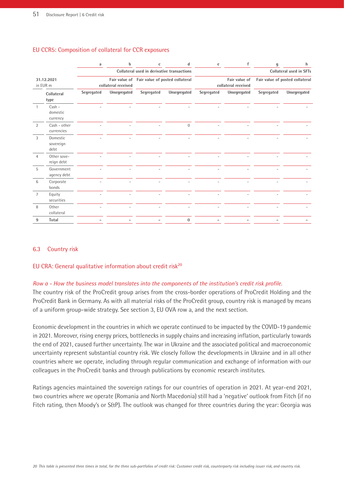|                |                                | a          | b                        | c                                             | d                        | e          | f                                    | g                               | h.                      |  |
|----------------|--------------------------------|------------|--------------------------|-----------------------------------------------|--------------------------|------------|--------------------------------------|---------------------------------|-------------------------|--|
|                |                                |            |                          | Collateral used in derivative transactions    |                          |            |                                      |                                 | Collateral used in SFTs |  |
|                | 31.12.2021<br>in EUR m         |            | collateral received      | Fair value of Fair value of posted collateral |                          |            | Fair value of<br>collateral received | Fair value of posted collateral |                         |  |
|                | Collateral<br>type             | Segregated | Unsegregated             | Segregated                                    | Unsegregated             | Segregated | Unsegregated                         |                                 | Unsegregated            |  |
|                | Cash -<br>domestic<br>currency |            |                          |                                               |                          |            |                                      |                                 |                         |  |
| 2              | Cash - other<br>currencies     |            |                          | ۰                                             | $\mathbf{0}$             |            |                                      |                                 |                         |  |
| 3              | Domestic<br>sovereign<br>debt  |            |                          | ٠                                             |                          |            |                                      |                                 |                         |  |
| $\overline{4}$ | Other sove-<br>reign debt      |            |                          | ٠                                             |                          | ×.         | ÷                                    |                                 |                         |  |
| 5              | Government<br>agency debt      |            |                          | ä,                                            |                          | ٠          | ÷                                    |                                 |                         |  |
| 6              | Corporate<br>bonds             |            | $\overline{\phantom{a}}$ | ÷,                                            | $\overline{\phantom{a}}$ | ٠          | $\overline{\phantom{a}}$             |                                 |                         |  |
| $\overline{7}$ | Equity<br>securities           |            |                          | $\overline{a}$                                |                          |            |                                      |                                 |                         |  |
| 8              | Other<br>collateral            |            |                          |                                               |                          |            |                                      |                                 |                         |  |
| 9              | Total                          |            |                          |                                               | $\bf{0}$                 |            |                                      |                                 |                         |  |

#### EU CCR5: Composition of collateral for CCR exposures

#### 6.3 [Country risk](#page-2-0)

#### EU CRA: General qualitative information about credit risk<sup>20</sup>

#### *Row a - How the business model translates into the components of the institution's credit risk profile.*

The country risk of the ProCredit group arises from the cross-border operations of ProCredit Holding and the ProCredit Bank in Germany. As with all material risks of the ProCredit group, country risk is managed by means of a uniform group-wide strategy. See section 3, EU OVA row a, and the next section.

Economic development in the countries in which we operate continued to be impacted by the COVID-19 pandemic in 2021. Moreover, rising energy prices, bottlenecks in supply chains and increasing inflation, particularly towards the end of 2021, caused further uncertainty. The war in Ukraine and the associated political and macroeconomic uncertainty represent substantial country risk. We closely follow the developments in Ukraine and in all other countries where we operate, including through regular communication and exchange of information with our colleagues in the ProCredit banks and through publications by economic research institutes.

Ratings agencies maintained the sovereign ratings for our countries of operation in 2021. At year-end 2021, two countries where we operate (Romania and North Macedonia) still had a 'negative' outlook from Fitch (if no Fitch rating, then Moody's or S&P). The outlook was changed for three countries during the year: Georgia was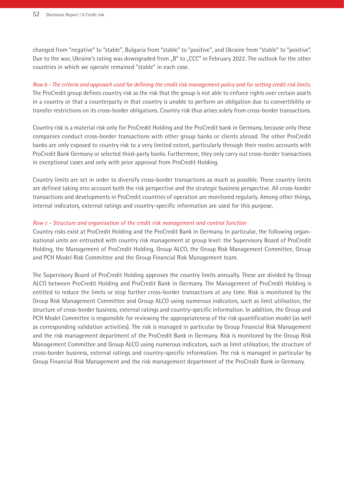changed from "negative" to "stable", Bulgaria from "stable" to "positive", and Ukraine from "stable" to "positive". Due to the war, Ukraine's rating was downgraded from "B" to "CCC" in February 2022. The outlook for the other countries in which we operate remained "stable" in each case.

### *Row b - The criteria and approach used for defining the credit risk management policy and for setting credit risk limits.*

The ProCredit group defines country risk as the risk that the group is not able to enforce rights over certain assets in a country or that a counterparty in that country is unable to perform an obligation due to convertibility or transfer restrictions on its cross-border obligations. Country risk thus arises solely from cross-border transactions.

Country risk is a material risk only for ProCredit Holding and the ProCredit bank in Germany, because only these companies conduct cross-border transactions with other group banks or clients abroad. The other ProCredit banks are only exposed to country risk to a very limited extent, particularly through their nostro accounts with ProCredit Bank Germany or selected third-party banks. Furthermore, they only carry out cross-border transactions in exceptional cases and only with prior approval from ProCredit Holding.

Country limits are set in order to diversify cross-border transactions as much as possible. These country limits are defined taking into account both the risk perspective and the strategic business perspective. All cross-border transactions and developments in ProCredit countries of operation are monitored regularly. Among other things, internal indicators, external ratings and country-specific information are used for this purpose.

#### *Row c - Structure and organisation of the credit risk management and control function*

Country risks exist at ProCredit Holding and the ProCredit Bank in Germany. In particular, the following organisational units are entrusted with country risk management at group level: the Supervisory Board of ProCredit Holding, the Management of ProCredit Holding, Group ALCO, the Group Risk Management Committee, Group and PCH Model Risk Committee and the Group Financial Risk Management team.

The Supervisory Board of ProCredit Holding approves the country limits annually. These are divided by Group ALCO between ProCredit Holding and ProCredit Bank in Germany. The Management of ProCredit Holding is entitled to reduce the limits or stop further cross-border transactions at any time. Risk is monitored by the Group Risk Management Committee and Group ALCO using numerous indicators, such as limit utilisation, the structure of cross-border business, external ratings and country-specific information. In addition, the Group and PCH Model Committee is responsible for reviewing the appropriateness of the risk quantification model (as well as corresponding validation activities). The risk is managed in particular by Group Financial Risk Management and the risk management department of the ProCredit Bank in Germany. Risk is monitored by the Group Risk Management Committee and Group ALCO using numerous indicators, such as limit utilisation, the structure of cross-border business, external ratings and country-specific information. The risk is managed in particular by Group Financial Risk Management and the risk management department of the ProCredit Bank in Germany.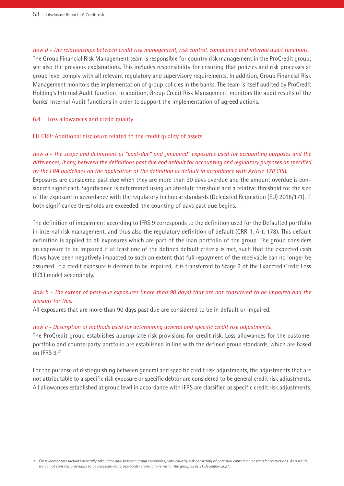#### *Row d - The relationships between credit risk management, risk control, compliance and internal audit functions.*

The Group Financial Risk Management team is responsible for country risk management in the ProCredit group; see also the previous explanations. This includes responsibility for ensuring that policies and risk processes at group level comply with all relevant regulatory and supervisory requirements. In addition, Group Financial Risk Management monitors the implementation of group policies in the banks. The team is itself audited by ProCredit Holding's Internal Audit function; in addition, Group Credit Risk Management monitors the audit results of the banks' Internal Audit functions in order to support the implementation of agreed actions.

#### 6.4 [Loss allowances and credit quality](#page-2-0)

#### EU CRB: Additional disclosure related to the credit quality of assets

### *Row a - The scope and definitions of "past-due" and "impaired" exposures used for accounting purposes and the differences, if any, between the definitions past due and default for accounting and regulatory purposes as specified by the EBA guidelines on the application of the definition of default in accordance with Article 178 CRR.*

Exposures are considered past due when they are more than 90 days overdue and the amount overdue is considered significant. Significance is determined using an absolute threshold and a relative threshold for the size of the exposure in accordance with the regulatory technical standards (Delegated Regulation (EU) 2018/171). If both significance thresholds are exceeded, the counting of days past due begins.

The definition of impairment according to IFRS 9 corresponds to the definition used for the Defaulted portfolio in internal risk management, and thus also the regulatory definition of default (CRR II, Art. 178). This default definition is applied to all exposures which are part of the loan portfolio of the group. The group considers an exposure to be impaired if at least one of the defined default criteria is met, such that the expected cash flows have been negatively impacted to such an extent that full repayment of the receivable can no longer be assumed. If a credit exposure is deemed to be impaired, it is transferred to Stage 3 of the Expected Credit Loss (ECL) model accordingly.

### *Row b - The extent of past-due exposures (more than 90 days) that are not considered to be impaired and the reasons for this.*

All exposures that are more than 90 days past due are considered to be in default or impaired.

#### *Row c - Description of methods used for determining general and specific credit risk adjustments.*

The ProCredit group establishes appropriate risk provisions for credit risk. Loss allowances for the customer portfolio and counterparty portfolio are established in line with the defined group standards, which are based on IFRS 9.21

For the purpose of distinguishing between general and specific credit risk adjustments, the adjustments that are not attributable to a specific risk exposure or specific debtor are considered to be general credit risk adjustments. All allowances established at group level in accordance with IFRS are classified as specific credit risk adjustments.

*21 Cross-border transactions generally take place only between group companies, with country risk consisting of potential conversion or transfer restrictions. As a result, we do not consider provisions to be necessary for cross-border transactions within the group as of 31 December 2021.*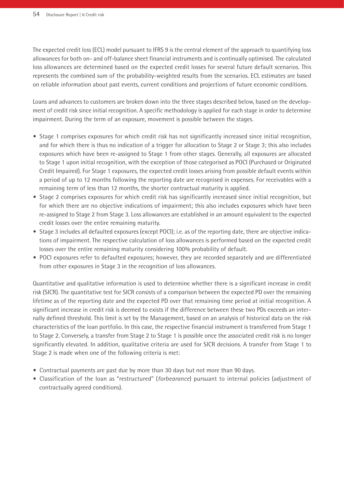The expected credit loss (ECL) model pursuant to IFRS 9 is the central element of the approach to quantifying loss allowances for both on- and off-balance sheet financial instruments and is continually optimised. The calculated loss allowances are determined based on the expected credit losses for several future default scenarios. This represents the combined sum of the probability-weighted results from the scenarios. ECL estimates are based on reliable information about past events, current conditions and projections of future economic conditions.

Loans and advances to customers are broken down into the three stages described below, based on the development of credit risk since initial recognition. A specific methodology is applied for each stage in order to determine impairment. During the term of an exposure, movement is possible between the stages.

- **•** Stage 1 comprises exposures for which credit risk has not significantly increased since initial recognition, and for which there is thus no indication of a trigger for allocation to Stage 2 or Stage 3; this also includes exposures which have been re-assigned to Stage 1 from other stages. Generally, all exposures are allocated to Stage 1 upon initial recognition, with the exception of those categorised as POCI (Purchased or Originated Credit Impaired). For Stage 1 exposures, the expected credit losses arising from possible default events within a period of up to 12 months following the reporting date are recognised in expenses. For receivables with a remaining term of less than 12 months, the shorter contractual maturity is applied.
- **•** Stage 2 comprises exposures for which credit risk has significantly increased since initial recognition, but for which there are no objective indications of impairment; this also includes exposures which have been re-assigned to Stage 2 from Stage 3. Loss allowances are established in an amount equivalent to the expected credit losses over the entire remaining maturity.
- **•** Stage 3 includes all defaulted exposures (except POCI); i.e. as of the reporting date, there are objective indications of impairment. The respective calculation of loss allowances is performed based on the expected credit losses over the entire remaining maturity considering 100% probability of default.
- **•** POCI exposures refer to defaulted exposures; however, they are recorded separately and are differentiated from other exposures in Stage 3 in the recognition of loss allowances.

Quantitative and qualitative information is used to determine whether there is a significant increase in credit risk (SICR). The quantitative test for SICR consists of a comparison between the expected PD over the remaining lifetime as of the reporting date and the expected PD over that remaining time period at initial recognition. A significant increase in credit risk is deemed to exists if the difference between these two PDs exceeds an internally defined threshold. This limit is set by the Management, based on an analysis of historical data on the risk characteristics of the loan portfolio. In this case, the respective financial instrument is transferred from Stage 1 to Stage 2. Conversely, a transfer from Stage 2 to Stage 1 is possible once the associated credit risk is no longer significantly elevated. In addition, qualitative criteria are used for SICR decisions. A transfer from Stage 1 to Stage 2 is made when one of the following criteria is met:

- **•** Contractual payments are past due by more than 30 days but not more than 90 days.
- **•** Classification of the loan as "restructured" (*forbearance*) pursuant to internal policies (adjustment of contractually agreed conditions).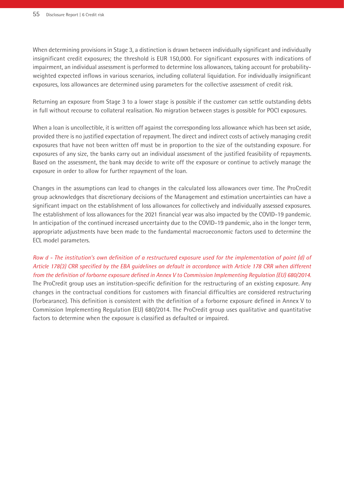When determining provisions in Stage 3, a distinction is drawn between individually significant and individually insignificant credit exposures; the threshold is EUR 150,000. For significant exposures with indications of impairment, an individual assessment is performed to determine loss allowances, taking account for probabilityweighted expected inflows in various scenarios, including collateral liquidation. For individually insignificant exposures, loss allowances are determined using parameters for the collective assessment of credit risk.

Returning an exposure from Stage 3 to a lower stage is possible if the customer can settle outstanding debts in full without recourse to collateral realisation. No migration between stages is possible for POCI exposures.

When a loan is uncollectible, it is written off against the corresponding loss allowance which has been set aside, provided there is no justified expectation of repayment. The direct and indirect costs of actively managing credit exposures that have not been written off must be in proportion to the size of the outstanding exposure. For exposures of any size, the banks carry out an individual assessment of the justified feasibility of repayments. Based on the assessment, the bank may decide to write off the exposure or continue to actively manage the exposure in order to allow for further repayment of the loan.

Changes in the assumptions can lead to changes in the calculated loss allowances over time. The ProCredit group acknowledges that discretionary decisions of the Management and estimation uncertainties can have a significant impact on the establishment of loss allowances for collectively and individually assessed exposures. The establishment of loss allowances for the 2021 financial year was also impacted by the COVID-19 pandemic. In anticipation of the continued increased uncertainty due to the COVID-19 pandemic, also in the longer term, appropriate adjustments have been made to the fundamental macroeconomic factors used to determine the ECL model parameters.

### *Row d - The institution's own definition of a restructured exposure used for the implementation of point (d) of Article 178(3) CRR specified by the EBA guidelines on default in accordance with Article 178 CRR when different from the definition of forborne exposure defined in Annex V to Commission Implementing Regulation (EU) 680/2014.*

The ProCredit group uses an institution-specific definition for the restructuring of an existing exposure. Any changes in the contractual conditions for customers with financial difficulties are considered restructuring (forbearance). This definition is consistent with the definition of a forborne exposure defined in Annex V to Commission Implementing Regulation (EU) 680/2014. The ProCredit group uses qualitative and quantitative factors to determine when the exposure is classified as defaulted or impaired.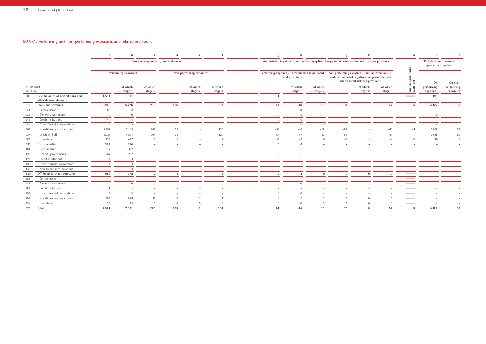# EU CR1: Performing and non-performing exposures and related provisions

|  | Gross carrying amount / nominal amount |  |  |  | Accumulated impairment accumulated persition channes in fair value due to credit |  |
|--|----------------------------------------|--|--|--|----------------------------------------------------------------------------------|--|

|            |                                                            | a                    |                                        | $\mathbf{C}$             |                          |                          |                          |  |                                                                 |                                                                                                      |                          |                          |                                                                                                                                         |                          | m                        |                                                        |            |
|------------|------------------------------------------------------------|----------------------|----------------------------------------|--------------------------|--------------------------|--------------------------|--------------------------|--|-----------------------------------------------------------------|------------------------------------------------------------------------------------------------------|--------------------------|--------------------------|-----------------------------------------------------------------------------------------------------------------------------------------|--------------------------|--------------------------|--------------------------------------------------------|------------|
|            |                                                            |                      | Gross carrying amount / nominal amount |                          |                          |                          |                          |  |                                                                 | Accumulated impairment, accumulated negative changes in fair value due to credit risk and provisions |                          |                          |                                                                                                                                         |                          |                          | <b>Collateral and financial</b><br>quarantees received |            |
|            |                                                            | Performing exposures |                                        |                          |                          | Non-performing exposures |                          |  | Performing exposures - accumulated impairment<br>and provisions |                                                                                                      |                          |                          | Non-performing exposures - accumulated impair-<br>ment, accumulated negative changes in fair value<br>due to credit risk and provisions |                          |                          | On                                                     | On non-    |
| 31.12.2021 |                                                            | of which             |                                        | of which                 |                          | of which                 | of which                 |  |                                                                 | of which<br>of which                                                                                 |                          |                          | of which                                                                                                                                | of which                 |                          | performing                                             | performing |
| in EUR m   |                                                            |                      | stage 1                                | stage 2                  |                          | stage 2                  | stage 3                  |  |                                                                 | stage 1                                                                                              | stage 2                  |                          | stage 2                                                                                                                                 | stage 3                  | Accur<br>write           | exposures                                              | exposures  |
| 005        | Cash balances at central bank and<br>other demand deposits | 1,531                | 1,531                                  | $\overline{\phantom{0}}$ | $\overline{\phantom{a}}$ |                          | $\overline{\phantom{a}}$ |  | $-1$                                                            | $-1$                                                                                                 | $\overline{\phantom{a}}$ | $\overline{\phantom{a}}$ | $\overline{\phantom{0}}$                                                                                                                |                          | <b>Contract Contract</b> | 190                                                    |            |
| 010        | Loans and advances                                         | 5,940                | 5,726                                  | 215                      | 136                      | $\overline{\phantom{0}}$ | 133                      |  | $-64$                                                           | $-46$                                                                                                | $-18$                    | $-68$                    | $\overline{\phantom{0}}$                                                                                                                | $-67$                    | $-5$                     | 4,122                                                  | 56         |
| 020        | Central banks                                              | 83                   | 83                                     |                          |                          |                          |                          |  | $\cap$                                                          |                                                                                                      |                          |                          |                                                                                                                                         |                          |                          |                                                        |            |
| 030        | General governments                                        | $\overline{0}$       | $\Omega$                               | $\sim$                   |                          |                          |                          |  | $\cap$                                                          | $\cap$                                                                                               |                          |                          |                                                                                                                                         | $\sim$                   | $\overline{\phantom{a}}$ | $\Omega$                                               |            |
| 040        | Credit institutions                                        | 44                   | 44                                     | $\overline{\phantom{a}}$ |                          |                          |                          |  | $\Omega$                                                        |                                                                                                      |                          |                          |                                                                                                                                         |                          |                          |                                                        |            |
| 050        | Other financial corporations                               | 22                   | 22                                     | $\overline{0}$           | $\Omega$                 |                          | $\Omega$                 |  | $\Omega$                                                        |                                                                                                      | $\Omega$                 | $\Omega$                 |                                                                                                                                         | $\Omega$                 |                          |                                                        |            |
| 060        | Non-financial corporations                                 | 5,357                | 5,149                                  | 208                      | 128                      |                          | 126                      |  | $-58$                                                           | $-40$                                                                                                | $-18$                    | $-64$                    |                                                                                                                                         | $-63$                    | $-4$                     | 3,808                                                  | 53         |
| 070        | of which: SME                                              | 5,031                | 4,827                                  | 204                      | 125                      |                          | 124                      |  | $-54$                                                           | $-37$                                                                                                | $-17$                    | $-62$                    |                                                                                                                                         | $-61$                    | $\overline{\phantom{a}}$ | 3,625                                                  | 52         |
| 080        | Households                                                 | 434                  | 427                                    | $\overline{7}$           | 8                        |                          |                          |  | $-6$                                                            | $-6$                                                                                                 | $\cap$                   | $-4$                     |                                                                                                                                         | $-4$                     | $\mathbf{0}$             | 310                                                    |            |
| 090        | Debt securities                                            | 394                  | 394                                    | $\overline{\phantom{a}}$ | $\sim$                   | $\overline{\phantom{0}}$ |                          |  | $\Omega$                                                        | $\Omega$                                                                                             | $\overline{\phantom{0}}$ | $\overline{\phantom{0}}$ | $\overline{\phantom{a}}$                                                                                                                | $\overline{\phantom{a}}$ | $\overline{\phantom{a}}$ | $\overline{\phantom{0}}$                               |            |
| 100        | Central banks                                              | 117                  | 117                                    |                          |                          |                          |                          |  | $\Omega$                                                        | $\cap$                                                                                               |                          |                          |                                                                                                                                         |                          |                          |                                                        |            |
| 110        | General governments                                        | 267                  | 267                                    |                          |                          |                          |                          |  | $\Omega$                                                        |                                                                                                      |                          |                          |                                                                                                                                         |                          |                          |                                                        |            |
| 120        | Credit institutions                                        | $\overline{4}$       |                                        | $\sim$                   |                          |                          |                          |  | $\Omega$                                                        | $\cap$                                                                                               |                          |                          |                                                                                                                                         | $\overline{\phantom{a}}$ | $- -$                    |                                                        |            |
| 130        | Other financial corporations                               |                      |                                        |                          |                          |                          |                          |  | $\Omega$                                                        |                                                                                                      |                          |                          |                                                                                                                                         |                          |                          |                                                        |            |
| 140        | Non-financial corporations                                 | 3                    |                                        | -                        |                          |                          |                          |  | $\Omega$                                                        |                                                                                                      |                          |                          |                                                                                                                                         |                          |                          |                                                        |            |
| 150        | Off-balance-sheet exposures                                | 986                  | 972                                    | 12                       | $\overline{2}$           |                          |                          |  | $\mathbf{3}$                                                    | $\mathcal{P}$                                                                                        | $\Omega$                 | $\Omega$                 | $\Omega$                                                                                                                                | $\Omega$                 | <b>Contract Contract</b> |                                                        |            |
| 160        | Central banks                                              |                      |                                        |                          |                          |                          |                          |  |                                                                 |                                                                                                      |                          |                          |                                                                                                                                         |                          | <b>Contract Contract</b> |                                                        |            |
| 170        | General governments                                        | $\overline{0}$       | $\Omega$                               | $\sim$                   |                          |                          |                          |  | $\cap$                                                          | $\cap$                                                                                               |                          |                          |                                                                                                                                         | $\sim$                   | <b>Contract Contract</b> |                                                        |            |
| 180        | Credit institutions                                        |                      | $\sim$                                 | $\overline{\phantom{a}}$ |                          |                          |                          |  |                                                                 |                                                                                                      |                          |                          |                                                                                                                                         | $\overline{\phantom{a}}$ | <b>Contract Contract</b> |                                                        |            |
| 190        | Other financial corporations                               | 3                    |                                        | $\overline{\phantom{a}}$ |                          |                          |                          |  | $\cap$                                                          |                                                                                                      |                          |                          |                                                                                                                                         |                          | <b>Contract Contract</b> |                                                        |            |
| 200        | Non-financial corporations                                 | 959                  | 946                                    | 11                       | $\mathcal{D}$            |                          |                          |  |                                                                 |                                                                                                      | $\cap$                   | $\Omega$                 | $\Omega$                                                                                                                                | $\Omega$                 | <b>Contract Contract</b> |                                                        |            |
| 210        | Households                                                 | 23                   | 23                                     | $\Omega$                 | $\overline{0}$           |                          | $\Omega$                 |  | $\cap$                                                          | $\Omega$                                                                                             | $\cap$                   | $\overline{0}$           | $\Omega$                                                                                                                                | $\overline{0}$           | <b>Contract Contract</b> |                                                        |            |
| 220        | Total                                                      | 7,321                | 7,091                                  | 226                      | 139                      |                          | 134                      |  | $-61$                                                           | $-44$                                                                                                | $-18$                    | $-67$                    | $\bf{0}$                                                                                                                                | $-67$                    | $-5$                     | 4,122                                                  | 56         |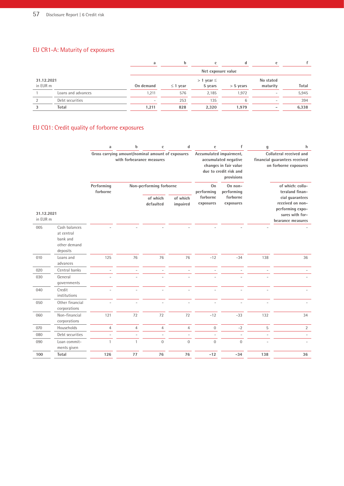### EU CR1-A: Maturity of exposures

|            |                    | a         | <sub>b</sub>       | е                 | d           | e                        |              |  |  |  |  |  |  |
|------------|--------------------|-----------|--------------------|-------------------|-------------|--------------------------|--------------|--|--|--|--|--|--|
|            |                    |           | Net exposure value |                   |             |                          |              |  |  |  |  |  |  |
| 31.12.2021 |                    |           |                    | $> 1$ year $\leq$ |             | No stated                |              |  |  |  |  |  |  |
| in EUR m   |                    | On demand | $\leq$ 1 year      | 5 years           | $> 5$ years | maturity                 | <b>Total</b> |  |  |  |  |  |  |
|            | Loans and advances | 1,211     | 576                | 2,185             | 1,972       | $\sim$                   | 5,945        |  |  |  |  |  |  |
|            | Debt securities    | $\sim$    | 253                | 135               | 6           | $\sim$                   | 394          |  |  |  |  |  |  |
|            | Total              | 1,211     | 828                | 2,320             | 1,979       | $\overline{\phantom{0}}$ | 6,338        |  |  |  |  |  |  |

# EU CQ1: Credit quality of forborne exposures

|            |                                                                     | a                                                 | b                        | $\mathbf c$               | $\mathbf d$              | e                        | f                                                                                     | g                                                                                 | h                                                                          |  |  |
|------------|---------------------------------------------------------------------|---------------------------------------------------|--------------------------|---------------------------|--------------------------|--------------------------|---------------------------------------------------------------------------------------|-----------------------------------------------------------------------------------|----------------------------------------------------------------------------|--|--|
|            |                                                                     | Gross carrying amount/nominal amount of exposures |                          | with forbearance measures |                          | Accumulated impairment,  | accumulated negative<br>changes in fair value<br>due to credit risk and<br>provisions | Collateral received and<br>financial quarantees received<br>on forborne exposures |                                                                            |  |  |
|            |                                                                     | Performing<br>forborne                            |                          | Non-performing forborne   |                          | On<br>performing         | On non-<br>performing                                                                 |                                                                                   | of which: colla-<br>teraland finan-                                        |  |  |
| 31.12.2021 |                                                                     |                                                   |                          | of which<br>defaulted     | of which<br>impaired     | forborne<br>exposures    | forborne<br>exposures                                                                 |                                                                                   | cial quarantees<br>received on non-<br>performing expo-<br>sures with for- |  |  |
| in EUR m   |                                                                     |                                                   |                          |                           |                          |                          |                                                                                       |                                                                                   | bearance measures                                                          |  |  |
| 005        | Cash balances<br>at central<br>bank and<br>other demand<br>deposits |                                                   |                          |                           |                          |                          |                                                                                       |                                                                                   |                                                                            |  |  |
| 010        | Loans and<br>advances                                               | 125                                               | 76                       | 76                        | 76                       | $-12$                    | $-34$                                                                                 | 138                                                                               | 36                                                                         |  |  |
| 020        | Central banks                                                       |                                                   |                          |                           |                          |                          |                                                                                       |                                                                                   |                                                                            |  |  |
| 030        | General<br>governments                                              |                                                   |                          |                           |                          |                          |                                                                                       |                                                                                   |                                                                            |  |  |
| 040        | Credit<br>institutions                                              |                                                   |                          |                           |                          |                          |                                                                                       |                                                                                   |                                                                            |  |  |
| 050        | Other financial<br>corporations                                     |                                                   |                          |                           |                          |                          |                                                                                       |                                                                                   |                                                                            |  |  |
| 060        | Non-financial<br>corporations                                       | 121                                               | 72                       | 72                        | 72                       | $-12$                    | $-33$                                                                                 | 132                                                                               | 34                                                                         |  |  |
| 070        | Households                                                          | 4                                                 | 4                        | $\overline{4}$            | $\overline{4}$           | $\boldsymbol{0}$         | $-2$                                                                                  | 5                                                                                 | $\overline{2}$                                                             |  |  |
| 080        | Debt securities                                                     | $\sim$                                            | $\overline{\phantom{a}}$ | i.                        | $\overline{\phantom{0}}$ | $\overline{\phantom{a}}$ | $\bar{ }$                                                                             |                                                                                   |                                                                            |  |  |
| 090        | Loan commit-<br>ments given                                         | $\mathbf{1}$                                      | $\mathbf{1}$             | $\Omega$                  | $\overline{0}$           | $\overline{0}$           | $\mathbf{0}$                                                                          |                                                                                   |                                                                            |  |  |
| 100        | Total                                                               | 126                                               | 77                       | 76                        | 76                       | $-12$                    | $-34$                                                                                 | 138                                                                               | 36                                                                         |  |  |
|            |                                                                     |                                                   |                          |                           |                          |                          |                                                                                       |                                                                                   |                                                                            |  |  |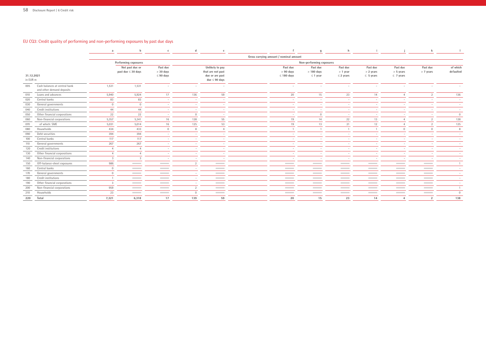# EU CQ3: Credit quality of performing and non-performing exposures by past due days

|                        |                                                            |                                                  |                          |                                           |               |                                                                               | Gross carrying amount / nominal amount     |                                           |                                          |                                           |                                           |                          |                       |
|------------------------|------------------------------------------------------------|--------------------------------------------------|--------------------------|-------------------------------------------|---------------|-------------------------------------------------------------------------------|--------------------------------------------|-------------------------------------------|------------------------------------------|-------------------------------------------|-------------------------------------------|--------------------------|-----------------------|
|                        |                                                            | Performing exposures<br>Non-performing exposures |                          |                                           |               |                                                                               |                                            |                                           |                                          |                                           |                                           |                          |                       |
| 31.12.2021<br>in EUR m |                                                            | Not past due or<br>past due $\leq$ 30 days       |                          | Past due<br>$> 30$ days<br>$\leq 90$ days |               | Unlikely to pay<br>that are not past<br>due or are past<br>$due \leq 90 days$ | Past due<br>$> 90$ days<br>$\leq$ 180 days | Past due<br>$> 180$ days<br>$\leq$ 1 year | Past due<br>$> 1$ year<br>$\leq$ 2 years | Past due<br>$> 2$ years<br>$\leq 5$ years | Past due<br>$> 5$ years<br>$\leq$ 7 years | Past due<br>> 7 years    | of which<br>defaulted |
| 005                    | Cash balances at central bank<br>and other demand deposits | 1,531                                            | 1,531                    | $\sim$                                    |               |                                                                               |                                            | $\sim$<br>$\sim$                          |                                          |                                           |                                           |                          |                       |
| 010                    | Loans and advances                                         | 5,940                                            | 5,924                    | 17                                        | 136           | 59                                                                            |                                            | 20<br>15                                  | 23                                       | 14                                        | $\overline{4}$                            | $\mathcal{D}$            | 136                   |
| 020                    | Central banks                                              | 83                                               | 83                       | $\overline{\phantom{a}}$                  |               |                                                                               |                                            |                                           |                                          |                                           |                                           |                          |                       |
| 030                    | General governments                                        | $\overline{0}$                                   | $\overline{0}$           | $\sim$                                    |               |                                                                               |                                            | $\sim$                                    |                                          |                                           |                                           |                          |                       |
| 040                    | Credit institutions                                        | 44                                               | 44                       | $\overline{\phantom{a}}$                  |               |                                                                               |                                            | $\overline{\phantom{a}}$                  |                                          |                                           |                                           |                          |                       |
| 050                    | Other financial corporations                               | 22                                               | 22                       | $\sim$                                    | $\Omega$      |                                                                               |                                            | $\overline{0}$                            |                                          |                                           |                                           |                          | $\Omega$              |
| 060                    | Non-financial corporations                                 | 5,357                                            | 5,341                    | 16                                        | 128           | 55                                                                            |                                            | 19<br>14                                  | 22                                       | 13                                        |                                           |                          | 128                   |
| 070                    | of which: SME                                              | 5,031                                            | 5,014                    | 16                                        | 125           | 53                                                                            |                                            | 19<br>13                                  | 21                                       | 12                                        |                                           |                          | 125                   |
| 080                    | Households                                                 | 434                                              | 433                      | $\overline{0}$                            | $\mathcal{R}$ |                                                                               |                                            | $\mathbf{1}$                              |                                          |                                           | $\Omega$                                  | $\cap$                   | $\mathcal{R}$         |
| 090                    | Debt securities                                            | 394                                              | 394                      | $\overline{\phantom{a}}$                  |               |                                                                               |                                            |                                           |                                          |                                           |                                           |                          |                       |
| 100                    | Central banks                                              | 117                                              | 117                      | $\sim$                                    |               |                                                                               |                                            |                                           |                                          |                                           |                                           |                          |                       |
| 110                    | General governments                                        | 267                                              | 267                      |                                           |               |                                                                               |                                            |                                           |                                          |                                           |                                           |                          |                       |
| 120                    | Credit institutions                                        |                                                  |                          |                                           |               |                                                                               |                                            |                                           |                                          |                                           |                                           |                          |                       |
| 130                    | Other financial corporations                               |                                                  | $\Delta$                 | $\overline{\phantom{a}}$                  |               |                                                                               |                                            | $\sim$                                    | $\sim$                                   |                                           | $\overline{\phantom{a}}$                  |                          |                       |
| 140                    | Non-financial corporations                                 | $\mathcal{L}$                                    | $\mathcal{L}$            |                                           |               |                                                                               |                                            | $\overline{\phantom{a}}$                  |                                          |                                           |                                           |                          |                       |
| 150                    | Off-balance-sheet exposures                                | 986                                              | <b>Contract Contract</b> | <b>Contract Contract</b>                  |               | <b>Contract Contract</b>                                                      | <b>Contract Contract</b>                   | <b>Contract Contract</b>                  | <b>Contract Contract</b>                 | <b>Contract Contract</b>                  | <b>Contract Contract</b>                  | <b>Contract Contract</b> |                       |
| 160                    | Central banks                                              | $\Omega$                                         | <b>Contract Contract</b> | <b>Contract Contract</b>                  | <b>COL</b>    | <b>Contract Contract</b>                                                      | <b>Contract Contract</b>                   | <b>Contract Contract</b>                  | <b>Contract Contract</b>                 | <b>Contract Contract</b>                  | <b>Contract Contract</b>                  | <b>Contract Contract</b> |                       |
| 170                    | General governments                                        | $\Omega$                                         | <b>Contract Contract</b> | <b>Contract Contract</b>                  |               | <b>Contract Contract</b>                                                      | <b>Contract Contract</b>                   | <b>Contract Contract</b>                  | <b>Contract Contract</b>                 | <b>Contract Contract</b>                  | <b>Contract Contract</b>                  | <b>Contract Contract</b> |                       |
| 180                    | Credit institutions                                        |                                                  | <b>Contract Contract</b> | <b>Contract Contract</b>                  |               | <b>Contract Contract</b>                                                      | <b>Contract Contract</b>                   | <b>Contract Contract</b>                  | <b>Contract Contract</b>                 | <b>Contract Contract</b>                  | <b>Contract Contract</b>                  | <b>Contract Contract</b> |                       |
| 190                    | Other financial corporations                               | 3                                                | <b>Contract Contract</b> | <b>Contract Contract</b>                  |               | <b>Contract Contract</b>                                                      | <b>Contract Contract</b>                   | <b>Contract Contract</b>                  | <b>Contract Contract</b>                 | <b>Contract Contract</b>                  | <b>Contract Contract</b>                  | <b>Contract Contract</b> |                       |
| 200                    | Non-financial corporations                                 | 959                                              | <b>Contract Contract</b> | <b>Contract Contract</b>                  | $\gamma$      | <b>Contract Contract</b>                                                      | <b>Contract Contract</b>                   | <b>Contract Contract</b>                  | <b>Contract Contract</b>                 | <b>Contract Contract</b>                  | <b>Contract Contract</b>                  | <b>Contract Contract</b> |                       |
| 210                    | Households                                                 | 23                                               | <b>Contract Contract</b> | <b>Contract Contract</b>                  | $\Omega$      | <b>Contract Contract</b>                                                      | <b>Contract Contract</b>                   | <b>Contract Contract</b>                  | <b>Contract Contract</b>                 | <b>Contract Contract</b>                  | <b>Contract Contract</b>                  | <b>Contract Contract</b> | $\Omega$              |
| 220                    | Total                                                      | 7,321                                            | 6,318                    | 17                                        | 139           | 59                                                                            |                                            | 20<br>15                                  | 23                                       | 14                                        | $\overline{4}$                            |                          | 138                   |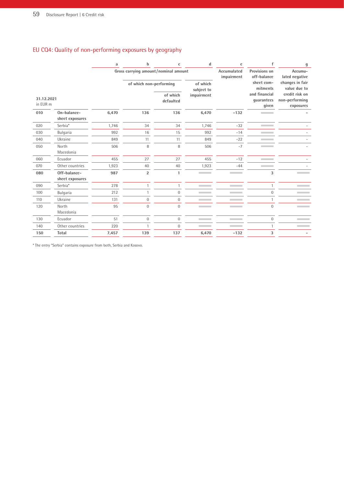|            |                                 | a     | b                                    | c                | d                        | e                         | f                            | g                               |
|------------|---------------------------------|-------|--------------------------------------|------------------|--------------------------|---------------------------|------------------------------|---------------------------------|
|            |                                 |       | Gross carrying amount/nominal amount |                  |                          | Accumulated<br>impairment | Provisions on<br>off-balance | Accumu-<br>lated negative       |
|            |                                 |       | of which non-performing              |                  | of which<br>subject to   |                           | sheet com-<br>mitments       | changes in fair<br>value due to |
| 31.12.2021 |                                 |       |                                      | of which         | impairment               |                           | and financial                | credit risk on                  |
| in EUR m   |                                 |       |                                      | defaulted        |                          |                           | quarantees<br>qiven          | non-performing<br>exposures     |
| 010        | On-balance-                     | 6,470 | 136                                  | 136              | 6,470                    | $-132$                    |                              |                                 |
|            | sheet exposures                 |       |                                      |                  |                          |                           |                              |                                 |
| 020        | Serbia*                         | 1,746 | 34                                   | 34               | 1,746                    | $-32$                     |                              |                                 |
| 030        | Bulgaria                        | 992   | 16                                   | 15               | 992                      | $-14$                     | <b>Contract</b>              |                                 |
| 040        | Ukraine                         | 849   | 11                                   | 11               | 849                      | $-22$                     |                              |                                 |
| 050        | North<br>Macedonia              | 506   | 8                                    | 8                | 506                      | $-7$                      | <b>Contract</b>              |                                 |
| 060        | Ecuador                         | 455   | 27                                   | 27               | 455                      | $-12$                     | <b>Contract Contract</b>     |                                 |
| 070        | Other countries                 | 1,923 | 40                                   | 40               | 1,923                    | $-44$                     |                              |                                 |
| 080        | Off-balance-<br>sheet exposures | 987   | $\overline{2}$                       | $\mathbf{1}$     | <b>College</b>           |                           | 3                            |                                 |
| 090        | Serbia*                         | 278   |                                      | 1                | <b>Contract Contract</b> | <b>Contract</b>           | $\mathbf{1}$                 | <b>The College</b>              |
| 100        | Bulgaria                        | 212   |                                      | $\mathbf{0}$     | <b>The College</b>       |                           | $\mathbf{0}$                 | <b>College</b>                  |
| 110        | Ukraine                         | 131   | $\Omega$                             | $\mathbf{0}$     |                          |                           |                              |                                 |
| 120        | North<br>Macedonia              | 95    | $\Omega$                             | $\mathbf{0}$     | <b>Contract</b>          |                           | $\mathbf{0}$                 |                                 |
| 130        | Ecuador                         | 51    | $\mathbf 0$                          | $\mathbf 0$      | <b>The College</b>       | <b>Contract</b>           | $\boldsymbol{0}$             | <b>The State</b>                |
| 140        | Other countries                 | 220   |                                      | $\boldsymbol{0}$ |                          |                           | $\mathbf{1}$                 |                                 |
| 150        | <b>Total</b>                    | 7,457 | 139                                  | 137              | 6,470                    | $-132$                    | 3                            |                                 |

### EU CQ4: Quality of non-performing exposures by geography

\* The entry "Serbia" contains exposure from both, Serbia and Kosovo.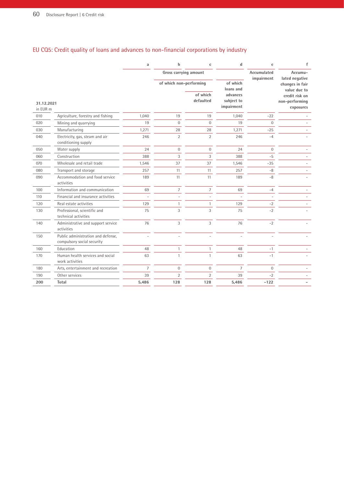### EU CQ5: Credit quality of loans and advances to non-financial corporations by industry

|                        |                                                                  | a              | $\mathbf b$             | $\mathbf c$           | d                                    | e                         | f                                             |
|------------------------|------------------------------------------------------------------|----------------|-------------------------|-----------------------|--------------------------------------|---------------------------|-----------------------------------------------|
|                        |                                                                  |                | Gross carrying amount   |                       |                                      | Accumulated<br>impairment | Accumu-<br>lated negative                     |
|                        |                                                                  |                | of which non-performing |                       | of which<br>loans and                |                           | changes in fair<br>value due to               |
| 31.12.2021<br>in EUR m |                                                                  |                |                         | of which<br>defaulted | advances<br>subject to<br>impairment |                           | credit risk on<br>non-performing<br>exposures |
| 010                    | Agriculture, forestry and fishing                                | 1,040          | 19                      | 19                    | 1,040                                | $-22$                     |                                               |
| 020                    | Mining and quarrying                                             | 19             | $\overline{0}$          | $\Omega$              | 19                                   | $\Omega$                  |                                               |
| 030                    | Manufacturing                                                    | 1,271          | 28                      | 28                    | 1,271                                | $-25$                     |                                               |
| 040                    | Electricity, gas, steam and air<br>conditioning supply           | 246            | $\overline{2}$          | 2                     | 246                                  | $-4$                      |                                               |
| 050                    | Water supply                                                     | 24             | $\overline{0}$          | $\overline{0}$        | 24                                   | $\overline{0}$            |                                               |
| 060                    | Construction                                                     | 388            | 3                       | 3                     | 388                                  | $-5$                      |                                               |
| 070                    | Wholesale and retail trade                                       | 1,546          | 37                      | 37                    | 1,546                                | $-35$                     |                                               |
| 080                    | Transport and storage                                            | 257            | 11                      | 11                    | 257                                  | $-8$                      |                                               |
| 090                    | Accommodation and food service<br>activities                     | 189            | 11                      | 11                    | 189                                  | $-8$                      |                                               |
| 100                    | Information and communication                                    | 69             | $\overline{7}$          | $\overline{7}$        | 69                                   | $-4$                      |                                               |
| 110                    | Financial and insurance activities                               |                |                         |                       |                                      |                           |                                               |
| 120                    | Real estate activities                                           | 129            | $\mathbf{1}$            | $\mathbf{1}$          | 129                                  | $-2$                      |                                               |
| 130                    | Professional, scientific and<br>technical activities             | 75             | 3                       | 3                     | 75                                   | $-2$                      |                                               |
| 140                    | Administrative and support service<br>activities                 | 76             | 3                       | 3                     | 76                                   | $-2$                      |                                               |
| 150                    | Public administration and defense,<br>compulsory social security |                |                         |                       |                                      |                           |                                               |
| 160                    | Education                                                        | 48             | $\mathbf{1}$            | $\mathbf{1}$          | 48                                   | $-1$                      |                                               |
| 170                    | Human health services and social<br>work activities              | 63             |                         | $\mathbf{1}$          | 63                                   | $-1$                      |                                               |
| 180                    | Arts, entertainment and recreation                               | $\overline{7}$ | $\mathbf 0$             | $\overline{0}$        | $\overline{7}$                       | $\Omega$                  |                                               |
| 190                    | Other services                                                   | 39             | $\overline{2}$          | $\overline{2}$        | 39                                   | $-2$                      |                                               |
| 200                    | Total                                                            | 5,486          | 128                     | 128                   | 5,486                                | $-122$                    |                                               |
|                        |                                                                  |                |                         |                       |                                      |                           |                                               |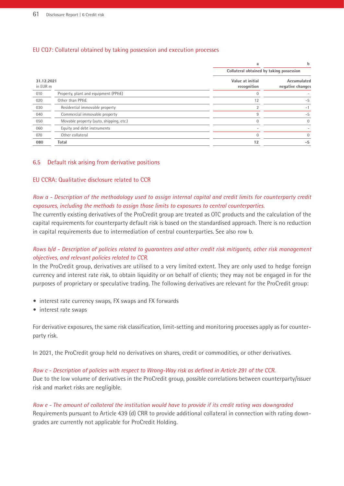#### EU CQ7: Collateral obtained by taking possession and execution processes

|                         |                                         | a                               | $\mathbf b$                              |
|-------------------------|-----------------------------------------|---------------------------------|------------------------------------------|
|                         |                                         |                                 | Collateral obtained by taking possession |
| 31.12.2021<br>in EUR m  |                                         | Value at initial<br>recognition | Accumulated<br>negative changes          |
| 010                     | Property, plant and equipment (PP&E)    | $\mathbf{0}$                    |                                          |
| Other than PP&E<br>020  |                                         | 12                              | $-5$                                     |
| 030                     | Residential immovable property          | $\overline{2}$                  | $-1$                                     |
| 040                     | Commercial immovable property           | 9                               | $-5$                                     |
| 050                     | Movable property (auto, shipping, etc.) | $\mathbf{0}$                    | $\Omega$                                 |
| 060                     | Equity and debt instruments             |                                 |                                          |
| Other collateral<br>070 |                                         | $\mathbf{0}$                    | $\Omega$                                 |
| <b>Total</b><br>080     |                                         | 12                              | $-5$                                     |

#### 6.5 [Default risk arising from derivative positions](#page-2-0)

#### EU CCRA: Qualitative disclosure related to CCR

### *Row a - Description of the methodology used to assign internal capital and credit limits for counterparty credit exposures, including the methods to assign those limits to exposures to central counterparties.*

The currently existing derivatives of the ProCredit group are treated as OTC products and the calculation of the capital requirements for counterparty default risk is based on the standardised approach. There is no reduction in capital requirements due to intermediation of central counterparties. See also row b.

#### *Rows b/d - Description of policies related to guarantees and other credit risk mitigants, other risk management objectives, and relevant policies related to CCR.*

In the ProCredit group, derivatives are utilised to a very limited extent. They are only used to hedge foreign currency and interest rate risk, to obtain liquidity or on behalf of clients; they may not be engaged in for the purposes of proprietary or speculative trading. The following derivatives are relevant for the ProCredit group:

- **•** interest rate currency swaps, FX swaps and FX forwards
- **•** interest rate swaps

For derivative exposures, the same risk classification, limit-setting and monitoring processes apply as for counterparty risk.

In 2021, the ProCredit group held no derivatives on shares, credit or commodities, or other derivatives.

#### *Row c - Description of policies with respect to Wrong-Way risk as defined in Article 291 of the CCR.*

Due to the low volume of derivatives in the ProCredit group, possible correlations between counterparty/issuer risk and market risks are negligible.

### *Row e - The amount of collateral the institution would have to provide if its credit rating was downgraded* Requirements pursuant to Article 439 (d) CRR to provide additional collateral in connection with rating downgrades are currently not applicable for ProCredit Holding.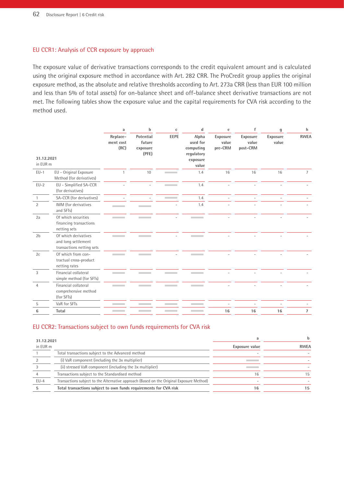#### EU CCR1: Analysis of CCR exposure by approach

The exposure value of derivative transactions corresponds to the credit equivalent amount and is calculated using the original exposure method in accordance with Art. 282 CRR. The ProCredit group applies the original exposure method, as the absolute and relative thresholds according to Art. 273a CRR (less than EUR 100 million and less than 5% of total assets) for on-balance sheet and off-balance sheet derivative transactions are not met. The following tables show the exposure value and the capital requirements for CVA risk according to the method used.

| a                             | b                                        | $\mathbf c$ | d                                            | e                            | f                                    | $\mathbf g$              | h              |
|-------------------------------|------------------------------------------|-------------|----------------------------------------------|------------------------------|--------------------------------------|--------------------------|----------------|
| Replace-<br>ment cost<br>(RC) | Potential<br>future<br>exposure<br>(PFE) | EEPE        | Alpha<br>used for<br>computing<br>regulatory | Exposure<br>value<br>pre-CRM | <b>Exposure</b><br>value<br>post-CRM | <b>Exposure</b><br>value | <b>RWEA</b>    |
|                               |                                          |             | value                                        |                              |                                      |                          |                |
| $\mathbf{1}$                  | 10                                       |             | 1.4                                          | 16                           | 16                                   | 16                       | $\overline{7}$ |
|                               |                                          |             | 1.4                                          |                              |                                      |                          |                |
|                               |                                          |             | 1.4                                          |                              |                                      |                          |                |
|                               |                                          |             | 1.4                                          |                              |                                      |                          |                |
|                               |                                          |             |                                              |                              |                                      |                          |                |
|                               |                                          |             |                                              |                              |                                      |                          |                |
|                               |                                          |             |                                              |                              |                                      |                          |                |
|                               |                                          |             |                                              |                              |                                      |                          |                |
|                               |                                          |             |                                              |                              |                                      |                          |                |
|                               |                                          |             |                                              |                              |                                      |                          |                |
|                               |                                          |             |                                              | 16                           | 16                                   | 16                       | $\overline{7}$ |
|                               |                                          |             |                                              | exposure                     |                                      |                          |                |

#### EU CCR2: Transactions subject to own funds requirements for CVA risk

| 31.12.2021 |                                                                                          |                |             |
|------------|------------------------------------------------------------------------------------------|----------------|-------------|
| in EUR m   |                                                                                          | Exposure value | <b>RWEA</b> |
|            | Total transactions subject to the Advanced method                                        |                |             |
|            | (i) VaR component (including the 3x multiplier)                                          |                |             |
|            | (ii) stressed VaR component (including the 3x multiplier)                                |                |             |
|            | Transactions subject to the Standardised method                                          | 16             | 15          |
| $EU - 4$   | Transactions subject to the Alternative approach (Based on the Original Exposure Method) |                |             |
|            | Total transactions subject to own funds requirements for CVA risk                        | 16             | 15          |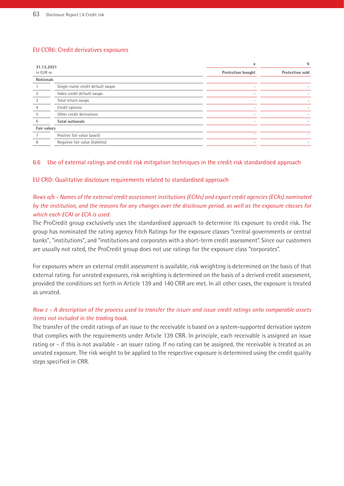#### EU CCR6: Credit derivatives exposures

| 31.12.2021         |                                  | a                        | b                      |
|--------------------|----------------------------------|--------------------------|------------------------|
| in EUR m           |                                  | <b>Protection bought</b> | <b>Protection sold</b> |
| <b>Notionals</b>   |                                  |                          |                        |
|                    | Single-name credit default swaps | $\overline{\phantom{a}}$ |                        |
|                    | Index credit default swaps       | -                        |                        |
| 3                  | Total return swaps               | -                        |                        |
|                    | Credit options                   | $\overline{\phantom{a}}$ |                        |
| b.                 | Other credit derivatives         | $\overline{\phantom{a}}$ |                        |
| 6                  | <b>Total notionals</b>           | $\overline{\phantom{a}}$ |                        |
| <b>Fair values</b> |                                  |                          |                        |
|                    | Positive fair value (asset)      |                          |                        |
| 8                  | Negative fair value (liability)  | -                        |                        |

#### 6.6 [Use of external ratings and credit risk mitigation techniques in the credit risk standardised approach](#page-2-0)

#### EU CRD: Qualitative disclosure requirements related to standardised approach

### *Rows a/b - Names of the external credit assessment institutions (ECAIs) and export credit agencies (ECAs) nominated by the institution, and the reasons for any changes over the disclosure period, as well as the exposure classes for which each ECAI or ECA is used.*

The ProCredit group exclusively uses the standardised approach to determine its exposure to credit risk. The group has nominated the rating agency Fitch Ratings for the exposure classes "central governments or central banks", "institutions", and "institutions and corporates with a short-term credit assessment". Since our customers are usually not rated, the ProCredit group does not use ratings for the exposure class "corporates".

For exposures where an external credit assessment is available, risk weighting is determined on the basis of that external rating. For unrated exposures, risk weighting is determined on the basis of a derived credit assessment, provided the conditions set forth in Article 139 and 140 CRR are met. In all other cases, the exposure is treated as unrated.

### *Row c - A description of the process used to transfer the issuer and issue credit ratings onto comparable assets items not included in the trading book.*

The transfer of the credit ratings of an issue to the receivable is based on a system-supported derivation system that complies with the requirements under Article 139 CRR. In principle, each receivable is assigned an issue rating or - if this is not available - an issuer rating. If no rating can be assigned, the receivable is treated as an unrated exposure. The risk weight to be applied to the respective exposure is determined using the credit quality steps specified in CRR.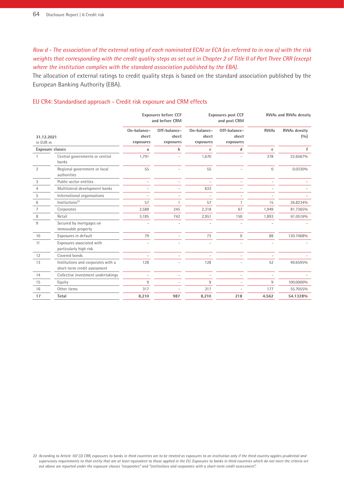*Row d - The association of the external rating of each nominated ECAI or ECA (as referred to in row a) with the risk weights that corresponding with the credit quality steps as set out in Chapter 2 of Title II of Part Three CRR (except where the institution complies with the standard association published by the EBA).*

The allocation of external ratings to credit quality steps is based on the standard association published by the European Banking Authority (EBA).

#### EU CR4: Standardised approach - Credit risk exposure and CRM effects

|                         |                                                                    |                                   | <b>Exposures before CCF</b><br>and before CRM | <b>Exposures post CCF</b><br>and post CRM |                                    |              | <b>RWAs and RWAs density</b> |
|-------------------------|--------------------------------------------------------------------|-----------------------------------|-----------------------------------------------|-------------------------------------------|------------------------------------|--------------|------------------------------|
| 31.12.2021<br>in EUR m  |                                                                    | On-balance-<br>sheet<br>exposures | Off-balance-<br>sheet<br>exposures            | On-balance-<br>sheet<br>exposures         | Off-balance-<br>sheet<br>exposures | <b>RWAs</b>  | <b>RWAs density</b><br>(0/0) |
| <b>Exposure classes</b> |                                                                    | a                                 | $\mathbf b$                                   | c                                         | d                                  | e            |                              |
|                         | Central governments or central<br>banks                            | 1,791                             |                                               | 1,670                                     |                                    | 378          | 22.6567%                     |
| $\overline{2}$          | Regional government or local<br>authorities                        | 55                                |                                               | 55                                        |                                    | $\mathbf{0}$ | 0.0330%                      |
| 3                       | Public sector entities                                             |                                   |                                               |                                           |                                    |              |                              |
| 4                       | Multilateral development banks                                     |                                   |                                               | 633                                       |                                    |              |                              |
| 5                       | International organisations                                        |                                   |                                               |                                           |                                    |              |                              |
| 6                       | Institutions <sup>22</sup>                                         | 57                                |                                               | 57                                        |                                    | 15           | 26.8234%                     |
| 7                       | Corporates                                                         | 2,588                             | 245                                           | 2,318                                     | 67                                 | 1,949        | 81.7365%                     |
| 8                       | Retail                                                             | 3,185                             | 742                                           | 2,951                                     | 150                                | 1,893        | 61.0516%                     |
| 9                       | Secured by mortgages on<br>immovable property                      |                                   |                                               |                                           |                                    |              |                              |
| 10                      | Exposures in default                                               | 79                                |                                               | 73                                        | $\mathbf{0}$                       | 88           | 120.7468%                    |
| 11                      | Exposures associated with<br>particularly high risk                |                                   |                                               |                                           |                                    |              |                              |
| 12                      | Covered bonds                                                      |                                   |                                               |                                           |                                    |              |                              |
| 13                      | Institutions and corporates with a<br>short-term credit assessment | 128                               |                                               | 128                                       |                                    | 52           | 40.6595%                     |
| 14                      | Collective investment undertakings                                 |                                   |                                               |                                           |                                    |              |                              |
| 15                      | Equity                                                             | 9                                 |                                               | 9                                         |                                    | 9            | 100.0000%                    |
| 16                      | Other items                                                        | 317                               |                                               | 317                                       |                                    | 177          | 55.7055%                     |
| 17                      | <b>Total</b>                                                       | 8,210                             | 987                                           | 8,210                                     | 218                                | 4,562        | 54.1328%                     |

*22 According to Article 107 (3) CRR, exposures to banks in third countries are to be treated as exposures to an institution only if the third country applies prudential and*  supervisory requirements to that entity that are at least equivalent to those applied in the EU. Exposures to banks in third countries which do not meet the criteria set *out above are reported under the exposure classes "corporates" and "institutions and corporates with a short-term credit assessment".*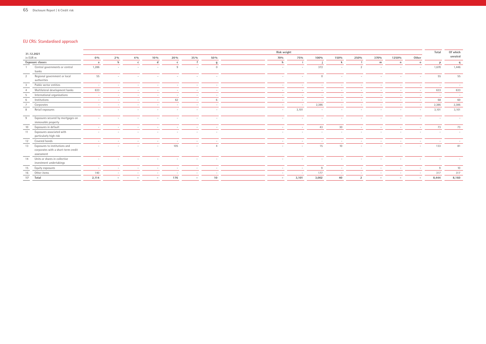### EU CR5: Standardised approach

|               | 31.12.2021                                                                            | Risk weight    |       |                |        |          |     |     |  |           |                          |                |      | Total | Of which |       |          |       |         |
|---------------|---------------------------------------------------------------------------------------|----------------|-------|----------------|--------|----------|-----|-----|--|-----------|--------------------------|----------------|------|-------|----------|-------|----------|-------|---------|
|               | in EUR m                                                                              | $0\%$          | $2\%$ | $4\frac{0}{0}$ | $10\%$ | 20%      | 35% | 50% |  | 70%       | 75%                      | 100%           | 150% | 250%  | 370%     | 1250% | Other    |       | unrated |
|               | Exposure classes                                                                      | $\overline{a}$ |       |                |        |          |     |     |  |           |                          |                |      |       |          |       | $\Omega$ |       | - 0     |
|               | Central governments or central<br>banks                                               | 1,286          |       |                |        | $\Omega$ |     |     |  |           |                          | 372            |      |       |          |       |          | 1,670 | 1,446   |
| 2             | Regional government or local<br>authorities                                           | 55             |       |                |        |          |     |     |  | $\sim$    | $\overline{\phantom{a}}$ | $\overline{0}$ |      |       |          |       |          | 55    | 55      |
| $\mathcal{L}$ | Public sector entities                                                                |                |       |                |        |          |     |     |  |           |                          |                |      |       |          |       |          |       |         |
|               | Multilateral development banks                                                        | 633            |       |                |        |          |     |     |  |           |                          |                |      |       |          |       |          | 633   | 633     |
|               | International organisations                                                           |                |       |                |        |          |     |     |  |           |                          |                |      |       |          |       |          |       | $\sim$  |
| 6             | Institutions                                                                          |                |       |                |        | 62       |     |     |  |           |                          |                |      |       |          |       |          | 68    | 60      |
|               | Corporates                                                                            |                |       |                |        |          |     |     |  |           |                          | 2,386          |      |       |          |       |          | 2,386 | 2,386   |
|               | 8 Retail exposures                                                                    |                |       |                |        |          |     |     |  | <b>м.</b> | 3,101                    |                |      |       |          |       |          | 3,101 | 3,101   |
| 9             | Exposures secured by mortgages on<br>immovable property                               |                |       |                |        |          |     |     |  |           |                          |                |      |       |          |       |          |       |         |
| 10            | Exposures in default                                                                  |                |       |                |        |          |     |     |  |           |                          | 43             | 30   |       |          |       |          | 73    | 73      |
| 11            | Exposures associated with<br>particularly high risk                                   |                |       |                |        |          |     |     |  |           |                          |                |      |       |          |       |          |       |         |
| 12            | Covered bonds                                                                         |                |       |                |        |          |     |     |  |           |                          |                |      |       |          |       |          |       |         |
|               | 13 Exposures to institutions and<br>corporates with a short-term credit<br>assessment |                |       |                |        | 105      |     |     |  |           |                          | 15             | 10   |       |          |       |          | 133   | 81      |
| 14            | Units or shares in collective<br>investment undertakings                              |                |       |                |        |          |     |     |  |           |                          |                |      |       |          |       |          |       |         |
| 15            | Equity exposures                                                                      |                |       |                |        |          |     |     |  |           |                          | $\Omega$       |      |       |          |       |          |       | 10      |
| 16            | Other items                                                                           | 140            |       |                |        |          |     |     |  |           |                          | 177            |      |       |          |       |          | 317   | 317     |
| 17            | Total                                                                                 | 2,114          |       |                |        | 176      |     |     |  |           | 3,101                    | 3,002          | 40   |       |          |       |          | 8,444 | 8,160   |
|               |                                                                                       |                |       |                |        |          |     |     |  |           |                          |                |      |       |          |       |          |       |         |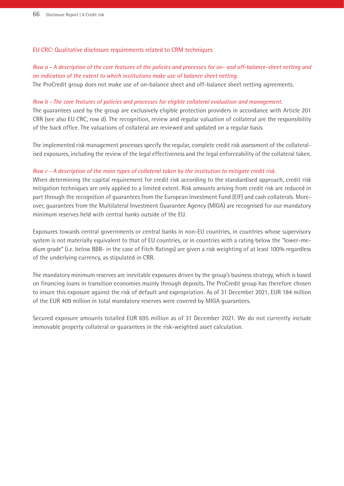#### EU CRC: Qualitative disclosure requirements related to CRM techniques

### *Row a - A description of the core features of the policies and processes for on- and off-balance-sheet netting and an indication of the extent to which institutions make use of balance sheet netting.*

The ProCredit group does not make use of on-balance sheet and off-balance sheet netting agreements.

#### *Row b - The core features of policies and processes for eligible collateral evaluation and management.*

The guarantees used by the group are exclusively eligible protection providers in accordance with Article 201 CRR (see also EU CRC, row d). The recognition, review and regular valuation of collateral are the responsibility of the back office. The valuations of collateral are reviewed and updated on a regular basis.

The implemented risk management processes specify the regular, complete credit risk assessment of the collateralised exposures, including the review of the legal effectiveness and the legal enforceability of the collateral taken.

#### *Row c - A description of the main types of collateral taken by the institution to mitigate credit risk.*

When determining the capital requirement for credit risk according to the standardised approach, credit risk mitigation techniques are only applied to a limited extent. Risk amounts arising from credit risk are reduced in part through the recognition of guarantees from the European Investment Fund (EIF) and cash collaterals. Moreover, guarantees from the Multilateral Investment Guarantee Agency (MIGA) are recognised for our mandatory minimum reserves held with central banks outside of the EU.

Exposures towards central governments or central banks in non-EU countries, in countries whose supervisory system is not materially equivalent to that of EU countries, or in countries with a rating below the "lower-medium grade" (i.e. below BBB- in the case of Fitch Ratings) are given a risk weighting of at least 100% regardless of the underlying currency, as stipulated in CRR.

The mandatory minimum reserves are inevitable exposures driven by the group's business strategy, which is based on financing loans in transition economies mainly through deposits. The ProCredit group has therefore chosen to insure this exposure against the risk of default and expropriation. As of 31 December 2021, EUR 184 million of the EUR 409 million in total mandatory reserves were covered by MIGA guarantees.

Secured exposure amounts totalled EUR 695 million as of 31 December 2021. We do not currently include immovable property collateral or guarantees in the risk-weighted asset calculation.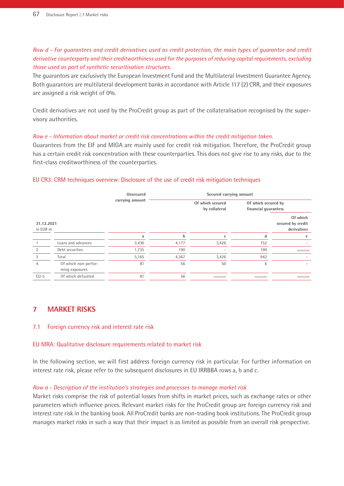### *Row d - For guarantees and credit derivatives used as credit protection, the main types of guarantor and credit derivative counterparty and their creditworthiness used for the purposes of reducing capital requirements, excluding those used as part of synthetic securitisation structures.*

The guarantors are exclusively the European Investment Fund and the Multilateral Investment Guarantee Agency. Both guarantors are multilateral development banks in accordance with Article 117 (2) CRR, and their exposures are assigned a risk weight of 0%.

Credit derivatives are not used by the ProCredit group as part of the collateralisation recognised by the supervisory authorities.

#### *Row e - Information about market or credit risk concentrations within the credit mitigation taken.*

Guarantees from the EIF and MIGA are mainly used for credit risk mitigation. Therefore, the ProCredit group has a certain credit risk concentration with these counterparties. This does not give rise to any risks, due to the first-class creditworthiness of the counterparties.

#### EU CR3: CRM techniques overview: Disclosure of the use of credit risk mitigation techniques

|                        |                                        | <b>Unsecured</b> | Secured carrying amount |                                   |                                             |                                              |  |  |  |  |  |
|------------------------|----------------------------------------|------------------|-------------------------|-----------------------------------|---------------------------------------------|----------------------------------------------|--|--|--|--|--|
|                        |                                        | carrying amount  |                         | Of which secured<br>by collateral | Of which secured by<br>financial quarantess |                                              |  |  |  |  |  |
| 31.12.2021<br>in EUR m |                                        |                  |                         |                                   |                                             | Of which<br>secured by credit<br>derivatives |  |  |  |  |  |
|                        |                                        | a                | b                       | c                                 | d                                           | e                                            |  |  |  |  |  |
|                        | Loans and advances                     | 3,430            | 4,177                   | 3,426                             | 752                                         |                                              |  |  |  |  |  |
| 2                      | Debt securities                        | 1,735            | 190                     |                                   | 190                                         |                                              |  |  |  |  |  |
| 3                      | Total                                  | 5,165            | 4,367                   | 3,426                             | 942                                         |                                              |  |  |  |  |  |
| $\overline{4}$         | Of which non-perfor-<br>ming exposures | 81               | 56                      | 50                                | 6                                           |                                              |  |  |  |  |  |
| $EU-5$                 | Of which defaulted                     | 81               | 56                      |                                   | <b>The Common</b>                           |                                              |  |  |  |  |  |

### **7 [MARKET RISKS](#page-3-0)**

#### 7.1 [Foreign currency risk and interest rate risk](#page-3-0)

#### EU MRA: Qualitative disclosure requirements related to market risk

In the following section, we will first address foreign currency risk in particular. For further information on interest rate risk, please refer to the subsequent disclosures in EU IRRBBA rows a, b and c.

#### *Row a - Description of the institution's strategies and processes to manage market risk*

Market risks comprise the risk of potential losses from shifts in market prices, such as exchange rates or other parameters which influence prices. Relevant market risks for the ProCredit group are foreign currency risk and interest rate risk in the banking book. All ProCredit banks are non-trading book institutions. The ProCredit group manages market risks in such a way that their impact is as limited as possible from an overall risk perspective.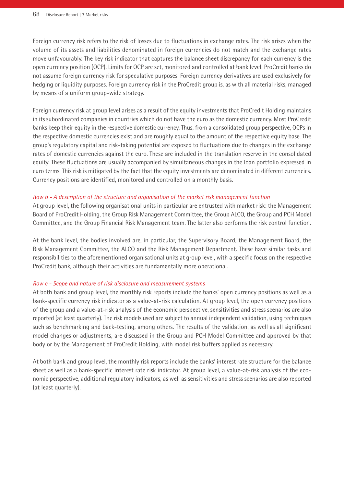Foreign currency risk refers to the risk of losses due to fluctuations in exchange rates. The risk arises when the volume of its assets and liabilities denominated in foreign currencies do not match and the exchange rates move unfavourably. The key risk indicator that captures the balance sheet discrepancy for each currency is the open currency position (OCP). Limits for OCP are set, monitored and controlled at bank level. ProCredit banks do not assume foreign currency risk for speculative purposes. Foreign currency derivatives are used exclusively for hedging or liquidity purposes. Foreign currency risk in the ProCredit group is, as with all material risks, managed by means of a uniform group-wide strategy.

Foreign currency risk at group level arises as a result of the equity investments that ProCredit Holding maintains in its subordinated companies in countries which do not have the euro as the domestic currency. Most ProCredit banks keep their equity in the respective domestic currency. Thus, from a consolidated group perspective, OCPs in the respective domestic currencies exist and are roughly equal to the amount of the respective equity base. The group's regulatory capital and risk-taking potential are exposed to fluctuations due to changes in the exchange rates of domestic currencies against the euro. These are included in the translation reserve in the consolidated equity. These fluctuations are usually accompanied by simultaneous changes in the loan portfolio expressed in euro terms. This risk is mitigated by the fact that the equity investments are denominated in different currencies. Currency positions are identified, monitored and controlled on a monthly basis.

#### *Row b - A description of the structure and organisation of the market risk management function*

At group level, the following organisational units in particular are entrusted with market risk: the Management Board of ProCredit Holding, the Group Risk Management Committee, the Group ALCO, the Group and PCH Model Committee, and the Group Financial Risk Management team. The latter also performs the risk control function.

At the bank level, the bodies involved are, in particular, the Supervisory Board, the Management Board, the Risk Management Committee, the ALCO and the Risk Management Department. These have similar tasks and responsibilities to the aforementioned organisational units at group level, with a specific focus on the respective ProCredit bank, although their activities are fundamentally more operational.

#### *Row c - Scope and nature of risk disclosure and measurement systems*

At both bank and group level, the monthly risk reports include the banks' open currency positions as well as a bank-specific currency risk indicator as a value-at-risk calculation. At group level, the open currency positions of the group and a value-at-risk analysis of the economic perspective, sensitivities and stress scenarios are also reported (at least quarterly). The risk models used are subject to annual independent validation, using techniques such as benchmarking and back-testing, among others. The results of the validation, as well as all significant model changes or adjustments, are discussed in the Group and PCH Model Committee and approved by that body or by the Management of ProCredit Holding, with model risk buffers applied as necessary.

At both bank and group level, the monthly risk reports include the banks' interest rate structure for the balance sheet as well as a bank-specific interest rate risk indicator. At group level, a value-at-risk analysis of the economic perspective, additional regulatory indicators, as well as sensitivities and stress scenarios are also reported (at least quarterly).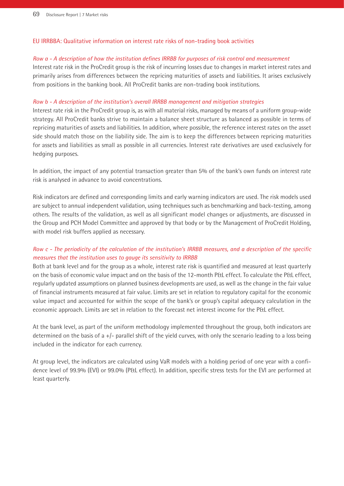#### EU IRRBBA: Qualitative information on interest rate risks of non-trading book activities

#### *Row a - A description of how the institution defines IRRBB for purposes of risk control and measurement*

Interest rate risk in the ProCredit group is the risk of incurring losses due to changes in market interest rates and primarily arises from differences between the repricing maturities of assets and liabilities. It arises exclusively from positions in the banking book. All ProCredit banks are non-trading book institutions.

#### *Row b - A description of the institution's overall IRRBB management and mitigation strategies*

Interest rate risk in the ProCredit group is, as with all material risks, managed by means of a uniform group-wide strategy. All ProCredit banks strive to maintain a balance sheet structure as balanced as possible in terms of repricing maturities of assets and liabilities. In addition, where possible, the reference interest rates on the asset side should match those on the liability side. The aim is to keep the differences between repricing maturities for assets and liabilities as small as possible in all currencies. Interest rate derivatives are used exclusively for hedging purposes.

In addition, the impact of any potential transaction greater than 5% of the bank's own funds on interest rate risk is analysed in advance to avoid concentrations.

Risk indicators are defined and corresponding limits and early warning indicators are used. The risk models used are subject to annual independent validation, using techniques such as benchmarking and back-testing, among others. The results of the validation, as well as all significant model changes or adjustments, are discussed in the Group and PCH Model Committee and approved by that body or by the Management of ProCredit Holding, with model risk buffers applied as necessary.

### *Row c - The periodicity of the calculation of the institution's IRRBB measures, and a description of the specific measures that the institution uses to gauge its sensitivity to IRRBB*

Both at bank level and for the group as a whole, interest rate risk is quantified and measured at least quarterly on the basis of economic value impact and on the basis of the 12-month P&L effect. To calculate the P&L effect, regularly updated assumptions on planned business developments are used, as well as the change in the fair value of financial instruments measured at fair value. Limits are set in relation to regulatory capital for the economic value impact and accounted for within the scope of the bank's or group's capital adequacy calculation in the economic approach. Limits are set in relation to the forecast net interest income for the P&L effect.

At the bank level, as part of the uniform methodology implemented throughout the group, both indicators are determined on the basis of a  $+/-$  parallel shift of the yield curves, with only the scenario leading to a loss being included in the indicator for each currency.

At group level, the indicators are calculated using VaR models with a holding period of one year with a confidence level of 99.9% (EVI) or 99.0% (P&L effect). In addition, specific stress tests for the EVI are performed at least quarterly.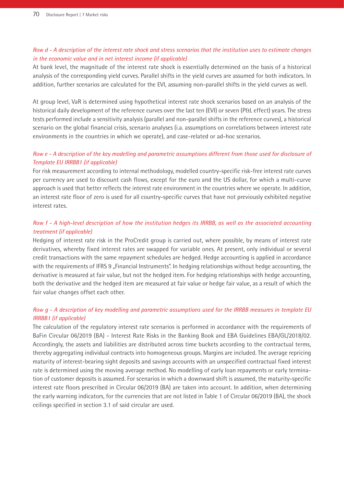### *Row d - A description of the interest rate shock and stress scenarios that the institution uses to estimate changes in the economic value and in net interest income (if applicable)*

At bank level, the magnitude of the interest rate shock is essentially determined on the basis of a historical analysis of the corresponding yield curves. Parallel shifts in the yield curves are assumed for both indicators. In addition, further scenarios are calculated for the EVI, assuming non-parallel shifts in the yield curves as well.

At group level, VaR is determined using hypothetical interest rate shock scenarios based on an analysis of the historical daily development of the reference curves over the last ten (EVI) or seven (P&L effect) years. The stress tests performed include a sensitivity analysis (parallel and non-parallel shifts in the reference curves), a historical scenario on the global financial crisis, scenario analyses (i.a. assumptions on correlations between interest rate environments in the countries in which we operate), and case-related or ad-hoc scenarios.

### *Row e - A description of the key modelling and parametric assumptions different from those used for disclosure of Template EU IRRBB1 (if applicable)*

For risk measurement according to internal methodology, modelled country-specific risk-free interest rate curves per currency are used to discount cash flows, except for the euro and the US dollar, for which a multi-curve approach is used that better reflects the interest rate environment in the countries where we operate. In addition, an interest rate floor of zero is used for all country-specific curves that have not previously exhibited negative interest rates.

### *Row f - A high-level description of how the institution hedges its IRRBB, as well as the associated accounting treatment (if applicable)*

Hedging of interest rate risk in the ProCredit group is carried out, where possible, by means of interest rate derivatives, whereby fixed interest rates are swapped for variable ones. At present, only individual or several credit transactions with the same repayment schedules are hedged. Hedge accounting is applied in accordance with the requirements of IFRS 9 "Financial Instruments". In hedging relationships without hedge accounting, the derivative is measured at fair value, but not the hedged item. For hedging relationships with hedge accounting, both the derivative and the hedged item are measured at fair value or hedge fair value, as a result of which the fair value changes offset each other.

### *Row g - A description of key modelling and parametric assumptions used for the IRRBB measures in template EU IRRBB1 (if applicable)*

The calculation of the regulatory interest rate scenarios is performed in accordance with the requirements of BaFin Circular 06/2019 (BA) - Interest Rate Risks in the Banking Book and EBA Guidelines EBA/GL/2018/02. Accordingly, the assets and liabilities are distributed across time buckets according to the contractual terms, thereby aggregating individual contracts into homogeneous groups. Margins are included. The average repricing maturity of interest-bearing sight deposits and savings accounts with an unspecified contractual fixed interest rate is determined using the moving average method. No modelling of early loan repayments or early termination of customer deposits is assumed. For scenarios in which a downward shift is assumed, the maturity-specific interest rate floors prescribed in Circular 06/2019 (BA) are taken into account. In addition, when determining the early warning indicators, for the currencies that are not listed in Table 1 of Circular 06/2019 (BA), the shock ceilings specified in section 3.1 of said circular are used.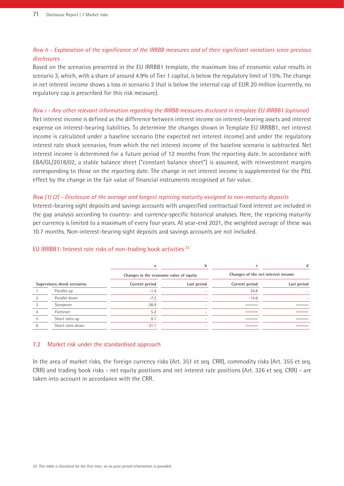### *Row h - Explanation of the significance of the IRRBB measures and of their significant variations since previous disclosures*

Based on the scenarios presented in the EU IRRBB1 template, the maximum loss of economic value results in scenario 3, which, with a share of around 4.9% of Tier 1 capital, is below the regulatory limit of 15%. The change in net interest income shows a loss in scenario 2 that is below the internal cap of EUR 20 million (currently, no regulatory cap is prescribed for this risk measure).

# *Row i - Any other relevant information regarding the IRRBB measures disclosed in template EU IRRBB1 (optional)*

Net interest income is defined as the difference between interest income on interest-bearing assets and interest expense on interest-bearing liabilities. To determine the changes shown in Template EU IRRBB1, net interest income is calculated under a baseline scenario (the expected net interest income) and under the regulatory interest rate shock scenarios, from which the net interest income of the baseline scenario is subtracted. Net interest income is determined for a future period of 12 months from the reporting date. In accordance with EBA/GL/2018/02, a stable balance sheet ("constant balance sheet") is assumed, with reinvestment margins corresponding to those on the reporting date. The change in net interest income is supplemented for the P&L effect by the change in the fair value of financial instruments recognised at fair value.

#### *Row (1) (2) - Disclosure of the average and longest repricing maturity assigned to non-maturity deposits*

Interest-bearing sight deposits and savings accounts with unspecified contractual fixed interest are included in the gap analysis according to country- and currency-specific historical analyses. Here, the repricing maturity per currency is limited to a maximum of every four years. At year-end 2021, the weighted average of these was 10.7 months. Non-interest-bearing sight deposits and savings accounts are not included.

|   |                             | a                                       |             |                                    |                          |
|---|-----------------------------|-----------------------------------------|-------------|------------------------------------|--------------------------|
|   |                             | Changes in the economic value of equity |             | Changes of the net interest income |                          |
|   | Supervisory shock scenarios | Current period                          | Last period | Current period                     | Last period              |
|   | Parallel up                 | $-1.4$                                  |             | 34.8                               |                          |
|   | Parallel down               | $-7.3$                                  |             | $-14.9$                            |                          |
|   | Steepener                   | $-38.9$                                 |             |                                    |                          |
|   | Flattener                   | 5.2                                     |             | <b>Service State</b>               | <b>Contract Contract</b> |
| 5 | Short rates up              | 0.1                                     |             |                                    |                          |
| b | Short rates down            | $-31.1$                                 |             |                                    | <b>Service Control</b>   |

#### EU IRRBB1: Interest rate risks of non-trading book activities 23

#### 7.2 [Market risk under the standardised approach](#page-3-0)

In the area of market risks, the foreign currency risks (Art. 351 et seq. CRR), commodity risks (Art. 355 et seq. CRR) and trading book risks - net equity positions and net interest rate positions (Art. 326 et seq. CRR) - are taken into account in accordance with the CRR.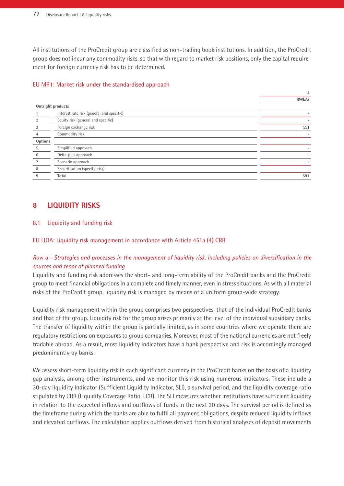All institutions of the ProCredit group are classified as non-trading book institutions. In addition, the ProCredit group does not incur any commodity risks, so that with regard to market risk positions, only the capital requirement for foreign currency risk has to be determined.

#### EU MR1: Market risk under the standardised approach

|                   |                                           | a            |
|-------------------|-------------------------------------------|--------------|
|                   |                                           | <b>RWEAs</b> |
| Outright products |                                           |              |
|                   | Interest rate risk (general and specific) |              |
|                   | Equity risk (general and specific)        |              |
| 3                 | Foreign exchange risk                     | 591          |
|                   | Commodity risk                            |              |
| Options           |                                           |              |
| b                 | Simplified approach                       |              |
| 6                 | Delta-plus approach                       |              |
|                   | Scenario approach                         |              |
| 8                 | Securitisation (specific risk)            |              |
| 9                 | Total                                     | 591          |
|                   |                                           |              |

### **8 [LIQUIDITY RISKS](#page-3-0)**

#### 8.1 [Liquidity and funding risk](#page-3-0)

#### EU LIQA: Liquidity risk management in accordance with Article 451a (4) CRR

### *Row a - Strategies and processes in the management of liquidity risk, including policies on diversification in the sources and tenor of planned funding*

Liquidity and funding risk addresses the short- and long-term ability of the ProCredit banks and the ProCredit group to meet financial obligations in a complete and timely manner, even in stress situations. As with all material risks of the ProCredit group, liquidity risk is managed by means of a uniform group-wide strategy.

Liquidity risk management within the group comprises two perspectives, that of the individual ProCredit banks and that of the group. Liquidity risk for the group arises primarily at the level of the individual subsidiary banks. The transfer of liquidity within the group is partially limited, as in some countries where we operate there are regulatory restrictions on exposures to group companies. Moreover, most of the national currencies are not freely tradable abroad. As a result, most liquidity indicators have a bank perspective and risk is accordingly managed predominantly by banks.

We assess short-term liquidity risk in each significant currency in the ProCredit banks on the basis of a liquidity gap analysis, among other instruments, and we monitor this risk using numerous indicators. These include a 30-day liquidity indicator (Sufficient Liquidity Indicator, SLI), a survival period, and the liquidity coverage ratio stipulated by CRR (Liquidity Coverage Ratio, LCR). The SLI measures whether institutions have sufficient liquidity in relation to the expected inflows and outflows of funds in the next 30 days. The survival period is defined as the timeframe during which the banks are able to fulfil all payment obligations, despite reduced liquidity inflows and elevated outflows. The calculation applies outflows derived from historical analyses of deposit movements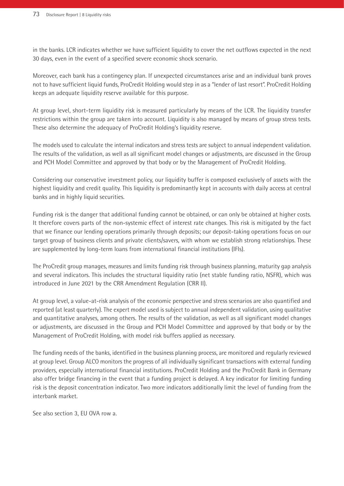in the banks. LCR indicates whether we have sufficient liquidity to cover the net outflows expected in the next 30 days, even in the event of a specified severe economic shock scenario.

Moreover, each bank has a contingency plan. If unexpected circumstances arise and an individual bank proves not to have sufficient liquid funds, ProCredit Holding would step in as a "lender of last resort". ProCredit Holding keeps an adequate liquidity reserve available for this purpose.

At group level, short-term liquidity risk is measured particularly by means of the LCR. The liquidity transfer restrictions within the group are taken into account. Liquidity is also managed by means of group stress tests. These also determine the adequacy of ProCredit Holding's liquidity reserve.

The models used to calculate the internal indicators and stress tests are subject to annual independent validation. The results of the validation, as well as all significant model changes or adjustments, are discussed in the Group and PCH Model Committee and approved by that body or by the Management of ProCredit Holding.

Considering our conservative investment policy, our liquidity buffer is composed exclusively of assets with the highest liquidity and credit quality. This liquidity is predominantly kept in accounts with daily access at central banks and in highly liquid securities.

Funding risk is the danger that additional funding cannot be obtained, or can only be obtained at higher costs. It therefore covers parts of the non-systemic effect of interest rate changes. This risk is mitigated by the fact that we finance our lending operations primarily through deposits; our deposit-taking operations focus on our target group of business clients and private clients/savers, with whom we establish strong relationships. These are supplemented by long-term loans from international financial institutions (IFIs).

The ProCredit group manages, measures and limits funding risk through business planning, maturity gap analysis and several indicators. This includes the structural liquidity ratio (net stable funding ratio, NSFR), which was introduced in June 2021 by the CRR Amendment Regulation (CRR II).

At group level, a value-at-risk analysis of the economic perspective and stress scenarios are also quantified and reported (at least quarterly). The expert model used is subject to annual independent validation, using qualitative and quantitative analyses, among others. The results of the validation, as well as all significant model changes or adjustments, are discussed in the Group and PCH Model Committee and approved by that body or by the Management of ProCredit Holding, with model risk buffers applied as necessary.

The funding needs of the banks, identified in the business planning process, are monitored and regularly reviewed at group level. Group ALCO monitors the progress of all individually significant transactions with external funding providers, especially international financial institutions. ProCredit Holding and the ProCredit Bank in Germany also offer bridge financing in the event that a funding project is delayed. A key indicator for limiting funding risk is the deposit concentration indicator. Two more indicators additionally limit the level of funding from the interbank market.

See also section 3, EU OVA row a.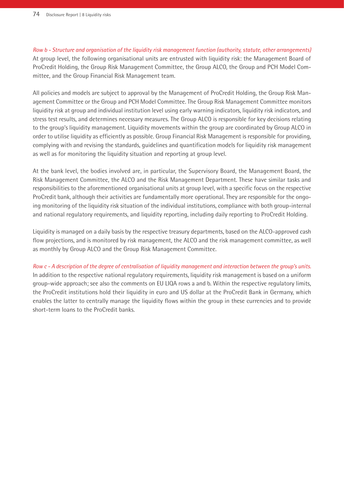*Row b - Structure and organisation of the liquidity risk management function (authority, statute, other arrangements)* At group level, the following organisational units are entrusted with liquidity risk: the Management Board of ProCredit Holding, the Group Risk Management Committee, the Group ALCO, the Group and PCH Model Committee, and the Group Financial Risk Management team.

All policies and models are subject to approval by the Management of ProCredit Holding, the Group Risk Management Committee or the Group and PCH Model Committee. The Group Risk Management Committee monitors liquidity risk at group and individual institution level using early warning indicators, liquidity risk indicators, and stress test results, and determines necessary measures. The Group ALCO is responsible for key decisions relating to the group's liquidity management. Liquidity movements within the group are coordinated by Group ALCO in order to utilise liquidity as efficiently as possible. Group Financial Risk Management is responsible for providing, complying with and revising the standards, guidelines and quantification models for liquidity risk management as well as for monitoring the liquidity situation and reporting at group level.

At the bank level, the bodies involved are, in particular, the Supervisory Board, the Management Board, the Risk Management Committee, the ALCO and the Risk Management Department. These have similar tasks and responsibilities to the aforementioned organisational units at group level, with a specific focus on the respective ProCredit bank, although their activities are fundamentally more operational. They are responsible for the ongoing monitoring of the liquidity risk situation of the individual institutions, compliance with both group-internal and national regulatory requirements, and liquidity reporting, including daily reporting to ProCredit Holding.

Liquidity is managed on a daily basis by the respective treasury departments, based on the ALCO-approved cash flow projections, and is monitored by risk management, the ALCO and the risk management committee, as well as monthly by Group ALCO and the Group Risk Management Committee.

*Row c - A description of the degree of centralisation of liquidity management and interaction between the group's units.* In addition to the respective national regulatory requirements, liquidity risk management is based on a uniform group-wide approach; see also the comments on EU LIQA rows a and b. Within the respective regulatory limits, the ProCredit institutions hold their liquidity in euro and US dollar at the ProCredit Bank in Germany, which enables the latter to centrally manage the liquidity flows within the group in these currencies and to provide short-term loans to the ProCredit banks.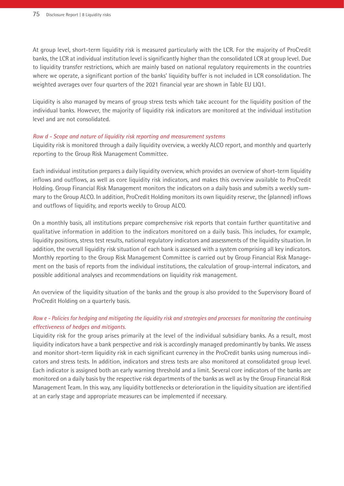At group level, short-term liquidity risk is measured particularly with the LCR. For the majority of ProCredit banks, the LCR at individual institution level is significantly higher than the consolidated LCR at group level. Due to liquidity transfer restrictions, which are mainly based on national regulatory requirements in the countries where we operate, a significant portion of the banks' liquidity buffer is not included in LCR consolidation. The weighted averages over four quarters of the 2021 financial year are shown in Table EU LIQ1.

Liquidity is also managed by means of group stress tests which take account for the liquidity position of the individual banks. However, the majority of liquidity risk indicators are monitored at the individual institution level and are not consolidated.

#### *Row d - Scope and nature of liquidity risk reporting and measurement systems*

Liquidity risk is monitored through a daily liquidity overview, a weekly ALCO report, and monthly and quarterly reporting to the Group Risk Management Committee.

Each individual institution prepares a daily liquidity overview, which provides an overview of short-term liquidity inflows and outflows, as well as core liquidity risk indicators, and makes this overview available to ProCredit Holding. Group Financial Risk Management monitors the indicators on a daily basis and submits a weekly summary to the Group ALCO. In addition, ProCredit Holding monitors its own liquidity reserve, the (planned) inflows and outflows of liquidity, and reports weekly to Group ALCO.

On a monthly basis, all institutions prepare comprehensive risk reports that contain further quantitative and qualitative information in addition to the indicators monitored on a daily basis. This includes, for example, liquidity positions, stress test results, national regulatory indicators and assessments of the liquidity situation. In addition, the overall liquidity risk situation of each bank is assessed with a system comprising all key indicators. Monthly reporting to the Group Risk Management Committee is carried out by Group Financial Risk Management on the basis of reports from the individual institutions, the calculation of group-internal indicators, and possible additional analyses and recommendations on liquidity risk management.

An overview of the liquidity situation of the banks and the group is also provided to the Supervisory Board of ProCredit Holding on a quarterly basis.

## *Row e - Policies for hedging and mitigating the liquidity risk and strategies and processes for monitoring the continuing effectiveness of hedges and mitigants.*

Liquidity risk for the group arises primarily at the level of the individual subsidiary banks. As a result, most liquidity indicators have a bank perspective and risk is accordingly managed predominantly by banks. We assess and monitor short-term liquidity risk in each significant currency in the ProCredit banks using numerous indicators and stress tests. In addition, indicators and stress tests are also monitored at consolidated group level. Each indicator is assigned both an early warning threshold and a limit. Several core indicators of the banks are monitored on a daily basis by the respective risk departments of the banks as well as by the Group Financial Risk Management Team. In this way, any liquidity bottlenecks or deterioration in the liquidity situation are identified at an early stage and appropriate measures can be implemented if necessary.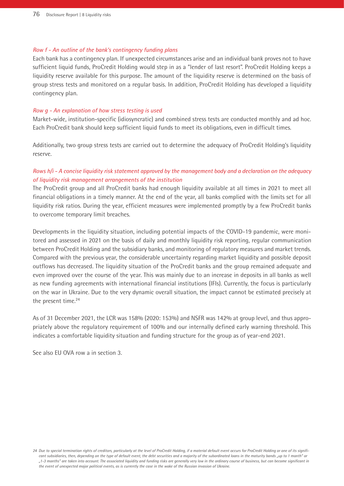#### *Row f - An outline of the bank's contingency funding plans*

Each bank has a contingency plan. If unexpected circumstances arise and an individual bank proves not to have sufficient liquid funds, ProCredit Holding would step in as a "lender of last resort". ProCredit Holding keeps a liquidity reserve available for this purpose. The amount of the liquidity reserve is determined on the basis of group stress tests and monitored on a regular basis. In addition, ProCredit Holding has developed a liquidity contingency plan.

#### *Row g - An explanation of how stress testing is used*

Market-wide, institution-specific (idiosyncratic) and combined stress tests are conducted monthly and ad hoc. Each ProCredit bank should keep sufficient liquid funds to meet its obligations, even in difficult times.

Additionally, two group stress tests are carried out to determine the adequacy of ProCredit Holding's liquidity reserve.

## *Rows h/i - A concise liquidity risk statement approved by the management body and a declaration on the adequacy of liquidity risk management arrangements of the institution*

The ProCredit group and all ProCredit banks had enough liquidity available at all times in 2021 to meet all financial obligations in a timely manner. At the end of the year, all banks complied with the limits set for all liquidity risk ratios. During the year, efficient measures were implemented promptly by a few ProCredit banks to overcome temporary limit breaches.

Developments in the liquidity situation, including potential impacts of the COVID-19 pandemic, were monitored and assessed in 2021 on the basis of daily and monthly liquidity risk reporting, regular communication between ProCredit Holding and the subsidiary banks, and monitoring of regulatory measures and market trends. Compared with the previous year, the considerable uncertainty regarding market liquidity and possible deposit outflows has decreased. The liquidity situation of the ProCredit banks and the group remained adequate and even improved over the course of the year. This was mainly due to an increase in deposits in all banks as well as new funding agreements with international financial institutions (IFIs). Currently, the focus is particularly on the war in Ukraine. Due to the very dynamic overall situation, the impact cannot be estimated precisely at the present time.<sup>24</sup>

As of 31 December 2021, the LCR was 158% (2020: 153%) and NSFR was 142% at group level, and thus appropriately above the regulatory requirement of 100% and our internally defined early warning threshold. This indicates a comfortable liquidity situation and funding structure for the group as of year-end 2021.

See also EU OVA row a in section 3.

*<sup>24</sup> Due to special termination rights of creditors, particularly at the level of ProCredit Holding, if a material default event occurs for ProCredit Holding or one of its significant subsidiaries, then, depending on the type of default event, the debt securities and a majority of the subordinated loans in the maturity bands "up to 1 month" or "1-3 months" are taken into account. The associated liquidity and funding risks are generally very low in the ordinary course of business, but can become significant in the event of unexpected major political events, as is currently the case in the wake of the Russian invasion of Ukraine.*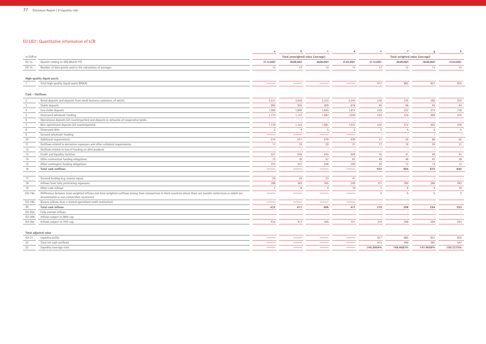# EU LIQ1: Quantitative information of LCR

|                 |                                                                                                                                                                                                                      | a                        | <sub>b</sub>                     | $\mathbf{c}$             | d                        | e                        |                                | $\alpha$                 | h              |
|-----------------|----------------------------------------------------------------------------------------------------------------------------------------------------------------------------------------------------------------------|--------------------------|----------------------------------|--------------------------|--------------------------|--------------------------|--------------------------------|--------------------------|----------------|
| in EUR m        |                                                                                                                                                                                                                      |                          | Total unweighted value (average) |                          |                          |                          | Total weighted value (average) |                          |                |
| EU 1a           | Quarter ending on (DD Month YY)                                                                                                                                                                                      | 31.12.2021               | 30.09.2021                       | 30.06.2021               | 31.03.2021               | 31.12.2021               | 30.09.2021                     | 30.06.2021               | 31.03.2021     |
| EU 1b           | Number of data points used in the calculation of averages                                                                                                                                                            | 12                       | 12                               | 12                       | 12                       | 12                       | 12                             | 12                       | 12             |
|                 |                                                                                                                                                                                                                      |                          |                                  |                          |                          |                          |                                |                          |                |
|                 | High-quality liquid assets                                                                                                                                                                                           |                          |                                  |                          |                          |                          |                                |                          |                |
|                 | Total high-quality liquid assets (HQLA)                                                                                                                                                                              | <b>Contract Contract</b> | <b>Contract Contract</b>         | <b>Contract Contract</b> | <b>Contract Contract</b> | 917                      | 885                            | 857                      | 825            |
| Cash - Outflows |                                                                                                                                                                                                                      |                          |                                  |                          |                          |                          |                                |                          |                |
| 2               | Retail deposits and deposits from small business customers, of which:                                                                                                                                                | 3,531                    | 3,430                            | 3,323                    | 3,245                    | 278                      | 270                            | 260                      | 254            |
| $\mathbf{3}$    | Stable deposits                                                                                                                                                                                                      | 986                      | 950                              | 909                      | 878                      | 49                       | 48                             | 45                       | 44             |
| $\overline{4}$  | Less stable deposits                                                                                                                                                                                                 | 1,966                    | 1,909                            | 1,850                    | 1,812                    | 229                      | 222                            | 215                      | 210            |
| 5               | Unsecured wholesale funding                                                                                                                                                                                          | 1,173                    | 1,127                            | 1,087                    | 1,036                    | 534                      | 516                            | 499                      | 475            |
| 6               | Operational deposits (all counterparties) and deposits in networks of cooperative banks                                                                                                                              |                          | $\overline{a}$                   |                          | - 1                      | $\overline{\phantom{a}}$ | $\sim$                         | $\sim$                   | $\sim$         |
| $\overline{7}$  | Non-operational deposits (all counterparties)                                                                                                                                                                        | 1,170                    | 1,123                            | 1,081                    | 1,031                    | 532                      | 512                            | 493                      | 470            |
| 8               | Unsecured debt                                                                                                                                                                                                       | 3                        | $\overline{4}$                   | -5                       | 5                        | $\overline{3}$           | $\overline{4}$                 | 5                        | 5              |
| -9              | Secured wholesale funding                                                                                                                                                                                            |                          | <b>Contract Contract</b>         |                          | <b>Contract Contract</b> | $\overline{\phantom{a}}$ | $\sim$                         | $\sim$                   | $-$            |
| 10              | Additional requirements                                                                                                                                                                                              | 574                      | 677                              | 670                      | 670                      | 51                       | 59                             | 60                       | 62             |
| 11              | Outflows related to derivative exposures and other collateral requirements                                                                                                                                           | 17                       | 18                               | 20                       | 21                       | 17                       | 18                             | 20                       | 21             |
| 12              | Outflows related to loss of funding on debt products                                                                                                                                                                 | $\sim$                   | $\sim$                           | $\sim$                   | $\overline{\phantom{a}}$ | $\sim$                   | $\overline{\phantom{a}}$       | $\overline{\phantom{a}}$ | $\sim$         |
| 13              | Credit and liquidity facilities                                                                                                                                                                                      | 557                      | 659                              | 650                      | 649                      | 35                       | 41                             | 40                       | 41             |
| 14              | Other contractual funding obligations                                                                                                                                                                                | 73                       | 70                               | 67                       | 63                       | 49                       | 46                             | 43                       | 38             |
| 15              | Other contingent funding obligations                                                                                                                                                                                 | 375                      | 257                              | 248                      | 240                      | 20                       | 13                             | 12                       | 12             |
| 16              | <b>Total cash outflows</b>                                                                                                                                                                                           | <b>Contract Contract</b> | <b>Contract Contract</b>         | <b>Contract Contract</b> | <b>Contract Contract</b> | 933                      | 904                            | 875                      | 840            |
|                 |                                                                                                                                                                                                                      |                          |                                  |                          |                          |                          |                                |                          |                |
| 17              | Secured lending (e.g. reverse repos)                                                                                                                                                                                 | 26                       | 26                               | 33                       | 41                       | $\overline{\phantom{a}}$ | $\overline{\phantom{a}}$       | $\sim$                   |                |
| 18              | Inflows from fully performing exposures                                                                                                                                                                              | 398                      | 383                              | 365                      | 359                      | 311                      | 300                            | 286                      | 283            |
| 19              | Other cash inflows                                                                                                                                                                                                   | $\overline{7}$           | - 8                              | - 9                      | 10                       | $\overline{7}$           | 8                              | 9                        | 10             |
| EU-19a          | (Difference between total weighted inflows and total weighted outflows arising from transactions in third countries where there are transfer restrictions or which are<br>denominated in non-convertible currencies) | <b>Contract Contract</b> | <b>Contract Contract</b>         | <b>Contract Contract</b> | <b>Contract Contract</b> | $\overline{0}$           | $\overline{0}$                 | $\overline{0}$           | $\overline{0}$ |
| EU-19b          | (Excess inflows from a related specialised credit institution)                                                                                                                                                       | <b>Contract Contract</b> | <b>Contract Contract</b>         | <b>Contract Contract</b> | <b>Contract Contract</b> | $\sim$                   | $\overline{\phantom{a}}$       | $\overline{\phantom{a}}$ | $-$            |
| 20              | Total cash inflows                                                                                                                                                                                                   | 432                      | 417                              | 406                      | 411                      | 319                      | 308                            | 294                      | 293            |
| EU-20a          | Fully exempt inflows                                                                                                                                                                                                 | $\sim$                   | $\sim$                           | $\sim$                   |                          | $\sim$                   | $\overline{\phantom{a}}$       |                          | $\sim$         |
| EU-20b          | Inflows subject to 90% cap                                                                                                                                                                                           | $\sim$                   | $\overline{\phantom{a}}$         | $\overline{\phantom{a}}$ | $\overline{a}$           | $\sim$                   | $\overline{\phantom{a}}$       | $\overline{\phantom{a}}$ | $\sim$         |
| EU-20c          | Inflows subject to 75% cap                                                                                                                                                                                           | 432                      | 417                              | 406                      | 411                      | 319                      | 308                            | 294                      | 293            |
|                 | Total adjusted value                                                                                                                                                                                                 |                          |                                  |                          |                          |                          |                                |                          |                |
| EU-21           | Liquidity buffer                                                                                                                                                                                                     | <b>Contract Contract</b> | <b>Contract Contract</b>         | <b>Contract Contract</b> | <b>Contract Contract</b> | 917                      | 885                            | 857                      | 825            |
| 22              | Total net cash outflows                                                                                                                                                                                              | <b>Contract Contract</b> | <b>Contract Contract</b>         | <b>Contract Contract</b> | <b>Contract Contract</b> | 615                      | 596                            | 581                      | 547            |
| 23              | Liquidity coverage ratio                                                                                                                                                                                             | <b>Contract Contract</b> | <b>Contract Contract</b>         | <b>Contract Contract</b> | <b>Contract Contract</b> | 149.3004%                | 148.4683%                      | 147.4658%                | 150.7275%      |
|                 |                                                                                                                                                                                                                      |                          |                                  |                          |                          |                          |                                |                          |                |

| EU-21     | Liquidity buffer            | the contract of the con-                     | the contract of the contract of the | <b>Contract Contract</b>                                                                                                      | the contract of the contract of                                   |  |
|-----------|-----------------------------|----------------------------------------------|-------------------------------------|-------------------------------------------------------------------------------------------------------------------------------|-------------------------------------------------------------------|--|
| 22        | Total net cash outflows     | the contract of the contract of the          |                                     | the control of the control of the control of                                                                                  | the contract of the contract of the<br>The control of the control |  |
| つつ<br>ت ک | ratio<br>Liquidity coverage | the control of the control of the control of |                                     | the contract of the contract of the contract of<br>the control of the control of the control of the control of the control of |                                                                   |  |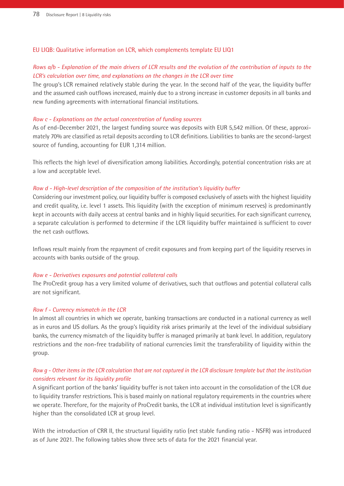#### EU LIQB: Qualitative information on LCR, which complements template EU LIQ1

## *Rows a/b - Explanation of the main drivers of LCR results and the evolution of the contribution of inputs to the LCR's calculation over time, and explanations on the changes in the LCR over time*

The group's LCR remained relatively stable during the year. In the second half of the year, the liquidity buffer and the assumed cash outflows increased, mainly due to a strong increase in customer deposits in all banks and new funding agreements with international financial institutions.

#### *Row c - Explanations on the actual concentration of funding sources*

As of end-December 2021, the largest funding source was deposits with EUR 5,542 million. Of these, approximately 70% are classified as retail deposits according to LCR definitions. Liabilities to banks are the second-largest source of funding, accounting for EUR 1,314 million.

This reflects the high level of diversification among liabilities. Accordingly, potential concentration risks are at a low and acceptable level.

#### *Row d - High-level description of the composition of the institution's liquidity buffer*

Considering our investment policy, our liquidity buffer is composed exclusively of assets with the highest liquidity and credit quality, i.e. level 1 assets. This liquidity (with the exception of minimum reserves) is predominantly kept in accounts with daily access at central banks and in highly liquid securities. For each significant currency, a separate calculation is performed to determine if the LCR liquidity buffer maintained is sufficient to cover the net cash outflows.

Inflows result mainly from the repayment of credit exposures and from keeping part of the liquidity reserves in accounts with banks outside of the group.

#### *Row e - Derivatives exposures and potential collateral calls*

The ProCredit group has a very limited volume of derivatives, such that outflows and potential collateral calls are not significant.

#### *Row f - Currency mismatch in the LCR*

In almost all countries in which we operate, banking transactions are conducted in a national currency as well as in euros and US dollars. As the group's liquidity risk arises primarily at the level of the individual subsidiary banks, the currency mismatch of the liquidity buffer is managed primarily at bank level. In addition, regulatory restrictions and the non-free tradability of national currencies limit the transferability of liquidity within the group.

## *Row g - Other items in the LCR calculation that are not captured in the LCR disclosure template but that the institution considers relevant for its liquidity profile*

A significant portion of the banks' liquidity buffer is not taken into account in the consolidation of the LCR due to liquidity transfer restrictions. This is based mainly on national regulatory requirements in the countries where we operate. Therefore, for the majority of ProCredit banks, the LCR at individual institution level is significantly higher than the consolidated LCR at group level.

With the introduction of CRR II, the structural liquidity ratio (net stable funding ratio - NSFR) was introduced as of June 2021. The following tables show three sets of data for the 2021 financial year.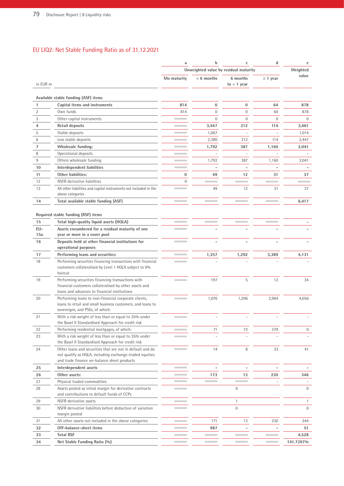## EU LIQ2: Net Stable Funding Ratio as of 31.12.2021

|           |                                                                                                                                                                     | a                  | b                        | $\mathbf c$                           | d                        | e              |
|-----------|---------------------------------------------------------------------------------------------------------------------------------------------------------------------|--------------------|--------------------------|---------------------------------------|--------------------------|----------------|
|           |                                                                                                                                                                     |                    |                          | Unweighted value by residual maturity |                          | Weighted       |
| in EUR m  |                                                                                                                                                                     | Mo maturity        | $< 6$ months             | 6 months<br>$to < 1$ year             | $\geq$ 1 year            | value          |
|           | Available stable funding (ASF) items                                                                                                                                |                    |                          |                                       |                          |                |
| 1         | Capital items and instruments                                                                                                                                       | 814                | 0                        | $\bf{0}$                              | 64                       | 878            |
| 2         | Own funds                                                                                                                                                           | 814                | 0                        | $\mathbf 0$                           | 64                       | 878            |
| 3         | Other capital instruments                                                                                                                                           | <b>College</b>     | $\mathbf{0}$             | $\mathbf 0$                           | $\mathbf 0$              | $\mathbf{0}$   |
| 4         | <b>Retail deposits</b>                                                                                                                                              | <b>The College</b> | 3,447                    | 212                                   | 114                      | 3,461          |
| 5         | Stable deposits                                                                                                                                                     | <b>Contract</b>    | 1,067                    |                                       |                          | 1,014          |
| 6         | Less stable deposits                                                                                                                                                | <b>The Co</b>      | 2,380                    | 212                                   | 114                      | 2,447          |
| 7         | <b>Wholesale funding:</b>                                                                                                                                           | <b>Contract</b>    | 1,792                    | 387                                   | 1,160                    | 2,041          |
| 8         | Operational deposits                                                                                                                                                |                    |                          |                                       |                          |                |
| 9         | Others wholesale funding                                                                                                                                            | <b>The Story</b>   | 1,792                    | 387                                   | 1,160                    | 2,041          |
| 10        | Interdependent liabilities                                                                                                                                          | <b>The Story</b>   |                          | ÷                                     |                          |                |
| 11        | Other liabilities:                                                                                                                                                  | 0                  | 49                       | 12                                    | 31                       | 37             |
| 12        | <b>NSFR</b> derivative liabilities                                                                                                                                  | 0                  |                          |                                       |                          |                |
| 13        | All other liabilities and capital instruments not included in the<br>above categories                                                                               |                    | 49                       | 12                                    | 31                       | 37             |
| 14        | Total available stable funding (ASF)                                                                                                                                | <b>Contract</b>    | <b>Contract Contract</b> | <b>Contract Contract</b>              | <b>Contract Contract</b> | 6,417          |
|           |                                                                                                                                                                     |                    |                          |                                       |                          |                |
|           | Required stable funding (RSF) items                                                                                                                                 | <b>Contract</b>    |                          |                                       |                          |                |
| 15<br>EU- | Total high-quality liquid assets (HQLA)                                                                                                                             |                    | <b>The Co</b>            |                                       |                          |                |
| 15a       | Assets encumbered for a residual maturity of one<br>year or more in a cover pool                                                                                    |                    |                          |                                       |                          |                |
| 16        | Deposits held at other financial institutions for<br>operational purposes                                                                                           |                    |                          |                                       |                          |                |
| 17        | Performing loans and securities:                                                                                                                                    |                    | 1,357                    | 1,292                                 | 3,389                    | 4,131          |
| 18        | Performing securities financing transactions with financial<br>customers collateralised by Level 1 HQLA subject to 0%<br>haircut                                    |                    |                          |                                       |                          |                |
| 19        | Performing securities financing transactions with<br>financial customers collateralised by other assets and<br>loans and advances to financial institutions         |                    | 197                      | 5                                     | 12                       | 34             |
| 20        | Performing loans to non-financial corporate clients,<br>loans to retail and small business customers, and loans to<br>sovereigns, and PSEs, of which:               |                    | 1,076                    | 1,206                                 | 2,964                    | 4,056          |
| 21        | With a risk weight of less than or equal to 35% under<br>the Basel II Standardised Approach for credit risk                                                         |                    |                          |                                       |                          |                |
| 22        | Performing residential mortgages, of which:                                                                                                                         |                    | 71                       | 73                                    | 379                      | $\overline{0}$ |
| 23        | With a risk weight of less than or equal to 35% under<br>the Basel II Standardised Approach for credit risk                                                         | <b>College</b>     |                          |                                       |                          |                |
| 24        | Other loans and securities that are not in default and do<br>not qualify as HQLA, including exchange-traded equities<br>and trade finance on-balance sheet products |                    | 14                       | 8                                     | 33                       | 41             |
| 25        | Interdependent assets                                                                                                                                               | <b>College</b>     |                          |                                       |                          |                |
| 26        | Other assets:                                                                                                                                                       | <b>Contract</b>    | 173                      | 13                                    | 230                      | 346            |
| 27        | Physical traded commodities                                                                                                                                         | <b>The College</b> | $\sim$                   | <b>College</b>                        |                          |                |
| 28        | Assets posted as initial margin for derivative contracts<br>and contributions to default funds of CCPs                                                              | <b>Contract</b>    |                          | $\boldsymbol{0}$                      |                          | $\overline{0}$ |
| 29        | NSFR derivative assets                                                                                                                                              | <b>Contract</b>    |                          | $\mathbf{1}$                          |                          | $\mathbf{1}$   |
| 30        | NSFR derivative liabilities before deduction of variation<br>margin posted                                                                                          | <b>Contract</b>    |                          | $\boldsymbol{0}$                      |                          | $\mathbf{0}$   |
| 31        | All other assets not included in the above categories                                                                                                               |                    | 171                      | 13                                    | 230                      | 344            |
| 32        | Off-balance-sheet items                                                                                                                                             |                    | 987                      |                                       |                          | 51             |
| 33        | <b>Total RSF</b>                                                                                                                                                    | m.                 | <b>COLLECTION</b>        | <b>The Co</b>                         |                          | 4,528          |
| 34        | Net Stable Funding Ratio (%)                                                                                                                                        |                    |                          |                                       |                          | 141.7397%      |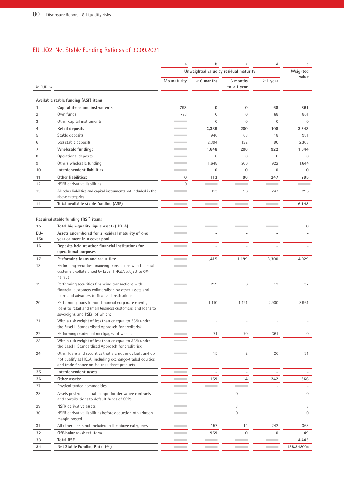## EU LIQ2: Net Stable Funding Ratio as of 30.09.2021

|                |                                                                                                                                                                     | a                        | b                        | $\mathbf c$                           | d                | e            |
|----------------|---------------------------------------------------------------------------------------------------------------------------------------------------------------------|--------------------------|--------------------------|---------------------------------------|------------------|--------------|
|                |                                                                                                                                                                     |                          |                          | Unweighted value by residual maturity |                  | Weighted     |
| in EUR m       |                                                                                                                                                                     | Mo maturity              | $< 6$ months             | 6 months<br>$to < 1$ year             | $\geq$ 1 year    | value        |
|                |                                                                                                                                                                     |                          |                          |                                       |                  |              |
|                | Available stable funding (ASF) items                                                                                                                                |                          |                          |                                       |                  |              |
| 1              | Capital items and instruments                                                                                                                                       | 793                      | 0                        | $\bf{0}$                              | 68               | 861          |
| $\overline{2}$ | Own funds                                                                                                                                                           | 793                      | $\mathbf 0$              | $\mathbf{0}$                          | 68               | 861          |
| 3              | Other capital instruments                                                                                                                                           | <b>COL</b>               | $\mathbf 0$              | $\overline{0}$                        | $\boldsymbol{0}$ | $\mathbf 0$  |
| 4              | <b>Retail deposits</b>                                                                                                                                              |                          | 3,339                    | 200                                   | 108              | 3,343        |
| 5              | Stable deposits                                                                                                                                                     | <b>Contract Contract</b> | 946                      | 68                                    | 18               | 981          |
| 6              | Less stable deposits                                                                                                                                                | <b>Contract</b>          | 2,394                    | 132                                   | 90               | 2,363        |
| 7              | <b>Wholesale funding:</b>                                                                                                                                           | <b>Contract Contract</b> | 1,648                    | 206                                   | 922              | 1,644        |
| 8              | Operational deposits                                                                                                                                                | <b>Contract</b>          | 0                        | $\mathbf 0$                           | $\boldsymbol{0}$ | $\mathbf 0$  |
| 9              | Others wholesale funding                                                                                                                                            | <b>Contract</b>          | 1,648                    | 206                                   | 922              | 1,644        |
| 10             | Interdependent liabilities                                                                                                                                          |                          | 0                        | $\bf{0}$                              | 0                | $\bf{0}$     |
| 11             | <b>Other liabilities:</b>                                                                                                                                           | $\bf{0}$                 | 113                      | 96                                    | 247              | 295          |
| 12             | NSFR derivative liabilities                                                                                                                                         | 0                        | <b>Contract</b>          | <b>College</b>                        | <b>College</b>   | <b>COLL</b>  |
| 13             | All other liabilities and capital instruments not included in the<br>above categories                                                                               | <b>Contract Contract</b> | 113                      | 96                                    | 247              | 295          |
| 14             | Total available stable funding (ASF)                                                                                                                                |                          |                          |                                       |                  | 6,143        |
|                | Required stable funding (RSF) items                                                                                                                                 |                          |                          |                                       |                  |              |
| 15             | Total high-quality liquid assets (HQLA)                                                                                                                             | <b>College</b>           |                          |                                       |                  | $\bf{0}$     |
| EU-<br>15a     | Assets encumbered for a residual maturity of one<br>year or more in a cover pool                                                                                    | <b>College</b>           |                          |                                       |                  |              |
| 16             | Deposits held at other financial institutions for<br>operational purposes                                                                                           |                          |                          |                                       |                  |              |
| 17             | Performing loans and securities:                                                                                                                                    | <b>The State</b>         | 1,415                    | 1,199                                 | 3,300            | 4,029        |
| 18             | Performing securities financing transactions with financial<br>customers collateralised by Level 1 HQLA subject to 0%<br>haircut                                    |                          |                          |                                       |                  |              |
| 19             | Performing securities financing transactions with<br>financial customers collateralised by other assets and<br>loans and advances to financial institutions         |                          | 219                      | 6                                     | 12               | 37           |
| 20             | Performing loans to non-financial corporate clients,<br>loans to retail and small business customers, and loans to<br>sovereigns, and PSEs, of which:               | <b>College</b>           | 1,110                    | 1,121                                 | 2,900            | 3,961        |
| 21             | With a risk weight of less than or equal to 35% under<br>the Basel II Standardised Approach for credit risk                                                         | <b>Contract</b>          |                          |                                       |                  |              |
| 22             | Performing residential mortgages, of which:                                                                                                                         | <b>The College</b>       | 71                       | 70                                    | 361              | 0            |
| 23             | With a risk weight of less than or equal to 35% under<br>the Basel II Standardised Approach for credit risk                                                         | <b>College</b>           |                          |                                       |                  |              |
| 24             | Other loans and securities that are not in default and do<br>not qualify as HQLA, including exchange-traded equities<br>and trade finance on-balance sheet products |                          | 15                       | $\overline{2}$                        | 26               | 31           |
| 25             | Interdependent assets                                                                                                                                               | <b>Contract</b>          |                          |                                       |                  |              |
| 26             | Other assets:                                                                                                                                                       | <b>Contract</b>          | 159                      | 14                                    | 242              | 366          |
| 27             | Physical traded commodities                                                                                                                                         | <b>The College</b>       | <b>COL</b>               | <b>College</b>                        |                  |              |
| 28             | Assets posted as initial margin for derivative contracts<br>and contributions to default funds of CCPs                                                              | <b>College</b>           |                          | $\mathbf 0$                           |                  | $\mathbf{0}$ |
| 29             | NSFR derivative assets                                                                                                                                              | <b>College</b>           |                          | 3                                     |                  | 3            |
| 30             | NSFR derivative liabilities before deduction of variation<br>margin posted                                                                                          | <b>The College</b>       |                          | $\overline{0}$                        |                  | $\mathbf{0}$ |
| 31             | All other assets not included in the above categories                                                                                                               |                          | 157                      | 14                                    | 242              | 363          |
| 32             | Off-balance-sheet items                                                                                                                                             |                          | 959                      | $\bf{0}$                              | 0                | 49           |
| 33             | <b>Total RSF</b>                                                                                                                                                    |                          | $\overline{\phantom{a}}$ |                                       |                  | 4,443        |
| 34             | Net Stable Funding Ratio (%)                                                                                                                                        |                          | <b>Contract</b>          | <b>College</b>                        |                  | 138.2480%    |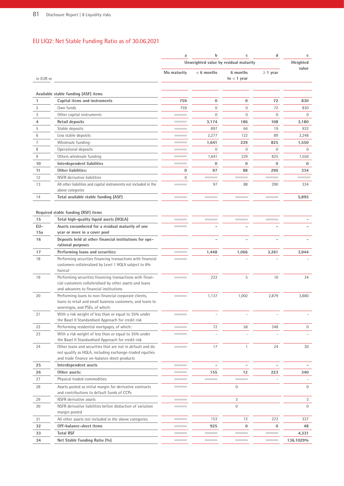## EU LIQ2: Net Stable Funding Ratio as of 30.06.2021

|              |                                                                                                                                                                     | a                  | $\mathfrak b$                         | $\mathbf c$               | d              | e              |
|--------------|---------------------------------------------------------------------------------------------------------------------------------------------------------------------|--------------------|---------------------------------------|---------------------------|----------------|----------------|
|              |                                                                                                                                                                     |                    | Unweighted value by residual maturity |                           |                | Weighted       |
| in EUR m     |                                                                                                                                                                     | Mo maturity        | $< 6$ months                          | 6 months<br>$to < 1$ year | $\geq$ 1 year  | value          |
|              |                                                                                                                                                                     |                    |                                       |                           |                |                |
|              | Available stable funding (ASF) items                                                                                                                                |                    |                                       |                           |                |                |
| $\mathbf{1}$ | Capital items and instruments                                                                                                                                       | 759                | 0                                     | $\bf{0}$                  | 72             | 830            |
| 2            | Own funds                                                                                                                                                           | 759                | $\mathbf{0}$                          | $\mathbf{0}$              | 72             | 830            |
| 3            | Other capital instruments                                                                                                                                           | <b>COLLECTION</b>  | $\mathbf{0}$                          | $\mathbf 0$               | $\mathbf 0$    | $\mathbf{0}$   |
| 4            | <b>Retail deposits</b>                                                                                                                                              |                    | 3,174                                 | 186                       | 108            | 3,180          |
| 5            | Stable deposits                                                                                                                                                     |                    | 897                                   | 64                        | 19             | 932            |
| 6            | Less stable deposits                                                                                                                                                |                    | 2,277                                 | 122                       | 89             | 2,248          |
| 7            | Wholesale funding:                                                                                                                                                  |                    | 1,641                                 | 229                       | 825            | 1,550          |
| 8            | Operational deposits                                                                                                                                                |                    | $\mathbf 0$                           | $\mathbf 0$               | 0              | $\mathbf{0}$   |
| 9            | Others wholesale funding                                                                                                                                            |                    | 1,641                                 | 229                       | 825            | 1,550          |
| 10           | Interdependent liabilities                                                                                                                                          |                    | 0                                     | $\bf{0}$                  | 0              | $\bf{0}$       |
| 11           | Other liabilities:                                                                                                                                                  | $\bf{0}$           | 97                                    | 88                        | 290            | 334            |
| 12           | <b>NSFR</b> derivative liabilities                                                                                                                                  | 0                  |                                       |                           |                | <b>College</b> |
| 13           | All other liabilities and capital instruments not included in the<br>above categories                                                                               | <b>Contract</b>    | 97                                    | 88                        | 290            | 334            |
| 14           | Total available stable funding (ASF)                                                                                                                                |                    | <b>Contract</b>                       | <b>The Contract</b>       | <b>College</b> | 5,895          |
|              | Required stable funding (RSF) items                                                                                                                                 |                    |                                       |                           |                |                |
| 15           | Total high-quality liquid assets (HQLA)                                                                                                                             |                    |                                       |                           |                |                |
| EU-          | Assets encumbered for a residual maturity of one                                                                                                                    |                    |                                       |                           |                |                |
| 15a          | year or more in a cover pool                                                                                                                                        |                    |                                       |                           |                |                |
| 16           | Deposits held at other financial institutions for ope-<br>rational purposes                                                                                         |                    |                                       |                           |                |                |
| 17           | Performing loans and securities:                                                                                                                                    | <b>Contract</b>    | 1,448                                 | 1,066                     | 3,261          | 3,944          |
| 18           | Performing securities financing transactions with financial<br>customers collateralised by Level 1 HQLA subject to 0%<br>haircut                                    |                    |                                       |                           |                |                |
| 19           | Performing securities financing transactions with finan-<br>cial customers collateralised by other assets and loans<br>and advances to financial institutions       |                    | 222                                   | 5                         | 10             | 34             |
| 20           | Performing loans to non-financial corporate clients,<br>loans to retail and small business customers, and loans to<br>sovereigns, and PSEs, of which:               |                    | 1,137                                 | 1,002                     | 2,879          | 3,880          |
| 21           | With a risk weight of less than or equal to 35% under<br>the Basel II Standardised Approach for credit risk                                                         |                    |                                       |                           |                |                |
| 22           | Performing residential mortgages, of which:                                                                                                                         |                    | 72                                    | 58                        | 348            | 0              |
| 23           | With a risk weight of less than or equal to 35% under<br>the Basel II Standardised Approach for credit risk                                                         |                    |                                       |                           |                |                |
| 24           | Other loans and securities that are not in default and do<br>not qualify as HQLA, including exchange-traded equities<br>and trade finance on-balance sheet products |                    | 17                                    | $\mathbf{1}$              | 24             | 30             |
| 25           | Interdependent assets                                                                                                                                               |                    |                                       |                           |                |                |
| 26           | Other assets:                                                                                                                                                       |                    | 155                                   | 12                        | 223            | 340            |
| 27           | Physical traded commodities                                                                                                                                         |                    |                                       |                           |                |                |
| 28           | Assets posted as initial margin for derivative contracts<br>and contributions to default funds of CCPs                                                              |                    |                                       | $\mathbf 0$               |                | $\mathbf 0$    |
| 29           | NSFR derivative assets                                                                                                                                              |                    |                                       | 3                         |                | 3              |
| 30           | NSFR derivative liabilities before deduction of variation                                                                                                           | <b>College</b>     |                                       | $\overline{0}$            |                | $\mathbf{0}$   |
| 31           | margin posted<br>All other assets not included in the above categories                                                                                              | <b>Contract</b>    | 153                                   | 12                        | 223            | 337            |
| 32           | Off-balance-sheet items                                                                                                                                             | <b>College</b>     | 925                                   | $\bf{0}$                  | 0              | 48             |
| 33           | <b>Total RSF</b>                                                                                                                                                    | <b>The College</b> | <b>Contract Contract</b>              | <b>College</b>            | <b>College</b> | 4,331          |
| 34           | Net Stable Funding Ratio (%)                                                                                                                                        |                    | m.                                    | <b>College</b>            | <b>College</b> | 136.1029%      |
|              |                                                                                                                                                                     |                    |                                       |                           |                |                |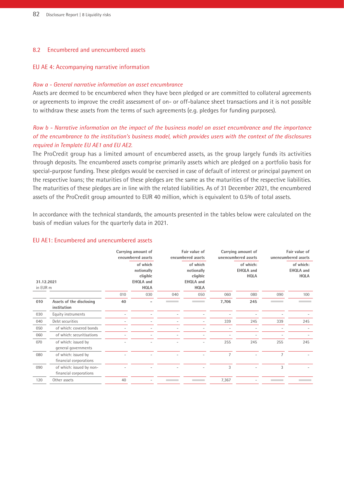#### 8.2 [Encumbered and unencumbered assets](#page-3-0)

#### EU AE 4: Accompanying narrative information

#### *Row a - General narrative information on asset encumbrance*

Assets are deemed to be encumbered when they have been pledged or are committed to collateral agreements or agreements to improve the credit assessment of on- or off-balance sheet transactions and it is not possible to withdraw these assets from the terms of such agreements (e.g. pledges for funding purposes).

## *Row b - Narrative information on the impact of the business model on asset encumbrance and the importance of the encumbrance to the institution's business model, which provides users with the context of the disclosures required in Template EU AE1 and EU AE2.*

The ProCredit group has a limited amount of encumbered assets, as the group largely funds its activities through deposits. The encumbered assets comprise primarily assets which are pledged on a portfolio basis for special-purpose funding. These pledges would be exercised in case of default of interest or principal payment on the respective loans; the maturities of these pledges are the same as the maturities of the respective liabilities. The maturities of these pledges are in line with the related liabilities. As of 31 December 2021, the encumbered assets of the ProCredit group amounted to EUR 40 million, which is equivalent to 0.5% of total assets.

In accordance with the technical standards, the amounts presented in the tables below were calculated on the basis of median values for the quarterly data in 2021.

#### EU AE1: Encumbered and unencumbered assets

|                        |                                                    |     | Carrying amount of<br>encumbered assets                               |     | Fair value of<br>encumbered assets                                    | Carrying amount of<br>unencumbered assets |                                              | Fair value of<br>unencumbered assets |                                              |
|------------------------|----------------------------------------------------|-----|-----------------------------------------------------------------------|-----|-----------------------------------------------------------------------|-------------------------------------------|----------------------------------------------|--------------------------------------|----------------------------------------------|
| 31.12.2021<br>in EUR m |                                                    |     | of which<br>notionally<br>eligible<br><b>EHQLA</b> and<br><b>HOLA</b> |     | of which<br>notionally<br>eligible<br><b>EHOLA</b> and<br><b>HOLA</b> |                                           | of which:<br><b>EHQLA</b> and<br><b>HOLA</b> |                                      | of which:<br><b>EHQLA</b> and<br><b>HOLA</b> |
|                        |                                                    | 010 | 030                                                                   | 040 | 050                                                                   | 060                                       | 080                                          | 090                                  | 100                                          |
| 010                    | Assets of the disclosing<br>institution            | 40  |                                                                       |     |                                                                       | 7,706                                     | 245                                          |                                      |                                              |
| 030                    | Equity instruments                                 |     |                                                                       |     |                                                                       |                                           |                                              |                                      |                                              |
| 040                    | Debt securities                                    |     |                                                                       |     |                                                                       | 339                                       | 245                                          | 339                                  | 245                                          |
| 050                    | of which: covered bonds                            |     |                                                                       |     |                                                                       | ۰                                         | ۰                                            | ۰                                    |                                              |
| 060                    | of which: securitisations                          |     |                                                                       |     |                                                                       | ٠                                         |                                              |                                      |                                              |
| 070                    | of which: issued by<br>general governments         |     |                                                                       |     |                                                                       | 255                                       | 245                                          | 255                                  | 245                                          |
| 080                    | of which: issued by<br>financial corporations      |     |                                                                       |     |                                                                       | $\overline{7}$                            |                                              | $\overline{7}$                       |                                              |
| 090                    | of which: issued by non-<br>financial corporations |     |                                                                       |     |                                                                       | 3                                         |                                              | 3                                    |                                              |
| 120                    | Other assets                                       | 40  |                                                                       |     |                                                                       | 7,367                                     |                                              |                                      |                                              |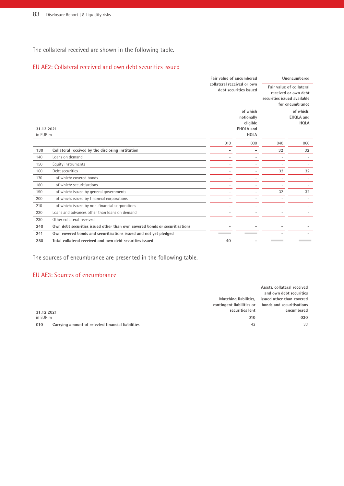The collateral received are shown in the following table.

## EU AE2: Collateral received and own debt securities issued

|                        |                                                                            | Fair value of encumbered   |                                                                       | <b>Unencumbered</b>      |                                                                                                    |
|------------------------|----------------------------------------------------------------------------|----------------------------|-----------------------------------------------------------------------|--------------------------|----------------------------------------------------------------------------------------------------|
|                        |                                                                            | collateral received or own | debt securities issued                                                |                          | Fair value of collateral<br>received or own debt<br>securities issued available<br>for encumbrance |
| 31.12.2021<br>in EUR m |                                                                            |                            | of which<br>notionally<br>eligible<br><b>EHQLA</b> and<br><b>HOLA</b> |                          | of which:<br>EHQLA and<br><b>HOLA</b>                                                              |
|                        |                                                                            | 010                        | 030                                                                   | 040                      | 060                                                                                                |
| 130                    | Collateral received by the disclosing institution                          |                            |                                                                       | 32                       | 32                                                                                                 |
| 140                    | Loans on demand                                                            |                            |                                                                       | $\overline{\phantom{a}}$ |                                                                                                    |
| 150                    | Equity instruments                                                         |                            |                                                                       | $\overline{\phantom{a}}$ | $\overline{\phantom{0}}$                                                                           |
| 160                    | Debt securities                                                            |                            |                                                                       | 32                       | 32                                                                                                 |
| 170                    | of which: covered bonds                                                    |                            |                                                                       |                          | $\overline{\phantom{a}}$                                                                           |
| 180                    | of which: securitisations                                                  |                            |                                                                       |                          | ۰                                                                                                  |
| 190                    | of which: issued by general governments                                    |                            |                                                                       | 32                       | 32                                                                                                 |
| 200                    | of which: issued by financial corporations                                 |                            |                                                                       |                          |                                                                                                    |
| 210                    | of which: issued by non-financial corporations                             |                            |                                                                       |                          |                                                                                                    |
| 220                    | Loans and advances other than loans on demand                              |                            |                                                                       |                          |                                                                                                    |
| 230                    | Other collateral received                                                  |                            |                                                                       |                          |                                                                                                    |
| 240                    | Own debt securities issued other than own covered bonds or securitisations |                            |                                                                       |                          |                                                                                                    |
| 241                    | Own covered bonds and securitisations issued and not yet pledged           |                            |                                                                       |                          |                                                                                                    |
| 250                    | Total collateral received and own debt securities issued                   | 40                         |                                                                       |                          |                                                                                                    |

The sources of encumbrance are presented in the following table.

#### EU AE3: Sources of encumbrance

|                                                          |                           | Assets, collateral received<br>and own debt securities |
|----------------------------------------------------------|---------------------------|--------------------------------------------------------|
|                                                          | Matching liabilities,     | issued other than covered                              |
|                                                          | contingent liabilities or | bonds and securitisations                              |
| 31.12.2021                                               | securities lent           | encumbered                                             |
| in EUR m                                                 | 010                       | 030                                                    |
| Carrying amount of selected financial liabilities<br>010 | 42                        |                                                        |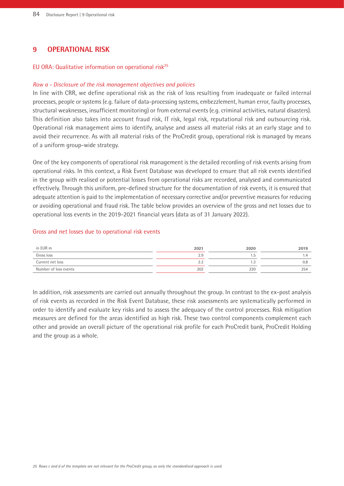## **9 [OPERATIONAL RISK](#page-3-0)**

#### EU ORA: Qualitative information on operational risk25

#### *Row a - Disclosure of the risk management objectives and policies*

In line with CRR, we define operational risk as the risk of loss resulting from inadequate or failed internal processes, people or systems (e.g. failure of data-processing systems, embezzlement, human error, faulty processes, structural weaknesses, insufficient monitoring) or from external events (e.g. criminal activities, natural disasters). This definition also takes into account fraud risk, IT risk, legal risk, reputational risk and outsourcing risk. Operational risk management aims to identify, analyse and assess all material risks at an early stage and to avoid their recurrence. As with all material risks of the ProCredit group, operational risk is managed by means of a uniform group-wide strategy.

One of the key components of operational risk management is the detailed recording of risk events arising from operational risks. In this context, a Risk Event Database was developed to ensure that all risk events identified in the group with realised or potential losses from operational risks are recorded, analysed and communicated effectively. Through this uniform, pre-defined structure for the documentation of risk events, it is ensured that adequate attention is paid to the implementation of necessary corrective and/or preventive measures for reducing or avoiding operational and fraud risk. The table below provides an overview of the gross and net losses due to operational loss events in the 2019-2021 financial years (data as of 31 January 2022).

#### Gross and net losses due to operational risk events

| in EUR m              | 2021 | 2020 | 2019 |
|-----------------------|------|------|------|
| Gross loss            | 2.9  | ن ا  |      |
| Current net loss      | 2.2  | ن. ا | 0.8  |
| Number of loss events | 202  | 220  | 254  |

In addition, risk assessments are carried out annually throughout the group. In contrast to the ex-post analysis of risk events as recorded in the Risk Event Database, these risk assessments are systematically performed in order to identify and evaluate key risks and to assess the adequacy of the control processes. Risk mitigation measures are defined for the areas identified as high risk. These two control components complement each other and provide an overall picture of the operational risk profile for each ProCredit bank, ProCredit Holding and the group as a whole.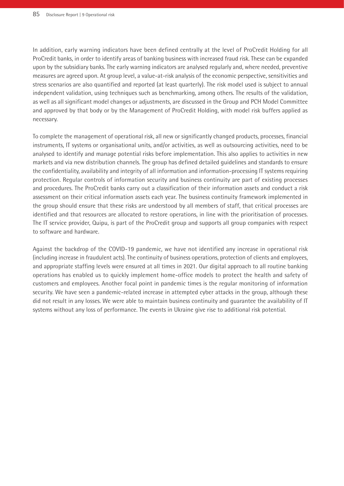In addition, early warning indicators have been defined centrally at the level of ProCredit Holding for all ProCredit banks, in order to identify areas of banking business with increased fraud risk. These can be expanded upon by the subsidiary banks. The early warning indicators are analysed regularly and, where needed, preventive measures are agreed upon. At group level, a value-at-risk analysis of the economic perspective, sensitivities and stress scenarios are also quantified and reported (at least quarterly). The risk model used is subject to annual independent validation, using techniques such as benchmarking, among others. The results of the validation, as well as all significant model changes or adjustments, are discussed in the Group and PCH Model Committee and approved by that body or by the Management of ProCredit Holding, with model risk buffers applied as necessary.

To complete the management of operational risk, all new or significantly changed products, processes, financial instruments, IT systems or organisational units, and/or activities, as well as outsourcing activities, need to be analysed to identify and manage potential risks before implementation. This also applies to activities in new markets and via new distribution channels. The group has defined detailed guidelines and standards to ensure the confidentiality, availability and integrity of all information and information-processing IT systems requiring protection. Regular controls of information security and business continuity are part of existing processes and procedures. The ProCredit banks carry out a classification of their information assets and conduct a risk assessment on their critical information assets each year. The business continuity framework implemented in the group should ensure that these risks are understood by all members of staff, that critical processes are identified and that resources are allocated to restore operations, in line with the prioritisation of processes. The IT service provider, Quipu, is part of the ProCredit group and supports all group companies with respect to software and hardware.

Against the backdrop of the COVID-19 pandemic, we have not identified any increase in operational risk (including increase in fraudulent acts). The continuity of business operations, protection of clients and employees, and appropriate staffing levels were ensured at all times in 2021. Our digital approach to all routine banking operations has enabled us to quickly implement home-office models to protect the health and safety of customers and employees. Another focal point in pandemic times is the regular monitoring of information security. We have seen a pandemic-related increase in attempted cyber attacks in the group, although these did not result in any losses. We were able to maintain business continuity and guarantee the availability of IT systems without any loss of performance. The events in Ukraine give rise to additional risk potential.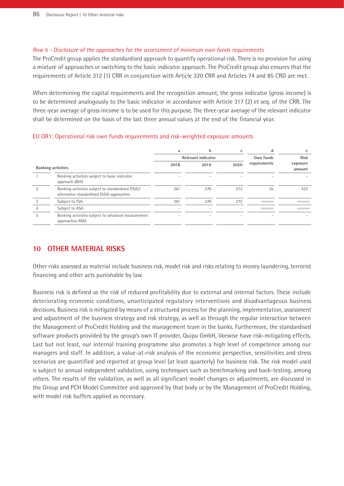#### *Row b - Disclosure of the approaches for the assessment of minimum own funds requirements*

The ProCredit group applies the standardised approach to quantify operational risk. There is no provision for using a mixture of approaches or switching to the basic indicator approach. The ProCredit group also ensures that the requirements of Article 312 (1) CRR in conjunction with Article 320 CRR and Articles 74 and 85 CRD are met.

When determining the capital requirements and the recognition amount, the gross indicator (gross income) is to be determined analogously to the basic indicator in accordance with Article 317 (2) et seq. of the CRR. The three-year average of gross income is to be used for this purpose. The three-year average of the relevant indicator shall be determined on the basis of the last three annual values at the end of the financial year.

#### EU OR1: Operational risk own funds requirements and risk-weighted exposure amounts

|                           |                                                                                                | a    | b                         |      | d            | e                  |
|---------------------------|------------------------------------------------------------------------------------------------|------|---------------------------|------|--------------|--------------------|
|                           |                                                                                                |      | <b>Relevant indicator</b> |      | Own funds    | <b>Risk</b>        |
| <b>Banking activities</b> |                                                                                                | 2018 | 2019                      | 2020 | requirements | exposure<br>amount |
|                           | Banking activities subject to basic indicator<br>approach (BIA)                                |      |                           |      |              |                    |
|                           | Banking activities subject to standardised (TSA)/<br>alternative standardised (ASA) approaches | 261  | 270                       | 272  | 35           | 433                |
|                           | Subject to TSA:                                                                                | 261  | 270                       | 272  |              |                    |
|                           | Subject to ASA:                                                                                |      |                           |      |              |                    |
| h                         | Banking activities subject to advanced measurement<br>approaches AMA                           | -    |                           | -    |              |                    |

## **10 [OTHER MATERIAL RISKS](#page-3-0)**

Other risks assessed as material include business risk, model risk and risks relating to money laundering, terrorist financing and other acts punishable by law.

Business risk is defined as the risk of reduced profitability due to external and internal factors. These include deteriorating economic conditions, unanticipated regulatory interventions and disadvantageous business decisions. Business risk is mitigated by means of a structured process for the planning, implementation, assessment and adjustment of the business strategy and risk strategy, as well as through the regular interaction between the Management of ProCredit Holding and the management team in the banks. Furthermore, the standardised software products provided by the group's own IT provider, Quipu GmbH, likewise have risk-mitigating effects. Last but not least, our internal training programme also promotes a high level of competence among our managers and staff. In addition, a value-at-risk analysis of the economic perspective, sensitivities and stress scenarios are quantified and reported at group level (at least quarterly) for business risk. The risk model used is subject to annual independent validation, using techniques such as benchmarking and back-testing, among others. The results of the validation, as well as all significant model changes or adjustments, are discussed in the Group and PCH Model Committee and approved by that body or by the Management of ProCredit Holding, with model risk buffers applied as necessary.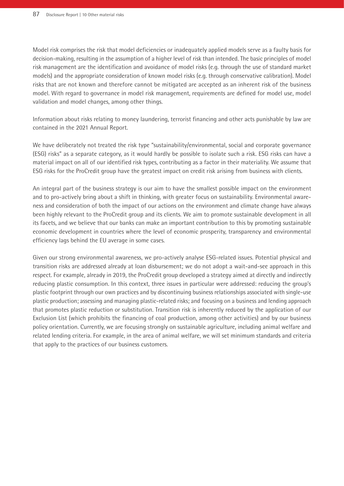Model risk comprises the risk that model deficiencies or inadequately applied models serve as a faulty basis for decision-making, resulting in the assumption of a higher level of risk than intended. The basic principles of model risk management are the identification and avoidance of model risks (e.g. through the use of standard market models) and the appropriate consideration of known model risks (e.g. through conservative calibration). Model risks that are not known and therefore cannot be mitigated are accepted as an inherent risk of the business model. With regard to governance in model risk management, requirements are defined for model use, model validation and model changes, among other things.

Information about risks relating to money laundering, terrorist financing and other acts punishable by law are contained in the 2021 Annual Report.

We have deliberately not treated the risk type "sustainability/environmental, social and corporate governance (ESG) risks" as a separate category, as it would hardly be possible to isolate such a risk. ESG risks can have a material impact on all of our identified risk types, contributing as a factor in their materiality. We assume that ESG risks for the ProCredit group have the greatest impact on credit risk arising from business with clients.

An integral part of the business strategy is our aim to have the smallest possible impact on the environment and to pro-actively bring about a shift in thinking, with greater focus on sustainability. Environmental awareness and consideration of both the impact of our actions on the environment and climate change have always been highly relevant to the ProCredit group and its clients. We aim to promote sustainable development in all its facets, and we believe that our banks can make an important contribution to this by promoting sustainable economic development in countries where the level of economic prosperity, transparency and environmental efficiency lags behind the EU average in some cases.

Given our strong environmental awareness, we pro-actively analyse ESG-related issues. Potential physical and transition risks are addressed already at loan disbursement; we do not adopt a wait-and-see approach in this respect. For example, already in 2019, the ProCredit group developed a strategy aimed at directly and indirectly reducing plastic consumption. In this context, three issues in particular were addressed: reducing the group's plastic footprint through our own practices and by discontinuing business relationships associated with single-use plastic production; assessing and managing plastic-related risks; and focusing on a business and lending approach that promotes plastic reduction or substitution. Transition risk is inherently reduced by the application of our Exclusion List (which prohibits the financing of coal production, among other activities) and by our business policy orientation. Currently, we are focusing strongly on sustainable agriculture, including animal welfare and related lending criteria. For example, in the area of animal welfare, we will set minimum standards and criteria that apply to the practices of our business customers.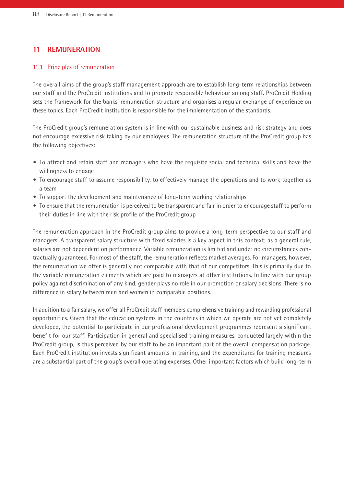## **11 [REMUNERATION](#page-3-0)**

### 11.1 [Principles of remuneration](#page-3-0)

The overall aims of the group's staff management approach are to establish long-term relationships between our staff and the ProCredit institutions and to promote responsible behaviour among staff. ProCredit Holding sets the framework for the banks' remuneration structure and organises a regular exchange of experience on these topics. Each ProCredit institution is responsible for the implementation of the standards.

The ProCredit group's remuneration system is in line with our sustainable business and risk strategy and does not encourage excessive risk taking by our employees. The remuneration structure of the ProCredit group has the following objectives:

- **•** To attract and retain staff and managers who have the requisite social and technical skills and have the willingness to engage
- **•** To encourage staff to assume responsibility, to effectively manage the operations and to work together as a team
- **•** To support the development and maintenance of long-term working relationships
- **•** To ensure that the remuneration is perceived to be transparent and fair in order to encourage staff to perform their duties in line with the risk profile of the ProCredit group

The remuneration approach in the ProCredit group aims to provide a long-term perspective to our staff and managers. A transparent salary structure with fixed salaries is a key aspect in this context; as a general rule, salaries are not dependent on performance. Variable remuneration is limited and under no circumstances contractually guaranteed. For most of the staff, the remuneration reflects market averages. For managers, however, the remuneration we offer is generally not comparable with that of our competitors. This is primarily due to the variable remuneration elements which are paid to managers at other institutions. In line with our group policy against discrimination of any kind, gender plays no role in our promotion or salary decisions. There is no difference in salary between men and women in comparable positions.

In addition to a fair salary, we offer all ProCredit staff members comprehensive training and rewarding professional opportunities. Given that the education systems in the countries in which we operate are not yet completely developed, the potential to participate in our professional development programmes represent a significant benefit for our staff. Participation in general and specialised training measures, conducted largely within the ProCredit group, is thus perceived by our staff to be an important part of the overall compensation package. Each ProCredit institution invests significant amounts in training, and the expenditures for training measures are a substantial part of the group's overall operating expenses. Other important factors which build long-term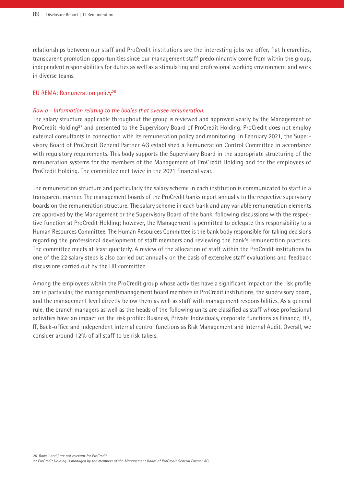relationships between our staff and ProCredit institutions are the interesting jobs we offer, flat hierarchies, transparent promotion opportunities since our management staff predominantly come from within the group, independent responsibilities for duties as well as a stimulating and professional working environment and work in diverse teams.

#### EU REMA: Remuneration policy26

#### *Row a - Information relating to the bodies that oversee remuneration.*

The salary structure applicable throughout the group is reviewed and approved yearly by the Management of ProCredit Holding27 and presented to the Supervisory Board of ProCredit Holding. ProCredit does not employ external consultants in connection with its remuneration policy and monitoring. In February 2021, the Supervisory Board of ProCredit General Partner AG established a Remuneration Control Committee in accordance with regulatory requirements. This body supports the Supervisory Board in the appropriate structuring of the remuneration systems for the members of the Management of ProCredit Holding and for the employees of ProCredit Holding. The committee met twice in the 2021 financial year.

The remuneration structure and particularly the salary scheme in each institution is communicated to staff in a transparent manner. The management boards of the ProCredit banks report annually to the respective supervisory boards on the remuneration structure. The salary scheme in each bank and any variable remuneration elements are approved by the Management or the Supervisory Board of the bank, following discussions with the respective function at ProCredit Holding; however, the Management is permitted to delegate this responsibility to a Human Resources Committee. The Human Resources Committee is the bank body responsible for taking decisions regarding the professional development of staff members and reviewing the bank's remuneration practices. The committee meets at least quarterly. A review of the allocation of staff within the ProCredit institutions to one of the 22 salary steps is also carried out annually on the basis of extensive staff evaluations and feedback discussions carried out by the HR committee.

Among the employees within the ProCredit group whose activities have a significant impact on the risk profile are in particular, the management/management board members in ProCredit institutions, the supervisory board, and the management level directly below them as well as staff with management responsibilities. As a general rule, the branch managers as well as the heads of the following units are classified as staff whose professional activities have an impact on the risk profile: Business, Private Individuals, corporate functions as Finance, HR, IT, Back-office and independent internal control functions as Risk Management and Internal Audit. Overall, we consider around 12% of all staff to be risk takers.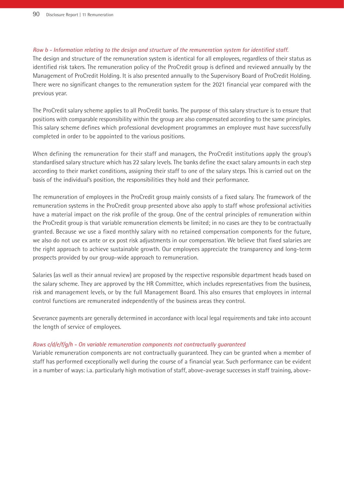#### *Row b - Information relating to the design and structure of the remuneration system for identified staff.*

The design and structure of the remuneration system is identical for all employees, regardless of their status as identified risk takers. The remuneration policy of the ProCredit group is defined and reviewed annually by the Management of ProCredit Holding. It is also presented annually to the Supervisory Board of ProCredit Holding. There were no significant changes to the remuneration system for the 2021 financial year compared with the previous year.

The ProCredit salary scheme applies to all ProCredit banks. The purpose of this salary structure is to ensure that positions with comparable responsibility within the group are also compensated according to the same principles. This salary scheme defines which professional development programmes an employee must have successfully completed in order to be appointed to the various positions.

When defining the remuneration for their staff and managers, the ProCredit institutions apply the group's standardised salary structure which has 22 salary levels. The banks define the exact salary amounts in each step according to their market conditions, assigning their staff to one of the salary steps. This is carried out on the basis of the individual's position, the responsibilities they hold and their performance.

The remuneration of employees in the ProCredit group mainly consists of a fixed salary. The framework of the remuneration systems in the ProCredit group presented above also apply to staff whose professional activities have a material impact on the risk profile of the group. One of the central principles of remuneration within the ProCredit group is that variable remuneration elements be limited; in no cases are they to be contractually granted. Because we use a fixed monthly salary with no retained compensation components for the future, we also do not use ex ante or ex post risk adjustments in our compensation. We believe that fixed salaries are the right approach to achieve sustainable growth. Our employees appreciate the transparency and long-term prospects provided by our group-wide approach to remuneration.

Salaries (as well as their annual review) are proposed by the respective responsible department heads based on the salary scheme. They are approved by the HR Committee, which includes representatives from the business, risk and management levels, or by the full Management Board. This also ensures that employees in internal control functions are remunerated independently of the business areas they control.

Severance payments are generally determined in accordance with local legal requirements and take into account the length of service of employees.

#### *Rows c/d/e/f/g/h - On variable remuneration components not contractually guaranteed*

Variable remuneration components are not contractually guaranteed. They can be granted when a member of staff has performed exceptionally well during the course of a financial year. Such performance can be evident in a number of ways: i.a. particularly high motivation of staff, above-average successes in staff training, above-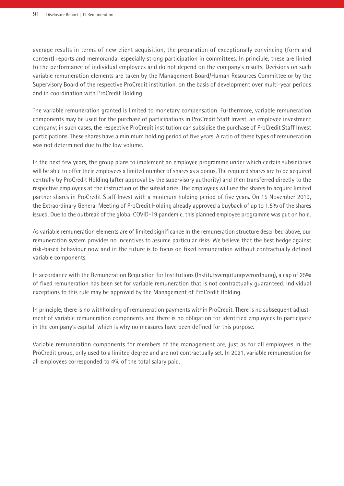average results in terms of new client acquisition, the preparation of exceptionally convincing (form and content) reports and memoranda, especially strong participation in committees. In principle, these are linked to the performance of individual employees and do not depend on the company's results. Decisions on such variable remuneration elements are taken by the Management Board/Human Resources Committee or by the Supervisory Board of the respective ProCredit institution, on the basis of development over multi-year periods and in coordination with ProCredit Holding.

The variable remuneration granted is limited to monetary compensation. Furthermore, variable remuneration components may be used for the purchase of participations in ProCredit Staff Invest, an employee investment company; in such cases, the respective ProCredit institution can subsidise the purchase of ProCredit Staff Invest participations. These shares have a minimum holding period of five years. A ratio of these types of remuneration was not determined due to the low volume.

In the next few years, the group plans to implement an employee programme under which certain subsidiaries will be able to offer their employees a limited number of shares as a bonus. The required shares are to be acquired centrally by ProCredit Holding (after approval by the supervisory authority) and then transferred directly to the respective employees at the instruction of the subsidiaries. The employees will use the shares to acquire limited partner shares in ProCredit Staff Invest with a minimum holding period of five years. On 15 November 2019, the Extraordinary General Meeting of ProCredit Holding already approved a buyback of up to 1.5% of the shares issued. Due to the outbreak of the global COVID-19 pandemic, this planned employee programme was put on hold.

As variable remuneration elements are of limited significance in the remuneration structure described above, our remuneration system provides no incentives to assume particular risks. We believe that the best hedge against risk-based behaviour now and in the future is to focus on fixed remuneration without contractually defined variable components.

In accordance with the Remuneration Regulation for Institutions (Institutsvergütungsverordnung), a cap of 25% of fixed remuneration has been set for variable remuneration that is not contractually guaranteed. Individual exceptions to this rule may be approved by the Management of ProCredit Holding.

In principle, there is no withholding of remuneration payments within ProCredit. There is no subsequent adjustment of variable remuneration components and there is no obligation for identified employees to participate in the company's capital, which is why no measures have been defined for this purpose.

Variable remuneration components for members of the management are, just as for all employees in the ProCredit group, only used to a limited degree and are not contractually set. In 2021, variable remuneration for all employees corresponded to 4% of the total salary paid.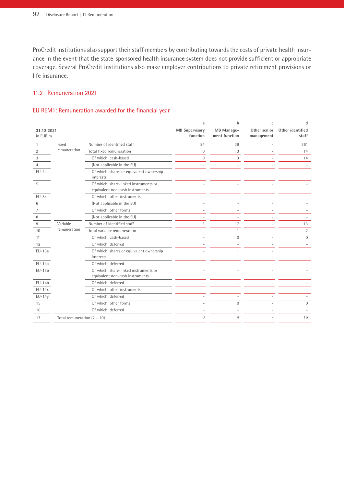ProCredit institutions also support their staff members by contributing towards the costs of private health insurance in the event that the state-sponsored health insurance system does not provide sufficient or appropriate coverage. Several ProCredit institutions also make employer contributions to private retirement provisions or life insurance.

## 11.2 [Remuneration 2021](#page-3-0)

## EU REM1: Remuneration awarded for the financial year

|                |                               |                                                                          | a                     | h              | $\mathbf{c}$ | d                |  |
|----------------|-------------------------------|--------------------------------------------------------------------------|-----------------------|----------------|--------------|------------------|--|
| 31.12.2021     |                               |                                                                          | <b>MB Supervisory</b> | MB Manage-     | Other senior | Other identified |  |
| in EUR m       |                               |                                                                          | function              | ment function  | management   | staff            |  |
| 1              | Fixed                         | Number of identified staff                                               | 24                    | 39             |              | 361              |  |
| $\overline{2}$ | remuneration                  | Total fixed remuneration                                                 | $\Omega$              | 3              |              | 14               |  |
| 3              |                               | Of which: cash-based                                                     | $\Omega$              | 3              |              | 14               |  |
| $\overline{4}$ |                               | (Not applicable in the EU)                                               |                       |                |              |                  |  |
| EU-4a          |                               | Of which: shares or equivalent ownership<br>interests                    |                       |                |              |                  |  |
| 5              |                               | Of which: share-linked instruments or<br>equivalent non-cash instruments |                       |                |              |                  |  |
| $EU-5x$        |                               | Of which: other instruments                                              |                       |                |              |                  |  |
| 6              |                               | (Not applicable in the EU)                                               |                       |                |              |                  |  |
| $\overline{7}$ |                               | Of which: other forms                                                    |                       |                |              |                  |  |
| 8              |                               | (Not applicable in the EU)                                               |                       |                |              |                  |  |
| $9\,$          | Variable                      | Number of identified staff                                               | 3                     | 17             |              | 113              |  |
| 10             | remuneration                  | Total variable remuneration                                              |                       | $\mathbf{1}$   |              | 2                |  |
| 11             |                               | Of which: cash-based                                                     |                       | $\overline{0}$ |              | $\mathbf{0}$     |  |
| 12             |                               | Of which: deferred                                                       |                       |                |              |                  |  |
| EU-13a         |                               | Of which: shares or equivalent ownership<br>interests                    |                       |                |              |                  |  |
| $EU-14a$       |                               | Of which: deferred                                                       |                       |                |              |                  |  |
| $EU-13b$       |                               | Of which: share-linked instruments or<br>equivalent non-cash instruments |                       |                |              |                  |  |
| $EU-14b$       |                               | Of which: deferred                                                       |                       |                |              |                  |  |
| $EU-14x$       |                               | Of which: other instruments                                              |                       |                |              |                  |  |
| $EU-14V$       |                               | Of which: deferred                                                       |                       |                |              |                  |  |
| 15             |                               | Of which: other forms                                                    |                       | $\Omega$       |              | $\mathbf 0$      |  |
| 16             |                               | Of which: deferred                                                       |                       |                |              |                  |  |
| 17             | Total remuneration $(2 + 10)$ |                                                                          | $\Omega$              | 4              |              | 16               |  |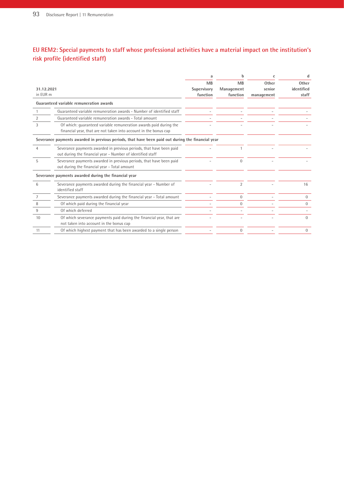## **EU REM2: Special payments to staff whose professional activities have a material impact on the institution's risk profile (identified staff)**

|            |                                                                                                   | a           | h              | $\mathbf{c}$ |              |
|------------|---------------------------------------------------------------------------------------------------|-------------|----------------|--------------|--------------|
|            |                                                                                                   | <b>MB</b>   | <b>MB</b>      | Other        | Other        |
| 31.12.2021 |                                                                                                   | Supervisory | Management     | senior       | identified   |
| in EUR m   |                                                                                                   | function    | function       | management   | staff        |
|            | Guaranteed variable remuneration awards                                                           |             |                |              |              |
|            | Guaranteed variable remuneration awards - Number of identified staff                              |             |                |              |              |
| 2          | Guaranteed variable remuneration awards - Total amount                                            |             |                |              |              |
| 3          | Of which: quaranteed variable remuneration awards paid during the                                 |             |                |              |              |
|            | financial year, that are not taken into account in the bonus cap                                  |             |                |              |              |
|            | Severance payments awarded in previous periods, that have been paid out during the financial year |             |                |              |              |
| 4          | Severance payments awarded in previous periods, that have been paid                               |             |                |              |              |
|            | out during the financial year - Number of identified staff                                        |             |                |              |              |
| 5          | Severance payments awarded in previous periods, that have been paid                               |             | $\Omega$       |              |              |
|            | out during the financial year - Total amount                                                      |             |                |              |              |
|            | Severance payments awarded during the financial year                                              |             |                |              |              |
| 6          | Severance payments awarded during the financial year - Number of<br>identified staff              |             | $\overline{2}$ |              | 16           |
|            | Severance payments awarded during the financial year - Total amount                               |             | $\overline{0}$ |              | $\mathbf{0}$ |
| 8          | Of which paid during the financial year                                                           |             | $\Omega$       |              | $\Omega$     |
| 9          | Of which deferred                                                                                 |             |                |              |              |
| 10         | Of which severance payments paid during the financial year, that are                              |             |                |              | $\Omega$     |
|            | not taken into account in the bonus cap                                                           |             |                |              |              |
| 11         | Of which highest payment that has been awarded to a single person                                 |             | $\Omega$       |              | $\Omega$     |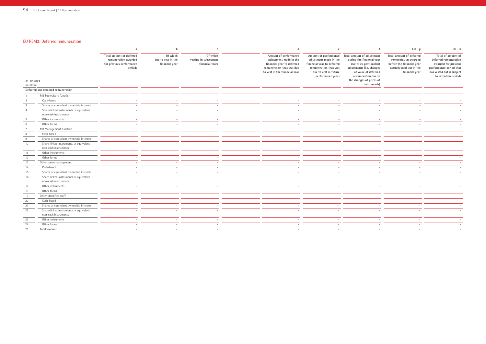## EU REM3: Deferred remuneration

|                        |                                                                |                                                                                                |                                                  |                                                      |                                                                                                                                             |                                                                                                                                                      |                                                                                                                                                                                                            | $EU - g$                                                                                                                    | $EU - h$                                                                                                                                            |
|------------------------|----------------------------------------------------------------|------------------------------------------------------------------------------------------------|--------------------------------------------------|------------------------------------------------------|---------------------------------------------------------------------------------------------------------------------------------------------|------------------------------------------------------------------------------------------------------------------------------------------------------|------------------------------------------------------------------------------------------------------------------------------------------------------------------------------------------------------------|-----------------------------------------------------------------------------------------------------------------------------|-----------------------------------------------------------------------------------------------------------------------------------------------------|
| 31.12.2021<br>in EUR m |                                                                | <b>Total amount of deferred</b><br>remuneration awarded<br>for previous performance<br>periods | Of which<br>due to vest in the<br>financial year | Of which<br>vesting in subsequent<br>financial years | Amount of performance<br>adjustment made in the<br>financial year to deferred<br>remuneration that was due<br>to vest in the financial year | Amount of performance<br>adjustment made in the<br>financial year to deferred<br>remuneration that was<br>due to vest in future<br>performance years | Total amount of adjustment<br>during the financial year<br>due to ex post implicit<br>adjustments (i.e. changes<br>of value of deferred<br>remuneration due to<br>the changes of prices of<br>instruments) | Total amount of deferred<br>remuneration awarded<br>before the financial year<br>actually paid out in the<br>financial year | Total of amount of<br>deferred remuneration<br>awarded for previous<br>performance period that<br>has vested but is subject<br>to retention periods |
|                        | Deferred and retained remuneration                             |                                                                                                |                                                  |                                                      |                                                                                                                                             |                                                                                                                                                      |                                                                                                                                                                                                            |                                                                                                                             |                                                                                                                                                     |
|                        | MB Supervisory function                                        |                                                                                                |                                                  |                                                      |                                                                                                                                             |                                                                                                                                                      |                                                                                                                                                                                                            |                                                                                                                             | $\sim$                                                                                                                                              |
| $\mathcal{P}$          | Cash-based                                                     |                                                                                                |                                                  |                                                      |                                                                                                                                             |                                                                                                                                                      |                                                                                                                                                                                                            |                                                                                                                             | $\sim$                                                                                                                                              |
|                        | Shares or equivalent ownership interests                       |                                                                                                |                                                  |                                                      |                                                                                                                                             |                                                                                                                                                      |                                                                                                                                                                                                            |                                                                                                                             | $\sim$                                                                                                                                              |
|                        | Share-linked instruments or equivalent<br>non-cash instruments |                                                                                                |                                                  |                                                      |                                                                                                                                             |                                                                                                                                                      |                                                                                                                                                                                                            |                                                                                                                             | $\sim$                                                                                                                                              |
|                        | Other instruments                                              |                                                                                                |                                                  |                                                      |                                                                                                                                             |                                                                                                                                                      | $\overline{\phantom{a}}$                                                                                                                                                                                   |                                                                                                                             | $\sim$                                                                                                                                              |
|                        | Other forms                                                    |                                                                                                |                                                  |                                                      |                                                                                                                                             |                                                                                                                                                      |                                                                                                                                                                                                            |                                                                                                                             | $\sim$                                                                                                                                              |
|                        | MB Management function                                         |                                                                                                |                                                  |                                                      |                                                                                                                                             |                                                                                                                                                      |                                                                                                                                                                                                            |                                                                                                                             | $\sim$                                                                                                                                              |
|                        | Cash-based                                                     |                                                                                                |                                                  |                                                      |                                                                                                                                             |                                                                                                                                                      |                                                                                                                                                                                                            |                                                                                                                             | $\sim$                                                                                                                                              |
|                        | Shares or equivalent ownership interests                       |                                                                                                |                                                  |                                                      |                                                                                                                                             |                                                                                                                                                      |                                                                                                                                                                                                            |                                                                                                                             | $\sim$                                                                                                                                              |
| 10                     | Share-linked instruments or equivalent<br>non-cash instruments |                                                                                                |                                                  |                                                      |                                                                                                                                             |                                                                                                                                                      |                                                                                                                                                                                                            |                                                                                                                             | $\sim$                                                                                                                                              |
| 11                     | Other instruments                                              |                                                                                                |                                                  |                                                      |                                                                                                                                             |                                                                                                                                                      |                                                                                                                                                                                                            |                                                                                                                             | $\sim$                                                                                                                                              |
| 12                     | Other forms                                                    |                                                                                                |                                                  |                                                      |                                                                                                                                             |                                                                                                                                                      |                                                                                                                                                                                                            |                                                                                                                             | $\sim$                                                                                                                                              |
| 13                     | Other senior management                                        |                                                                                                |                                                  |                                                      |                                                                                                                                             |                                                                                                                                                      |                                                                                                                                                                                                            |                                                                                                                             | $\sim$                                                                                                                                              |
| 14                     | Cash-based                                                     |                                                                                                |                                                  |                                                      |                                                                                                                                             |                                                                                                                                                      |                                                                                                                                                                                                            |                                                                                                                             | $\sim$                                                                                                                                              |
| 15                     | Shares or equivalent ownership interests                       |                                                                                                |                                                  |                                                      |                                                                                                                                             |                                                                                                                                                      |                                                                                                                                                                                                            |                                                                                                                             | $\sim$                                                                                                                                              |
| 16                     | Share-linked instruments or equivalent<br>non-cash instruments |                                                                                                |                                                  |                                                      |                                                                                                                                             |                                                                                                                                                      |                                                                                                                                                                                                            |                                                                                                                             | $\sim$                                                                                                                                              |
| 17                     | Other instruments                                              |                                                                                                |                                                  |                                                      |                                                                                                                                             |                                                                                                                                                      |                                                                                                                                                                                                            |                                                                                                                             | $\sim$                                                                                                                                              |
| 18                     | Other forms                                                    |                                                                                                |                                                  |                                                      |                                                                                                                                             |                                                                                                                                                      | $\overline{\phantom{a}}$                                                                                                                                                                                   |                                                                                                                             | $\sim$                                                                                                                                              |
| 19                     | Other identified staff                                         |                                                                                                |                                                  |                                                      |                                                                                                                                             |                                                                                                                                                      |                                                                                                                                                                                                            |                                                                                                                             | $\sim$                                                                                                                                              |
| 20                     | Cash-based                                                     |                                                                                                |                                                  |                                                      |                                                                                                                                             |                                                                                                                                                      |                                                                                                                                                                                                            |                                                                                                                             | $\sim$                                                                                                                                              |
| 21                     | Shares or equivalent ownership interests                       |                                                                                                |                                                  |                                                      |                                                                                                                                             |                                                                                                                                                      |                                                                                                                                                                                                            |                                                                                                                             | $\sim$                                                                                                                                              |
| 22                     | Share-linked instruments or equivalent<br>non-cash instruments |                                                                                                |                                                  |                                                      |                                                                                                                                             |                                                                                                                                                      |                                                                                                                                                                                                            |                                                                                                                             | $\sim$ 100 $\mu$                                                                                                                                    |
| 23                     | Other instruments                                              |                                                                                                |                                                  |                                                      |                                                                                                                                             |                                                                                                                                                      |                                                                                                                                                                                                            |                                                                                                                             | $\sim$                                                                                                                                              |
| 24                     | Other forms                                                    |                                                                                                |                                                  |                                                      |                                                                                                                                             |                                                                                                                                                      |                                                                                                                                                                                                            |                                                                                                                             | $\sim$                                                                                                                                              |
| 25                     | Total amount                                                   |                                                                                                |                                                  |                                                      |                                                                                                                                             |                                                                                                                                                      |                                                                                                                                                                                                            |                                                                                                                             | $\sim$                                                                                                                                              |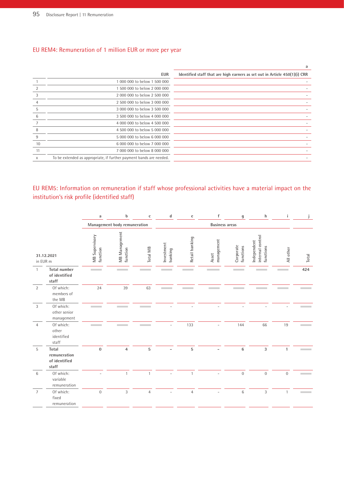## EU REM4: Remuneration of 1 million EUR or more per year

|          |                                                                     | a                                                                          |
|----------|---------------------------------------------------------------------|----------------------------------------------------------------------------|
|          | <b>EUR</b>                                                          | Identified staff that are high earners as set out in Article 450(1)(i) CRR |
|          | 1 000 000 to below 1 500 000                                        |                                                                            |
|          | 1 500 000 to below 2 000 000                                        |                                                                            |
| 3        | 2 000 000 to below 2 500 000                                        |                                                                            |
|          | 2 500 000 to below 3 000 000                                        |                                                                            |
| b        | 3 000 000 to below 3 500 000                                        |                                                                            |
| 6        | 3 500 000 to below 4 000 000                                        |                                                                            |
|          | 4 000 000 to below 4 500 000                                        |                                                                            |
| 8        | 4 500 000 to below 5 000 000                                        |                                                                            |
| 9        | 5 000 000 to below 6 000 000                                        |                                                                            |
| 10       | 6 000 000 to below 7 000 000                                        |                                                                            |
| 11       | 7 000 000 to below 8 000 000                                        |                                                                            |
| $\times$ | To be extended as appropriate, if further payment bands are needed. |                                                                            |

## EU REM5: Information on remuneration if staff whose professional activities have a material impact on the institution's risk profile (identified staff)

|                |                                                 | a                                 | $\mathbf b$                      | $\mathbf c$     | d                     | $\mathbf{e}$   | f                   | g                      | $\mathsf{h}% _{1}\left( \mathsf{h}\right) =\mathsf{h}_{1}\left( \mathsf{h}\right)$ | i                |       |
|----------------|-------------------------------------------------|-----------------------------------|----------------------------------|-----------------|-----------------------|----------------|---------------------|------------------------|------------------------------------------------------------------------------------|------------------|-------|
|                |                                                 |                                   | Management body remuneration     |                 |                       |                |                     | <b>Business areas</b>  |                                                                                    |                  |       |
| in EUR m       | 31.12.2021                                      | <b>MB</b> Supervisory<br>function | <b>MB</b> Management<br>function | <b>Total MB</b> | Investment<br>banking | Retail banking | management<br>Asset | Corporate<br>functions | internal control<br>Independent<br>functions                                       | All other        | Total |
| $\mathbf{1}$   | <b>Total number</b><br>of identified<br>staff   |                                   |                                  |                 |                       |                |                     |                        |                                                                                    | $\mathcal{L}$    | 424   |
| $\overline{2}$ | Of which:<br>members of<br>the MB               | 24                                | 39                               | 63              |                       |                |                     |                        |                                                                                    |                  |       |
| 3              | Of which:<br>other senior<br>management         |                                   |                                  |                 |                       |                |                     |                        |                                                                                    |                  |       |
| $\overline{4}$ | Of which:<br>other<br>identified<br>staff       |                                   |                                  |                 |                       | 133            |                     | 144                    | 66                                                                                 | 19               |       |
| 5              | Total<br>remuneration<br>of identified<br>staff | $\bf{0}$                          | $\overline{4}$                   | 5               |                       | $\overline{5}$ |                     | 6                      | 3                                                                                  | 1                |       |
| $6\,$          | Of which:<br>variable<br>remuneration           |                                   | $\mathbf{1}$                     | $\mathbf{1}$    |                       | $\mathbf{1}$   |                     | $\boldsymbol{0}$       | $\boldsymbol{0}$                                                                   | $\boldsymbol{0}$ |       |
| $\overline{7}$ | Of which:<br>fixed<br>remuneration              | $\boldsymbol{0}$                  | 3                                | $\overline{4}$  |                       | $\overline{4}$ |                     | 6                      | 3                                                                                  | $\mathbf{1}$     |       |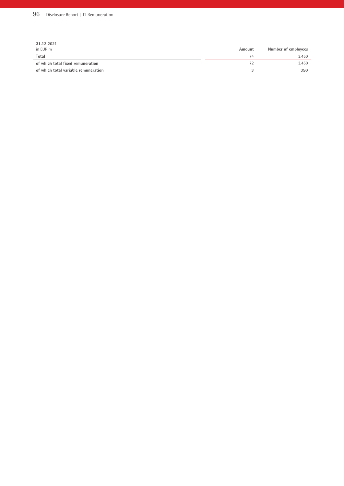| 31.12.2021                           |        |                     |
|--------------------------------------|--------|---------------------|
| in EUR m                             | Amount | Number of employees |
| <b>Total</b>                         | 74     | 3,450               |
| of which total fixed remuneration    | 72     | 3,450               |
| of which total variable remuneration |        | 350                 |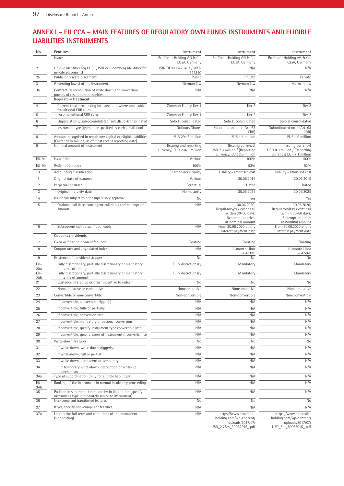# **[ANNEX I – EU CCA – MAIN FEATURES OF REGULATORY OWN FUNDS INSTRUMENTS AND ELIGIBLE](#page-3-0)  [LIABILITIES INSTRUMENTS](#page-3-0)**

| No.                    | <b>Features</b>                                                                                                         | Instrument                                            | Instrument                                                                                               | Instrument                                                                                               |
|------------------------|-------------------------------------------------------------------------------------------------------------------------|-------------------------------------------------------|----------------------------------------------------------------------------------------------------------|----------------------------------------------------------------------------------------------------------|
| 1                      | Issuer                                                                                                                  | ProCredit Holding AG & Co.<br>KGaA, Germany           | ProCredit Holding AG & Co.<br>KGaA, Germany                                                              | ProCredit Holding AG & Co.<br>KGaA, Germany                                                              |
| $\overline{2}$         | Unique identifier (eq CUSIP, ISIN or Bloomberg identifier for<br>private placement)                                     | ISIN DE0006223407 / WKN<br>622340                     | N/A                                                                                                      | N/A                                                                                                      |
| 2a                     | Public or private placement                                                                                             | Public                                                | Private                                                                                                  | Private                                                                                                  |
| 3                      | Governing law(s) of the instrument                                                                                      | German law                                            | German law                                                                                               | German law                                                                                               |
| 3a                     | Contractual recognition of write down and conversion<br>powers of resolution authorities<br><b>Regulatory treatment</b> | N/A                                                   | N/A                                                                                                      | N/A                                                                                                      |
| $\overline{4}$         | Current treatment taking into account, where applicable,                                                                | Common Equity Tier 1                                  | Tier <sub>2</sub>                                                                                        | Tier <sub>2</sub>                                                                                        |
| 5                      | transitional CRR rules<br>Post-transitional CRR rules                                                                   | Common Equity Tier 1                                  | Tier 2                                                                                                   | Tier <sub>2</sub>                                                                                        |
| 6                      | Eligible at solo/(sub-)consolidated/ solo&(sub-)consolidated                                                            | Solo & consolidated                                   | Solo & consolidated                                                                                      | Solo & consolidated                                                                                      |
| 7                      | Instrument type (types to be specified by each jurisdiction)                                                            | <b>Ordinary Shares</b>                                | Subordinated note (Art. 63                                                                               | Subordinated note (Art. 63                                                                               |
| 8                      | Amount recognised in regulatory capital or eligible liabilities                                                         | EUR 294.5 million                                     | CRR)<br>EUR 1.4 million                                                                                  | CRR)<br>EUR 4.9 million                                                                                  |
| $\overline{9}$         | (Currency in million, as of most recent reporting date)<br>Nominal amount of instrument                                 | (Issuing and reporting<br>currency) EUR 294.5 million | (Issuing currency)<br>USD 2.3 million / (Reporting<br>currency) EUR 2.0 million                          | (Issuing currency)<br>USD 8.0 million / (Reporting<br>currency) EUR 7.1 million                          |
| EU-9a                  | Issue price                                                                                                             | Various                                               | 100%                                                                                                     | 100%                                                                                                     |
| $EU-9b$                | Redemption price                                                                                                        | 100%                                                  | 93%                                                                                                      | 93%                                                                                                      |
| 10                     | Accounting classification                                                                                               | Shareholders' equity                                  | Liability - amortised cost                                                                               | Liability - amortised cost                                                                               |
| 11                     | Original date of issuance                                                                                               | Various                                               | 30.06.2015                                                                                               | 30.06.2015                                                                                               |
| 12                     | Perpetual or dated                                                                                                      | Perpetual                                             | Dated                                                                                                    | Dated                                                                                                    |
| 13                     | Original maturity date                                                                                                  | No maturity                                           | 30.06.2025                                                                                               | 30.06.2025                                                                                               |
| 14                     | Issuer call subject to prior supervisory approval                                                                       | No                                                    | Yes                                                                                                      | Yes                                                                                                      |
| 15                     | Optional call date, contingent call dates and redemption<br>amount                                                      | N/A                                                   | 30.06.2020;<br>Regulatory/tax event call<br>within 30-60 days;<br>Redemption price:<br>at nominal amount | 30.06.2020;<br>Regulatory/tax event call<br>within 30-60 days;<br>Redemption price:<br>at nominal amount |
| 16                     | Subsequent call dates, if applicable                                                                                    | N/A                                                   | From 30.06.2020 at any<br>interest payment date                                                          | From 30.06.2020 at any<br>interest payment date                                                          |
|                        | Coupons / dividends                                                                                                     |                                                       |                                                                                                          |                                                                                                          |
| 17                     | Fixed or floating dividend/coupon                                                                                       | Floating                                              | Floating                                                                                                 | Floating                                                                                                 |
| 18                     | Coupon rate and any related index                                                                                       | N/A                                                   | 6-month Libor<br>$+4.50%$                                                                                | 6-month Libor<br>$+4.50%$                                                                                |
| 19                     | Existence of a dividend stopper                                                                                         | No                                                    | No                                                                                                       | No                                                                                                       |
| EU-<br>20a             | Fully discretionary, partially discretionary or mandatory<br>(in terms of timing)                                       | Fully discretionary                                   | Mandatory                                                                                                | Mandatory                                                                                                |
| EU-<br>20 <sub>b</sub> | Fully discretionary, partially discretionary or mandatory<br>(in terms of amount)                                       | Fully discretionary                                   | Mandatory                                                                                                | Mandatory                                                                                                |
| 21                     | Existence of step up or other incentive to redeem                                                                       | <b>No</b>                                             | <b>No</b>                                                                                                | No                                                                                                       |
| 22                     | Noncumulative or cumulative                                                                                             | Noncumulative                                         | Noncumulative                                                                                            | Noncumulative                                                                                            |
| 23                     | Convertible or non-convertible                                                                                          | Non-convertible                                       | Non-convertible                                                                                          | Non-convertible                                                                                          |
| 24                     | If convertible, conversion trigger(s)                                                                                   | N/A                                                   | N/A                                                                                                      | N/A                                                                                                      |
| 25                     | If convertible, fully or partially                                                                                      | $\overline{N/A}$                                      | $\overline{N/A}$                                                                                         | N/A                                                                                                      |
| 26                     | If convertible, conversion rate                                                                                         | N/A                                                   | N/A                                                                                                      | N/A                                                                                                      |
| 27                     | If convertible, mandatory or optional conversion                                                                        | N/A                                                   | N/A                                                                                                      | N/A                                                                                                      |
| 28                     | If convertible, specify instrument type convertible into                                                                | N/A                                                   | N/A                                                                                                      | N/A                                                                                                      |
| 29                     | If convertible, specify issuer of instrument it converts into                                                           | N/A                                                   | N/A                                                                                                      | N/A                                                                                                      |
| 30                     | Write-down features                                                                                                     | No                                                    | No                                                                                                       | No                                                                                                       |
| 31                     | If write-down, write-down trigger(s)                                                                                    | N/A                                                   | N/A                                                                                                      | N/A                                                                                                      |
| 32                     | If write-down, full or partial                                                                                          | N/A                                                   | N/A                                                                                                      | N/A                                                                                                      |
| 33                     | If write-down, permanent or temporary                                                                                   | N/A                                                   | N/A                                                                                                      | N/A                                                                                                      |
| 34                     | If temporary write-down, description of write-up<br>mechanism                                                           | N/A                                                   | N/A                                                                                                      | N/A                                                                                                      |
| 34a                    | Type of subordination (only for eligible liabilities)                                                                   | N/A                                                   | N/A                                                                                                      | N/A                                                                                                      |
| EU-                    | Ranking of the instrument in normal insolvency proceedings                                                              | N/A                                                   | N/A                                                                                                      | N/A                                                                                                      |
| 34b<br>35              | Position in subordination hierarchy in liquidation (specify<br>instrument type immediately senior to instrument)        | N/A                                                   | N/A                                                                                                      | N/A                                                                                                      |
| 36                     | Non-compliant transitioned features                                                                                     | No                                                    | No                                                                                                       | No                                                                                                       |
| 37                     | If yes, specify non-compliant features                                                                                  | N/A                                                   | N/A                                                                                                      | N/A                                                                                                      |
| 37a                    | Link to the full term and conditions of the instrument<br>(signposting)                                                 | N/A                                                   | https://www.procredit-<br>holding.com/wp-content/<br>uploads/2017/07/<br>USD_2.25m_30062015_.pdf         | https://www.procredit-<br>holding.com/wp-content/<br>uploads/2017/07/<br>USD_8m_30062015_.pdf            |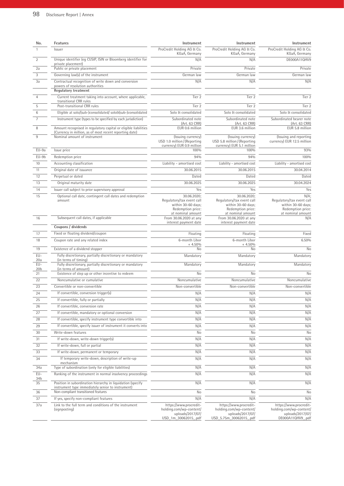| No.                          | <b>Features</b>                                                                                                                        | Instrument                                                                                               | Instrument                                                                                               | Instrument                                                                                           |
|------------------------------|----------------------------------------------------------------------------------------------------------------------------------------|----------------------------------------------------------------------------------------------------------|----------------------------------------------------------------------------------------------------------|------------------------------------------------------------------------------------------------------|
| 1                            | Issuer                                                                                                                                 | ProCredit Holding AG & Co.<br>KGaA, Germany                                                              | ProCredit Holding AG & Co.<br>KGaA, Germany                                                              | ProCredit Holding AG & Co.<br>KGaA, Germany                                                          |
| $\overline{2}$               | Unique identifier (eq CUSIP, ISIN or Bloomberg identifier for<br>private placement)                                                    | N/A                                                                                                      | N/A                                                                                                      | DE000A11QHV9                                                                                         |
| 2a                           | Public or private placement                                                                                                            | Private                                                                                                  | Private                                                                                                  | Private                                                                                              |
| 3                            | Governing law(s) of the instrument                                                                                                     | German law                                                                                               | German law                                                                                               | German law                                                                                           |
| 3a                           | Contractual recognition of write down and conversion<br>powers of resolution authorities                                               | N/A                                                                                                      | N/A                                                                                                      | N/A                                                                                                  |
|                              | <b>Requlatory treatment</b>                                                                                                            |                                                                                                          |                                                                                                          |                                                                                                      |
| 4                            | Current treatment taking into account, where applicable,<br>transitional CRR rules                                                     | Tier 2                                                                                                   | Tier 2                                                                                                   | Tier <sub>2</sub>                                                                                    |
| 5                            | Post-transitional CRR rules                                                                                                            | Tier <sub>2</sub>                                                                                        | Tier 2                                                                                                   | Tier 2                                                                                               |
| 6                            | Eligible at solo/(sub-)consolidated/ solo&(sub-)consolidated                                                                           | Solo & consolidated                                                                                      | Solo & consolidated                                                                                      | Solo & consolidated                                                                                  |
| 7                            | Instrument type (types to be specified by each jurisdiction)                                                                           | Subordinated note<br>(Art. 63 CRR)                                                                       | Subordinated note<br>(Art. 63 CRR)                                                                       | Subordinated bearer note<br>(Art. 63 CRR)                                                            |
| 8                            | Amount recognised in regulatory capital or eligible liabilities                                                                        | EUR 0.6 million                                                                                          | EUR 3.6 million                                                                                          | EUR 5.8 million                                                                                      |
| 9                            | (Currency in million, as of most recent reporting date)<br>Nominal amount of instrument                                                | (Issuing currency)<br>USD 1.0 million / (Reporting<br>currency) EUR 0.9 million                          | (Issuing currency)<br>USD 5.8 million / (Reporting<br>currency) EUR 5.1 million                          | (Issuing and reporting<br>currency) EUR 12.5 million                                                 |
| EU-9a                        | Issue price                                                                                                                            | 100%                                                                                                     | 100%                                                                                                     | 93%                                                                                                  |
| EU-9b                        | Redemption price                                                                                                                       | 94%                                                                                                      | 94%                                                                                                      | 100%                                                                                                 |
| 10                           | Accounting classification                                                                                                              | Liability - amortised cost                                                                               | Liability - amortised cost                                                                               | Liability - amortised cost                                                                           |
| 11                           | Original date of issuance                                                                                                              | 30.06.2015                                                                                               | 30.06.2015                                                                                               | 30.04.2014                                                                                           |
| 12                           | Perpetual or dated                                                                                                                     | Dated                                                                                                    | Dated                                                                                                    | Dated                                                                                                |
| 13                           | Original maturity date                                                                                                                 | 30.06.2025                                                                                               | 30.06.2025                                                                                               | 30.04.2024                                                                                           |
| 14                           | Issuer call subject to prior supervisory approval                                                                                      | Yes                                                                                                      | Yes                                                                                                      | Yes                                                                                                  |
| 15                           | Optional call date, contingent call dates and redemption<br>amount                                                                     | 30.06.2020;<br>Regulatory/tax event call<br>within 30-60 days;<br>Redemption price:<br>at nominal amount | 30.06.2020:<br>Requlatory/tax event call<br>within 30-60 days;<br>Redemption price:<br>at nominal amount | $N/A$ ;<br>Regulatory/tax event call<br>within 30-60 days;<br>Redemption price:<br>at nominal amount |
| 16                           | Subsequent call dates, if applicable                                                                                                   | From 30.06.2020 at any                                                                                   | From 30.06.2020 at any                                                                                   | N/A                                                                                                  |
|                              | Coupons / dividends                                                                                                                    | interest payment date                                                                                    | interest payment date                                                                                    |                                                                                                      |
| 17                           | Fixed or floating dividend/coupon                                                                                                      | Floating                                                                                                 | Floating                                                                                                 | Fixed                                                                                                |
| 18                           | Coupon rate and any related index                                                                                                      | 6-month Libor<br>$+4.50%$                                                                                | 6-month Libor<br>$+4.50%$                                                                                | 6.50%                                                                                                |
| 19                           | Existence of a dividend stopper                                                                                                        | No                                                                                                       | No                                                                                                       | <b>No</b>                                                                                            |
| EU-<br>20a                   | Fully discretionary, partially discretionary or mandatory<br>(in terms of timing)                                                      | Mandatory                                                                                                | Mandatory                                                                                                | Mandatory                                                                                            |
| EU-<br>20 <sub>b</sub><br>21 | Fully discretionary, partially discretionary or mandatory<br>(in terms of amount)<br>Existence of step up or other incentive to redeem | Mandatory<br><b>No</b>                                                                                   | Mandatory<br>No                                                                                          | Mandatory<br>No                                                                                      |
| 22                           | Noncumulative or cumulative                                                                                                            | Noncumulative                                                                                            | Noncumulative                                                                                            | Noncumulative                                                                                        |
| 23                           | Convertible or non-convertible                                                                                                         | Non-convertible                                                                                          | Non-convertible                                                                                          | Non-convertible                                                                                      |
| 24                           | If convertible, conversion trigger(s)                                                                                                  | N/A                                                                                                      | N/A                                                                                                      | N/A                                                                                                  |
| 25                           | If convertible, fully or partially                                                                                                     | N/A                                                                                                      | N/A                                                                                                      | N/A                                                                                                  |
|                              | If convertible, conversion rate                                                                                                        | N/A                                                                                                      | N/A                                                                                                      | N/A                                                                                                  |
| 26<br>27                     | If convertible, mandatory or optional conversion                                                                                       | N/A                                                                                                      | N/A                                                                                                      | N/A                                                                                                  |
|                              | If convertible, specify instrument type convertible into                                                                               | N/A                                                                                                      | N/A                                                                                                      | N/A                                                                                                  |
| 28<br>29                     | If convertible, specify issuer of instrument it converts into                                                                          | N/A                                                                                                      | N/A                                                                                                      | N/A                                                                                                  |
|                              | Write-down features                                                                                                                    | No                                                                                                       | No                                                                                                       | No                                                                                                   |
| 30<br>31                     | If write-down, write-down trigger(s)                                                                                                   | N/A                                                                                                      | N/A                                                                                                      | N/A                                                                                                  |
|                              | If write-down, full or partial                                                                                                         | N/A                                                                                                      | N/A                                                                                                      | N/A                                                                                                  |
| 32                           |                                                                                                                                        | N/A                                                                                                      | N/A                                                                                                      | N/A                                                                                                  |
| 33                           | If write-down, permanent or temporary<br>If temporary write-down, description of write-up                                              |                                                                                                          |                                                                                                          |                                                                                                      |
| 34                           | mechanism                                                                                                                              | N/A                                                                                                      | N/A                                                                                                      | N/A                                                                                                  |
| 34a                          | Type of subordination (only for eligible liabilities)                                                                                  | N/A                                                                                                      | N/A                                                                                                      | N/A                                                                                                  |
| EU-                          | Ranking of the instrument in normal insolvency proceedings                                                                             | N/A                                                                                                      | N/A                                                                                                      | N/A                                                                                                  |
| 34b<br>35                    | Position in subordination hierarchy in liquidation (specify<br>instrument type immediately senior to instrument)                       | N/A                                                                                                      | N/A                                                                                                      | N/A                                                                                                  |
| 36                           | Non-compliant transitioned features                                                                                                    | No                                                                                                       | No                                                                                                       | No                                                                                                   |
| 37                           | If yes, specify non-compliant features                                                                                                 | N/A                                                                                                      | N/A                                                                                                      | N/A                                                                                                  |
| 37a                          | Link to the full term and conditions of the instrument<br>(signposting)                                                                | https://www.procredit-<br>holding.com/wp-content/<br>uploads/2017/07/<br>USD_1m_30062015_.pdf            | https://www.procredit-<br>holding.com/wp-content/<br>uploads/2017/07/<br>USD_5.75m_30062015_.pdf         | https://www.procredit-<br>holding.com/wp-content/<br>uploads/2017/07/<br>DE000A11QHV9_.pdf           |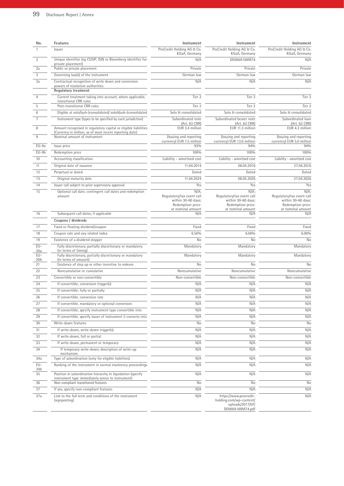| No.                           | <b>Features</b>                                                                                                            | Instrument                                                                                | Instrument                                                                                | Instrument                                                                                |
|-------------------------------|----------------------------------------------------------------------------------------------------------------------------|-------------------------------------------------------------------------------------------|-------------------------------------------------------------------------------------------|-------------------------------------------------------------------------------------------|
| 1                             | Issuer                                                                                                                     | ProCredit Holding AG & Co.<br>KGaA, Germany                                               | ProCredit Holding AG & Co.<br>KGaA, Germany                                               | ProCredit Holding AG & Co.<br>KGaA, Germany                                               |
| $\overline{2}$                | Unique identifier (eq CUSIP, ISIN or Bloomberg identifier for<br>private placement)                                        | N/A                                                                                       | DE000A169M74                                                                              | N/A                                                                                       |
| 2a                            | Public or private placement                                                                                                | Private                                                                                   | Private                                                                                   | Private                                                                                   |
| 3                             | Governing law(s) of the instrument                                                                                         | German law                                                                                | German law                                                                                | German law                                                                                |
| 3a                            | Contractual recognition of write down and conversion<br>powers of resolution authorities                                   | N/A                                                                                       | N/A                                                                                       | N/A                                                                                       |
| 4                             | <b>Regulatory treatment</b><br>Current treatment taking into account, where applicable,                                    | Tier 2                                                                                    | Tier 2                                                                                    | Tier 2                                                                                    |
|                               | transitional CRR rules                                                                                                     |                                                                                           |                                                                                           |                                                                                           |
| 5                             | Post-transitional CRR rules                                                                                                | Tier 2                                                                                    | Tier 2                                                                                    | Tier 2                                                                                    |
| 6                             | Eligible at solo/(sub-)consolidated/ solo&(sub-)consolidated                                                               | Solo & consolidated                                                                       | Solo & consolidated                                                                       | Solo & consolidated                                                                       |
| 7                             | Instrument type (types to be specified by each jurisdiction)                                                               | Subordinated note<br>(Art. 63 CRR)                                                        | Subordinated bearer note<br>(Art. 63 CRR)                                                 | Subordinated Ioan<br>(Art. 63 CRR)                                                        |
| 8                             | Amount recognised in regulatory capital or eligible liabilities<br>(Currency in million, as of most recent reporting date) | EUR 3.4 million                                                                           | EUR 11.3 million                                                                          | EUR 4.3 million                                                                           |
| 9                             | Nominal amount of instrument                                                                                               | (Issuing and reporting                                                                    | (Issuing and reporting                                                                    | (Issuing and reporting                                                                    |
|                               |                                                                                                                            | currency) EUR 7.5 million                                                                 | currency) EUR 13.0 million                                                                | currency) EUR 5.0 million                                                                 |
| EU-9a                         | Issue price                                                                                                                | 93%<br>100%                                                                               | 94%<br>100%                                                                               | 94%<br>100%                                                                               |
| EU-9b                         | Redemption price                                                                                                           |                                                                                           |                                                                                           |                                                                                           |
| 10                            | Accounting classification                                                                                                  | Liability - amortised cost                                                                | Liability - amortised cost                                                                | Liability - amortised cost                                                                |
| 11                            | Original date of issuance                                                                                                  | 11.04.2014                                                                                | 06.05.2016                                                                                | 27.04.2016                                                                                |
| 12                            | Perpetual or dated                                                                                                         | Dated                                                                                     | Dated                                                                                     | Dated                                                                                     |
| 13                            | Original maturity date                                                                                                     | 11.04.2024                                                                                | 06.05.2026                                                                                | 27.04.2026                                                                                |
| 14<br>15                      | Issuer call subject to prior supervisory approval<br>Optional call date, contingent call dates and redemption              | Yes<br>$N/A$ ;                                                                            | Yes<br>N/A                                                                                | Yes<br>N/A                                                                                |
|                               | amount                                                                                                                     | Regulatory/tax event call<br>within 30-60 days;<br>Redemption price:<br>at nominal amount | Regulatory/tax event call<br>within 30-60 days;<br>Redemption price:<br>at nominal amount | Requlatory/tax event call<br>within 30-60 days;<br>Redemption price:<br>at nominal amount |
| 16                            | Subsequent call dates, if applicable                                                                                       | N/A                                                                                       | N/A                                                                                       | N/A                                                                                       |
|                               | Coupons / dividends                                                                                                        |                                                                                           |                                                                                           |                                                                                           |
| 17                            | Fixed or floating dividend/coupon                                                                                          | Fixed                                                                                     | Fixed                                                                                     | Fixed                                                                                     |
| 18                            | Coupon rate and any related index                                                                                          | 6.50%                                                                                     | 6.00%                                                                                     | 6.00%                                                                                     |
| 19                            | Existence of a dividend stopper                                                                                            | No                                                                                        | No                                                                                        | No                                                                                        |
| EU-                           | Fully discretionary, partially discretionary or mandatory                                                                  | Mandatory                                                                                 | Mandatory                                                                                 | Mandatory                                                                                 |
| 20a<br>EU-<br>20 <sub>b</sub> | (in terms of timing)<br>Fully discretionary, partially discretionary or mandatory<br>(in terms of amount)                  | Mandatory                                                                                 | Mandatory                                                                                 | Mandatory                                                                                 |
| 21                            | Existence of step up or other incentive to redeem                                                                          | No                                                                                        | No                                                                                        | No                                                                                        |
| 22                            | Noncumulative or cumulative                                                                                                | Noncumulative                                                                             | Noncumulative                                                                             | Noncumulative                                                                             |
| 23                            | Convertible or non-convertible                                                                                             | Non-convertible                                                                           | Non-convertible                                                                           | Non-convertible                                                                           |
| 24                            | If convertible, conversion trigger(s)                                                                                      | N/A                                                                                       | N/A                                                                                       | N/A                                                                                       |
| 25                            | If convertible, fully or partially                                                                                         | N/A                                                                                       | N/A                                                                                       | N/A                                                                                       |
| 26                            | If convertible, conversion rate                                                                                            | N/A                                                                                       | N/A                                                                                       | N/A                                                                                       |
| 27                            | If convertible, mandatory or optional conversion                                                                           | N/A                                                                                       | N/A                                                                                       | N/A                                                                                       |
| 28                            | If convertible, specify instrument type convertible into                                                                   | N/A                                                                                       | N/A                                                                                       | N/A                                                                                       |
| 29                            | If convertible, specify issuer of instrument it converts into                                                              | N/A                                                                                       | N/A                                                                                       | N/A                                                                                       |
| 30                            | Write-down features                                                                                                        | No                                                                                        | No                                                                                        | No                                                                                        |
| 31                            | If write-down, write-down trigger(s)                                                                                       | N/A                                                                                       | N/A                                                                                       | N/A                                                                                       |
| 32                            | If write-down, full or partial                                                                                             | N/A                                                                                       | N/A                                                                                       | N/A                                                                                       |
| 33                            | If write-down, permanent or temporary                                                                                      | N/A                                                                                       | N/A                                                                                       | N/A                                                                                       |
| 34                            | If temporary write-down, description of write-up<br>mechanism                                                              | N/A                                                                                       | N/A                                                                                       | N/A                                                                                       |
| 34a                           | Type of subordination (only for eligible liabilities)                                                                      | N/A                                                                                       | N/A                                                                                       | N/A                                                                                       |
| EU-<br>34b                    | Ranking of the instrument in normal insolvency proceedings                                                                 | N/A                                                                                       | N/A                                                                                       | N/A                                                                                       |
| 35                            | Position in subordination hierarchy in liquidation (specify<br>instrument type immediately senior to instrument)           | N/A                                                                                       | N/A                                                                                       | N/A                                                                                       |
| 36                            | Non-compliant transitioned features                                                                                        | No                                                                                        | No                                                                                        | No                                                                                        |
| 37                            | If yes, specify non-compliant features                                                                                     | N/A                                                                                       | N/A                                                                                       | N/A                                                                                       |
| 37a                           | Link to the full term and conditions of the instrument<br>(signposting)                                                    | N/A                                                                                       | https://www.procredit-<br>holding.com/wp-content/<br>uploads/2017/07/<br>DE000A169M74.pdf | N/A                                                                                       |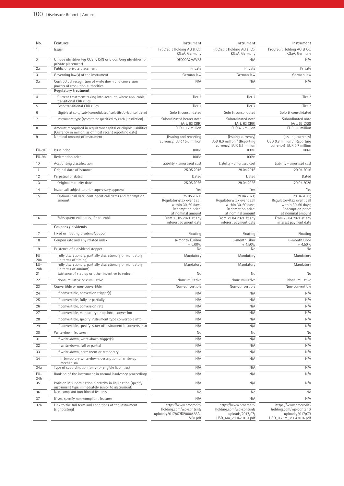| No.                    | <b>Features</b>                                                                                                            | Instrument                                                                                               | Instrument                                                                                               | Instrument                                                                                              |
|------------------------|----------------------------------------------------------------------------------------------------------------------------|----------------------------------------------------------------------------------------------------------|----------------------------------------------------------------------------------------------------------|---------------------------------------------------------------------------------------------------------|
| 1                      | Issuer                                                                                                                     | ProCredit Holding AG & Co.<br>KGaA, Germany                                                              | ProCredit Holding AG & Co.<br>KGaA, Germany                                                              | ProCredit Holding AG & Co.<br>KGaA, Germany                                                             |
| 2                      | Unique identifier (eq CUSIP, ISIN or Bloomberg identifier for<br>private placement)                                        | DE000A2AAVP8                                                                                             | N/A                                                                                                      | N/A                                                                                                     |
| 2a                     | Public or private placement                                                                                                | Private                                                                                                  | Private                                                                                                  | Private                                                                                                 |
| 3                      | Governing law(s) of the instrument                                                                                         | German law                                                                                               | German law                                                                                               | German law                                                                                              |
| 3a                     | Contractual recognition of write down and conversion<br>powers of resolution authorities<br><b>Regulatory treatment</b>    | N/A                                                                                                      | N/A                                                                                                      | N/A                                                                                                     |
| $\overline{4}$         | Current treatment taking into account, where applicable,<br>transitional CRR rules                                         | Tier 2                                                                                                   | Tier 2                                                                                                   | Tier <sub>2</sub>                                                                                       |
| 5                      | Post-transitional CRR rules                                                                                                | Tier <sub>2</sub>                                                                                        | Tier <sub>2</sub>                                                                                        | Tier 2                                                                                                  |
| 6                      | Eligible at solo/(sub-)consolidated/ solo&(sub-)consolidated                                                               | Solo & consolidated                                                                                      | Solo & consolidated                                                                                      | Solo & consolidated                                                                                     |
| 7                      | Instrument type (types to be specified by each jurisdiction)                                                               | Subordinated bearer note                                                                                 | Subordinated note                                                                                        | Subordinated note<br>(Art. 63 CRR)                                                                      |
| 8                      | Amount recognised in regulatory capital or eligible liabilities<br>(Currency in million, as of most recent reporting date) | (Art. 63 CRR)<br>EUR 13.2 million                                                                        | (Art. 63 CRR)<br>EUR 4.6 million                                                                         | EUR 0.6 million                                                                                         |
| 9                      | Nominal amount of instrument                                                                                               | (Issuing and reporting<br>currency) EUR 15.0 million                                                     | (Issuing currency)<br>USD 6.0 million / (Reporting<br>currency) EUR 5.3 million                          | (Issuing currency)<br>USD 0.8 million / (Reporting<br>currency) EUR 0.7 million                         |
| EU-9a                  | Issue price                                                                                                                | 100%                                                                                                     | 100%                                                                                                     | 100%                                                                                                    |
| EU-9b                  | Redemption price                                                                                                           | 100%                                                                                                     | 100%                                                                                                     |                                                                                                         |
| 10                     | Accounting classification                                                                                                  | Liability - amortised cost                                                                               | Liability - amortised cost                                                                               | Liability - amortised cost                                                                              |
| 11                     | Original date of issuance                                                                                                  | 25.05.2016                                                                                               | 29.04.2016                                                                                               | 29.04.2016                                                                                              |
| 12                     | Perpetual or dated                                                                                                         | Dated                                                                                                    | Dated                                                                                                    | Dated                                                                                                   |
| 13                     | Original maturity date                                                                                                     | 25.05.2026                                                                                               | 29.04.2026                                                                                               | 29.04.2026                                                                                              |
| 14                     | Issuer call subject to prior supervisory approval                                                                          | Yes                                                                                                      | Yes                                                                                                      | Yes                                                                                                     |
| 15                     | Optional call date, contingent call dates and redemption<br>amount                                                         | 25.05.2021;<br>Requlatory/tax event call<br>within 30-60 days;<br>Redemption price:<br>at nominal amount | 29.04.2021;<br>Regulatory/tax event call<br>within 30-60 days;<br>Redemption price:<br>at nominal amount | 29.04.2021<br>Regulatory/tax event call<br>within 30-60 days;<br>Redemption price:<br>at nominal amount |
| 16                     | Subsequent call dates, if applicable                                                                                       | From 25.05.2021 at any                                                                                   | From 29.04.2021 at any                                                                                   | From 29.04.2021 at any                                                                                  |
|                        | Coupons / dividends                                                                                                        | interest payment date                                                                                    | interest payment date                                                                                    | interest payment date                                                                                   |
| 17                     | Fixed or floating dividend/coupon                                                                                          | Floating                                                                                                 | Floating                                                                                                 | Floating                                                                                                |
| 18                     | Coupon rate and any related index                                                                                          | 6-month Euribor<br>$+6.00%$                                                                              | 6-month Libor<br>$+4.50%$                                                                                | 6-month Libor<br>$+4.50%$                                                                               |
| 19                     | Existence of a dividend stopper                                                                                            | <b>No</b>                                                                                                | No                                                                                                       | No                                                                                                      |
| EU-<br>20a             | Fully discretionary, partially discretionary or mandatory<br>(in terms of timing)                                          | Mandatory                                                                                                | Mandatory                                                                                                | Mandatory                                                                                               |
| EU-<br>20 <sub>b</sub> | Fully discretionary, partially discretionary or mandatory<br>(in terms of amount)                                          | Mandatory                                                                                                | Mandatory                                                                                                | Mandatory                                                                                               |
| 21                     | Existence of step up or other incentive to redeem                                                                          | No                                                                                                       | No                                                                                                       | No                                                                                                      |
| 22                     | Noncumulative or cumulative                                                                                                | Noncumulative                                                                                            | Noncumulative                                                                                            | Noncumulative                                                                                           |
| 23                     | Convertible or non-convertible                                                                                             | Non-convertible                                                                                          | Non-convertible                                                                                          | Non-convertible                                                                                         |
| 24                     | If convertible, conversion trigger(s)                                                                                      | N/A                                                                                                      | N/A                                                                                                      | N/A                                                                                                     |
| 25                     | If convertible, fully or partially                                                                                         | N/A                                                                                                      | N/A                                                                                                      | N/A                                                                                                     |
| 26                     | If convertible, conversion rate                                                                                            | N/A                                                                                                      | N/A                                                                                                      | N/A                                                                                                     |
| 27                     | If convertible, mandatory or optional conversion                                                                           | N/A                                                                                                      | N/A                                                                                                      | N/A                                                                                                     |
| 28                     | If convertible, specify instrument type convertible into                                                                   | N/A                                                                                                      | N/A                                                                                                      | N/A                                                                                                     |
| 29                     | If convertible, specify issuer of instrument it converts into                                                              | N/A                                                                                                      | N/A                                                                                                      | N/A                                                                                                     |
| 30                     | Write-down features                                                                                                        | No                                                                                                       | No                                                                                                       | No                                                                                                      |
| 31                     | If write-down, write-down trigger(s)                                                                                       | N/A                                                                                                      | N/A                                                                                                      | N/A                                                                                                     |
| 32                     | If write-down, full or partial                                                                                             | N/A                                                                                                      | N/A                                                                                                      | N/A                                                                                                     |
| 33                     | If write-down, permanent or temporary                                                                                      | N/A                                                                                                      | N/A                                                                                                      | N/A                                                                                                     |
| 34                     | If temporary write-down, description of write-up<br>mechanism                                                              | N/A                                                                                                      | N/A                                                                                                      | N/A                                                                                                     |
| 34a                    | Type of subordination (only for eligible liabilities)                                                                      | N/A                                                                                                      | N/A                                                                                                      | N/A                                                                                                     |
| EU-<br>34b             | Ranking of the instrument in normal insolvency proceedings                                                                 | N/A                                                                                                      | N/A                                                                                                      | N/A                                                                                                     |
| 35                     | Position in subordination hierarchy in liquidation (specify<br>instrument type immediately senior to instrument)           | N/A                                                                                                      | N/A                                                                                                      | N/A                                                                                                     |
| 36                     | Non-compliant transitioned features                                                                                        | No                                                                                                       | No                                                                                                       | No                                                                                                      |
| 37                     | If yes, specify non-compliant features                                                                                     | N/A                                                                                                      | N/A                                                                                                      | N/A                                                                                                     |
| 37a                    | Link to the full term and conditions of the instrument<br>(signposting)                                                    | https://www.procredit-<br>holding.com/wp-content/<br>uploads/2017/07/DE000A2AA-<br>VP8.pdf               | https://www.procredit-<br>holding.com/wp-content/<br>uploads/2017/07/<br>USD_6m_29042016a.pdf            | https://www.procredit-<br>holding.com/wp-content/<br>uploads/2017/07/<br>USD_0.75m_29042016.pdf         |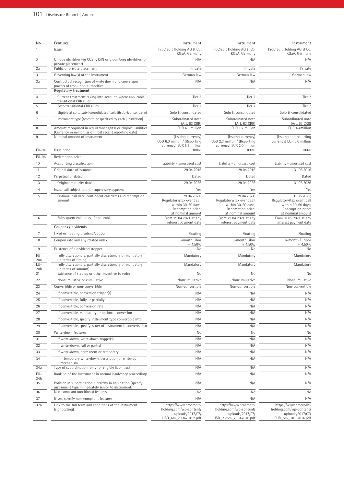| No.                           | <b>Features</b>                                                                                                         | Instrument                                                                                               | Instrument                                                                                               | Instrument                                                                                               |
|-------------------------------|-------------------------------------------------------------------------------------------------------------------------|----------------------------------------------------------------------------------------------------------|----------------------------------------------------------------------------------------------------------|----------------------------------------------------------------------------------------------------------|
| 1                             | Issuer                                                                                                                  | ProCredit Holding AG & Co.<br>KGaA, Germany                                                              | ProCredit Holding AG & Co.<br>KGaA, Germany                                                              | ProCredit Holding AG & Co.<br>KGaA, Germany                                                              |
| $\overline{2}$                | Unique identifier (eq CUSIP, ISIN or Bloomberg identifier for<br>private placement)                                     | N/A                                                                                                      | N/A                                                                                                      | N/A                                                                                                      |
| 2a                            | Public or private placement                                                                                             | Private                                                                                                  | Private                                                                                                  | Private                                                                                                  |
| 3                             | Governing law(s) of the instrument                                                                                      | German law                                                                                               | German law                                                                                               | German law                                                                                               |
| 3a                            | Contractual recognition of write down and conversion<br>powers of resolution authorities<br><b>Requlatory treatment</b> | N/A                                                                                                      | N/A                                                                                                      | N/A                                                                                                      |
| 4                             | Current treatment taking into account, where applicable,                                                                | Tier 2                                                                                                   | Tier 2                                                                                                   | Tier <sub>2</sub>                                                                                        |
|                               | transitional CRR rules                                                                                                  |                                                                                                          |                                                                                                          |                                                                                                          |
| 5                             | Post-transitional CRR rules                                                                                             | Tier 2                                                                                                   | Tier 2                                                                                                   | Tier <sub>2</sub>                                                                                        |
| 6                             | Eligible at solo/(sub-)consolidated/ solo&(sub-)consolidated                                                            | Solo & consolidated                                                                                      | Solo & consolidated                                                                                      | Solo & consolidated                                                                                      |
| 7                             | Instrument type (types to be specified by each jurisdiction)                                                            | Subordinated note<br>(Art. 63 CRR)                                                                       | Subordinated note<br>(Art. 63 CRR)                                                                       | Subordinated note<br>(Art. 63 CRR)                                                                       |
| 8                             | Amount recognised in regulatory capital or eligible liabilities                                                         | EUR 4.6 million                                                                                          | EUR 1.7 million                                                                                          | EUR 4.4million                                                                                           |
| 9                             | (Currency in million, as of most recent reporting date)<br>Nominal amount of instrument                                 | (Issuing currency)<br>USD 6.0 million / (Reporting<br>currency) EUR 5.3 million                          | (Issuing currency)<br>USD 2.3 million / (Reporting<br>currency) EUR 2.0 million                          | (Issuing and reporting<br>currency) EUR 5.0 million                                                      |
| EU-9a                         | Issue price                                                                                                             | 100%                                                                                                     | 100%                                                                                                     | 100%                                                                                                     |
| EU-9b                         | Redemption price                                                                                                        |                                                                                                          |                                                                                                          |                                                                                                          |
| 10                            | Accounting classification                                                                                               | Liability - amortised cost                                                                               | Liability - amortised cost                                                                               | Liability - amortised cost                                                                               |
| 11                            | Original date of issuance                                                                                               | 29.04.2016                                                                                               | 29.04.2016                                                                                               | 31.05.2016                                                                                               |
| 12                            | Perpetual or dated                                                                                                      | Dated                                                                                                    | Dated                                                                                                    | Dated                                                                                                    |
| 13                            | Original maturity date                                                                                                  | 29.04.2026                                                                                               | 29.04.2026                                                                                               | 31.05.2026                                                                                               |
| 14                            | Issuer call subject to prior supervisory approval                                                                       | Yes                                                                                                      | Yes                                                                                                      | Yes                                                                                                      |
| 15                            | Optional call date, contingent call dates and redemption<br>amount                                                      | 29.04.2021;<br>Regulatory/tax event call<br>within 30-60 days;<br>Redemption price:<br>at nominal amount | 29.04.2021;<br>Regulatory/tax event call<br>within 30-60 days;<br>Redemption price:<br>at nominal amount | 31.05.2021;<br>Regulatory/tax event call<br>within 30-60 days;<br>Redemption price:<br>at nominal amount |
| 16                            | Subsequent call dates, if applicable                                                                                    | From 29.04.2021 at any                                                                                   | From 29.04.2021 at any                                                                                   | From 31.05.2021 at any                                                                                   |
|                               | Coupons / dividends                                                                                                     | interest payment date                                                                                    | interest payment date                                                                                    | interest payment date                                                                                    |
| 17                            | Fixed or floating dividend/coupon                                                                                       | Floating                                                                                                 | Floating                                                                                                 | Floating                                                                                                 |
| 18                            | Coupon rate and any related index                                                                                       | 6-month Libor<br>$+4.50%$                                                                                | 6-month Libor<br>$+4.50%$                                                                                | 6-month Euribor<br>$+4.50%$                                                                              |
| 19                            | Existence of a dividend stopper                                                                                         | <b>No</b>                                                                                                | No                                                                                                       | No                                                                                                       |
| EU-                           | Fully discretionary, partially discretionary or mandatory                                                               | Mandatory                                                                                                | Mandatory                                                                                                | Mandatory                                                                                                |
| 20a<br>EU-<br>20 <sub>b</sub> | (in terms of timing)<br>Fully discretionary, partially discretionary or mandatory<br>(in terms of amount)               | Mandatory                                                                                                | Mandatory                                                                                                | Mandatory                                                                                                |
| 21                            | Existence of step up or other incentive to redeem                                                                       | No                                                                                                       | No                                                                                                       | No                                                                                                       |
| 22                            | Noncumulative or cumulative                                                                                             | Noncumulative                                                                                            | Noncumulative                                                                                            | Noncumulative                                                                                            |
| 23                            | Convertible or non-convertible                                                                                          | Non-convertible                                                                                          | Non-convertible                                                                                          | Non-convertible                                                                                          |
| 24                            | If convertible, conversion trigger(s)                                                                                   | N/A                                                                                                      | N/A                                                                                                      | N/A                                                                                                      |
| 25                            | If convertible, fully or partially                                                                                      | N/A                                                                                                      | N/A                                                                                                      | N/A                                                                                                      |
| 26                            | If convertible, conversion rate                                                                                         | N/A                                                                                                      | N/A                                                                                                      | N/A                                                                                                      |
| 27                            | If convertible, mandatory or optional conversion                                                                        | N/A                                                                                                      | N/A                                                                                                      | N/A                                                                                                      |
| 28                            | If convertible, specify instrument type convertible into                                                                | N/A                                                                                                      | N/A                                                                                                      | N/A                                                                                                      |
| 29                            | If convertible, specify issuer of instrument it converts into                                                           | N/A                                                                                                      | N/A                                                                                                      | N/A                                                                                                      |
| 30                            | Write-down features                                                                                                     | No                                                                                                       | No                                                                                                       | No                                                                                                       |
| 31                            | If write-down, write-down trigger(s)                                                                                    | N/A                                                                                                      | N/A                                                                                                      | N/A                                                                                                      |
| 32                            | If write-down, full or partial                                                                                          | N/A                                                                                                      | N/A                                                                                                      | N/A                                                                                                      |
| 33                            | If write-down, permanent or temporary                                                                                   | N/A                                                                                                      | N/A                                                                                                      | N/A                                                                                                      |
| 34                            | If temporary write-down, description of write-up<br>mechanism                                                           | N/A                                                                                                      | N/A                                                                                                      | N/A                                                                                                      |
| 34a                           | Type of subordination (only for eligible liabilities)                                                                   | N/A                                                                                                      | N/A                                                                                                      | N/A                                                                                                      |
| EU-                           | Ranking of the instrument in normal insolvency proceedings                                                              | N/A                                                                                                      | N/A                                                                                                      | N/A                                                                                                      |
| 34b<br>35                     | Position in subordination hierarchy in liquidation (specify                                                             | N/A                                                                                                      | N/A                                                                                                      | N/A                                                                                                      |
| 36                            | instrument type immediately senior to instrument)<br>Non-compliant transitioned features                                | No                                                                                                       | No                                                                                                       | No                                                                                                       |
| 37                            | If yes, specify non-compliant features                                                                                  | N/A                                                                                                      | N/A                                                                                                      | N/A                                                                                                      |
| 37a                           | Link to the full term and conditions of the instrument<br>(signposting)                                                 | https://www.procredit-<br>holding.com/wp-content/<br>uploads/2017/07/<br>USD_6m_29042016b.pdf            | https://www.procredit-<br>holding.com/wp-content/<br>uploads/2017/07/<br>USD_2.25m_29042016.pdf          | https://www.procredit-<br>holding.com/wp-content/<br>uploads/2017/07/<br>EUR_5m_31052016.pdf             |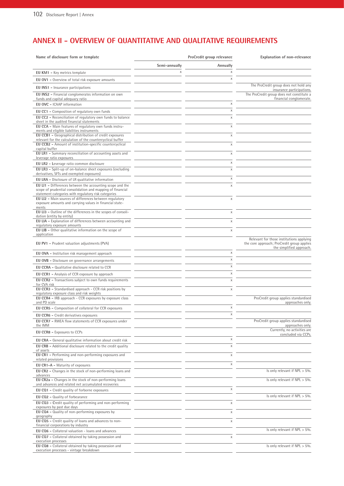# **[ANNEX II - OVERVIEW OF QUANTITATIVE AND QUALITATIVE REQUIREMENTS](#page-3-0)**

| Name of disclosure form or template                                                                                                                             | ProCredit group relevance |                           | <b>Explanation of non-relevance</b>                                                                                |  |
|-----------------------------------------------------------------------------------------------------------------------------------------------------------------|---------------------------|---------------------------|--------------------------------------------------------------------------------------------------------------------|--|
|                                                                                                                                                                 | Semi-annually             | Annually                  |                                                                                                                    |  |
| <b>EU KM1 - Key metrics template</b>                                                                                                                            | X                         | $\times$                  |                                                                                                                    |  |
| EU OV1 - Overview of total risk exposure amounts                                                                                                                |                           | $\times$                  |                                                                                                                    |  |
| EU INS1 - Insurance participations                                                                                                                              |                           |                           | The ProCredit group does not hold any<br>insurance participations.                                                 |  |
| EU INS2 - Financial conglomerates information on own<br>funds and capital adequacy ratio                                                                        |                           |                           | The ProCredit group does not constitute a<br>financial conglomerate.                                               |  |
| EU OVC - ICAAP information                                                                                                                                      |                           | X                         |                                                                                                                    |  |
| EU CC1 - Composition of regulatory own funds<br>EU CC2 - Reconciliation of regulatory own funds to balance                                                      |                           | X                         |                                                                                                                    |  |
| sheet in the audited financial statements                                                                                                                       |                           | X                         |                                                                                                                    |  |
| EU CCA - Main features of regulatory own funds instru-<br>ments and eligible liabilities instruments<br>EU CCB1 - Geographical distribution of credit exposures |                           | X<br>X                    |                                                                                                                    |  |
| relevant for the calculation of the countercyclical buffer                                                                                                      |                           |                           |                                                                                                                    |  |
| EU CCB2 - Amount of institution-specific countercyclical<br>capital buffer                                                                                      |                           | X                         |                                                                                                                    |  |
| EU LR1 - Summary reconciliation of accounting assets and                                                                                                        |                           | $\boldsymbol{\mathsf{x}}$ |                                                                                                                    |  |
| leverage ratio exposures<br>EU LR2 - Leverage ratio common disclosure                                                                                           |                           | X                         |                                                                                                                    |  |
| EU LR3 - Split-up of on-balance sheet exposures (excluding                                                                                                      |                           | X                         |                                                                                                                    |  |
| derivatives, SFTs and exempted exposures)                                                                                                                       |                           | X                         |                                                                                                                    |  |
| EU LRA - Disclosure of LR qualitative information<br>EU LI1 - Differences between the accounting scope and the                                                  |                           | X                         |                                                                                                                    |  |
| scope of prudential consolidation and mapping of financial<br>statement categories with regulatory risk categories                                              |                           |                           |                                                                                                                    |  |
| EU LI2 - Main sources of differences between regulatory<br>exposure amounts and carrying values in financial state-<br>ments                                    |                           | X                         |                                                                                                                    |  |
| EU LI3 - Outline of the differences in the scopes of consoli-<br>dation (entity by entity)                                                                      |                           | X                         |                                                                                                                    |  |
| EU LIA - Explanation of differences between accounting and<br>regulatory exposure amounts                                                                       |                           | X                         |                                                                                                                    |  |
| EU LIB - Other qualitative information on the scope of<br>application                                                                                           |                           | X                         |                                                                                                                    |  |
| EU PV1 - Prudent valuation adjustments (PVA)                                                                                                                    |                           |                           | Relevant for those institutions applying<br>the core approach; ProCredit group applies<br>the simplified approach. |  |
| <b>EU OVA - Institution risk management approach</b>                                                                                                            |                           | X                         |                                                                                                                    |  |
| <b>EU OVB - Disclosure on governance arrangements</b>                                                                                                           |                           | X                         |                                                                                                                    |  |
| <b>EU CCRA - Qualitative disclosure related to CCR</b>                                                                                                          |                           | X                         |                                                                                                                    |  |
| EU CCR1 - Analysis of CCR exposure by approach                                                                                                                  |                           | X                         |                                                                                                                    |  |
| EU CCR2 - Transactions subject to own funds requirements<br>for CVA risk<br>EU CCR3 - Standardised approach - CCR risk positions by                             |                           | X<br>X                    |                                                                                                                    |  |
| regulatory exposure class and risk weights                                                                                                                      |                           |                           |                                                                                                                    |  |
| EU CCR4 - IRB approach - CCR exposures by exposure class<br>and PD scale                                                                                        |                           |                           | ProCredit group applies standardised<br>approaches only.                                                           |  |
| EU CCR5 - Composition of collateral for CCR exposures                                                                                                           |                           | X                         |                                                                                                                    |  |
| EU CCR6 - Credit derivatives exposures                                                                                                                          |                           | X                         |                                                                                                                    |  |
| EU CCR7 - RWEA flow statements of CCR exposures under<br>the IMM                                                                                                |                           |                           | ProCredit group applies standardised<br>approaches only.                                                           |  |
| EU CCR8 - Exposures to CCPs                                                                                                                                     |                           |                           | Currently, no activities are<br>concluded via CCPs.                                                                |  |
| <b>EU CRA -</b> General qualitative information about credit risk                                                                                               |                           | X                         |                                                                                                                    |  |
| <b>EU CRB -</b> Additional disclosure related to the credit quality<br>of assets                                                                                |                           | X                         |                                                                                                                    |  |
| EU CR1 - Performing and non-performing exposures and<br>related provisions                                                                                      |                           | X                         |                                                                                                                    |  |
| <b>EU CR1-A - Maturity of exposures</b>                                                                                                                         |                           | X                         |                                                                                                                    |  |
| <b>EU CR2 -</b> Changes in the stock of non-performing loans and<br>advances                                                                                    |                           |                           | Is only relevant if NPL > 5%.                                                                                      |  |
| EU CR2a - Changes in the stock of non-performing loans<br>and advances and related net accumulated recoveries                                                   |                           |                           | Is only relevant if $NPL > 5\%$ .                                                                                  |  |
| <b>EU CQ1</b> - Credit quality of forborne exposures                                                                                                            |                           | X                         |                                                                                                                    |  |
| EU CQ2 - Quality of forbearance                                                                                                                                 |                           |                           | Is only relevant if NPL > 5%                                                                                       |  |
| <b>EU CQ3 - Credit quality of performing and non-performing</b><br>exposures by past due days                                                                   |                           | X                         |                                                                                                                    |  |
| EU CQ4 - Quality of non-performing exposures by<br>geography                                                                                                    |                           | X                         |                                                                                                                    |  |
| EU CQ5 - Credit quality of loans and advances to non-<br>financial corporations by industry                                                                     |                           | X                         |                                                                                                                    |  |
| EU CQ6 - Collateral valuation - loans and advances                                                                                                              |                           |                           | Is only relevant if $NPL > 5\%$ .                                                                                  |  |
| EU CQ7 - Collateral obtained by taking possession and<br>execution processes                                                                                    |                           | X                         |                                                                                                                    |  |
| EU CQ8 - Collateral obtained by taking possession and<br>execution processes - vintage breakdown                                                                |                           |                           | Is only relevant if $NPL > 5\%$ .                                                                                  |  |
|                                                                                                                                                                 |                           |                           |                                                                                                                    |  |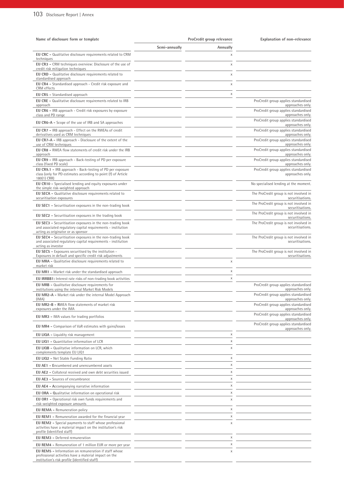| Name of disclosure form or template                                                                                                                            | ProCredit group relevance |          | <b>Explanation of non-relevance</b>                        |  |
|----------------------------------------------------------------------------------------------------------------------------------------------------------------|---------------------------|----------|------------------------------------------------------------|--|
|                                                                                                                                                                | Semi-annually             | Annually |                                                            |  |
| EU CRC - Qualitative disclosure requirements related to CRM                                                                                                    |                           | X        |                                                            |  |
| techniques<br>EU CR3 - CRM techniques overview: Disclosure of the use of                                                                                       |                           | X        |                                                            |  |
| credit risk mitigation techniques                                                                                                                              |                           |          |                                                            |  |
| EU CRD - Qualitative disclosure requirements related to<br>standardised approach                                                                               |                           | X        |                                                            |  |
| EU CR4 - Standardised approach - Credit risk exposure and<br>CRM effects                                                                                       |                           | X        |                                                            |  |
| EU CR5 - Standardised approach                                                                                                                                 |                           | Χ        |                                                            |  |
| EU CRE - Qualitative disclosure requirements related to IRB<br>approach                                                                                        |                           |          | ProCredit group applies standardised<br>approaches only.   |  |
| EU CR6 - IRB approach - Credit risk exposures by exposure<br>class and PD range                                                                                |                           |          | ProCredit group applies standardised<br>approaches only.   |  |
| <b>EU CR6-A -</b> Scope of the use of IRB and SA approaches                                                                                                    |                           |          | ProCredit group applies standardised<br>approaches only.   |  |
| EU CR7 - IRB approach - Effect on the RWEAs of credit<br>derivatives used as CRM techniques                                                                    |                           |          | ProCredit group applies standardised<br>approaches only.   |  |
| EU CR7-A - IRB approach - Disclosure of the extent of the                                                                                                      |                           |          | ProCredit group applies standardised                       |  |
| use of CRM techniques<br>EU CR8 - RWEA flow statements of credit risk under the IRB                                                                            |                           |          | approaches only.<br>ProCredit group applies standardised   |  |
| approach<br>EU CR9 - IRB approach - Back-testing of PD per exposure                                                                                            |                           |          | approaches only.<br>ProCredit group applies standardised   |  |
| class (fixed PD scale)<br>EU CR9.1 - IRB approach - Back-testing of PD per exposure                                                                            |                           |          | approaches only.<br>ProCredit group applies standardised   |  |
| class (only for PD estimates according to point (f) of Article<br>180(1) CRR)                                                                                  |                           |          | approaches only.                                           |  |
| EU CR10 - Specialised lending and equity exposures under<br>the simple risk-weighted approach                                                                  |                           |          | No specialised lending at the moment.                      |  |
| EU SECA - Qualitative disclosure requirements related to<br>securitisation exposures                                                                           |                           |          | The ProCredit group is not involved in<br>securitisations. |  |
| EU SEC1 - Securitisation exposures in the non-trading book                                                                                                     |                           |          | The ProCredit group is not involved in<br>securitisations. |  |
| <b>EU SEC2</b> - Securitisation exposures in the trading book                                                                                                  |                           |          | The ProCredit group is not involved in<br>securitisations. |  |
| <b>EU SEC3</b> - Securitisation exposures in the non-trading book                                                                                              |                           |          | The ProCredit group is not involved in                     |  |
| and associated regulatory capital requirements - institution<br>acting as originator or as sponsor                                                             |                           |          | securitisations.                                           |  |
| EU SEC4 - Securitisation exposures in the non-trading book<br>and associated regulatory capital requirements - institution<br>acting as investor               |                           |          | The ProCredit group is not involved in<br>securitisations. |  |
| EU SEC5 - Exposures securitised by the institution -<br>Exposures in default and specific credit risk adjustments                                              |                           |          | The ProCredit group is not involved in<br>securitisations. |  |
| EU MRA - Qualitative disclosure requirements related to<br>market risk                                                                                         |                           | X        |                                                            |  |
| EU MR1 - Market risk under the standardised approach                                                                                                           |                           | X        |                                                            |  |
| EU IRRBB1: Interest rate risks of non-trading book activities                                                                                                  |                           | X        |                                                            |  |
| EU MRB - Qualitative disclosure requirements for<br>institutions using the internal Market Risk Models                                                         |                           |          | ProCredit group applies standardised<br>approaches only.   |  |
| EU MR2-A - Market risk under the internal Model Approach                                                                                                       |                           |          | ProCredit group applies standardised                       |  |
| (IMA)<br>EU MR2-B - RWEA flow statements of market risk                                                                                                        |                           |          | approaches only.<br>ProCredit group applies standardised   |  |
| exposures under the IMA<br><b>EU MR3 - IMA values for trading portfolios</b>                                                                                   |                           |          | approaches only.<br>ProCredit group applies standardised   |  |
|                                                                                                                                                                |                           |          | approaches only.<br>ProCredit group applies standardised   |  |
| EU MR4 - Comparison of VaR estimates with gains/losses                                                                                                         |                           | X        | approaches only.                                           |  |
| EU LIQA - Liquidity risk management                                                                                                                            |                           | X        |                                                            |  |
| EU LIQ1 - Quantitative information of LCR<br>EU LIQB - Qualitative information on LCR, which                                                                   |                           | X        |                                                            |  |
| complements template EU LIQ1                                                                                                                                   |                           |          |                                                            |  |
| EU LIQ2 - Net Stable Funding Ratio                                                                                                                             |                           | Χ        |                                                            |  |
| EU AE1 - Encumbered and unencumbered assets<br>EU AE2 - Collateral received and own debt securities issued                                                     |                           | X<br>Χ   |                                                            |  |
| <b>EU AE3 - Sources of encumbrance</b>                                                                                                                         |                           | Χ        |                                                            |  |
| EU AE4 - Accompanying narrative information                                                                                                                    |                           | X        |                                                            |  |
| EU ORA - Qualitative information on operational risk                                                                                                           |                           | Χ        |                                                            |  |
| EU OR1 - Operational risk own funds requirements and                                                                                                           |                           | X        |                                                            |  |
| risk-weighted exposure amounts<br><b>EU REMA - Remuneration policy</b>                                                                                         |                           | X        |                                                            |  |
| EU REM1 - Remuneration awarded for the financial year                                                                                                          |                           | X        |                                                            |  |
| EU REM2 - Special payments to staff whose professional                                                                                                         |                           | X        |                                                            |  |
| activities have a material impact on the institution's risk<br>profile (identified staff)                                                                      |                           |          |                                                            |  |
| EU REM3 - Deferred remuneration                                                                                                                                |                           | X        |                                                            |  |
| EU REM4 - Remuneration of 1 million EUR or more per year                                                                                                       |                           | Χ        |                                                            |  |
| EU REM5 - Information on remuneration if staff whose<br>professional activities have a material impact on the<br>institution's risk profile (identified staff) |                           | X        |                                                            |  |